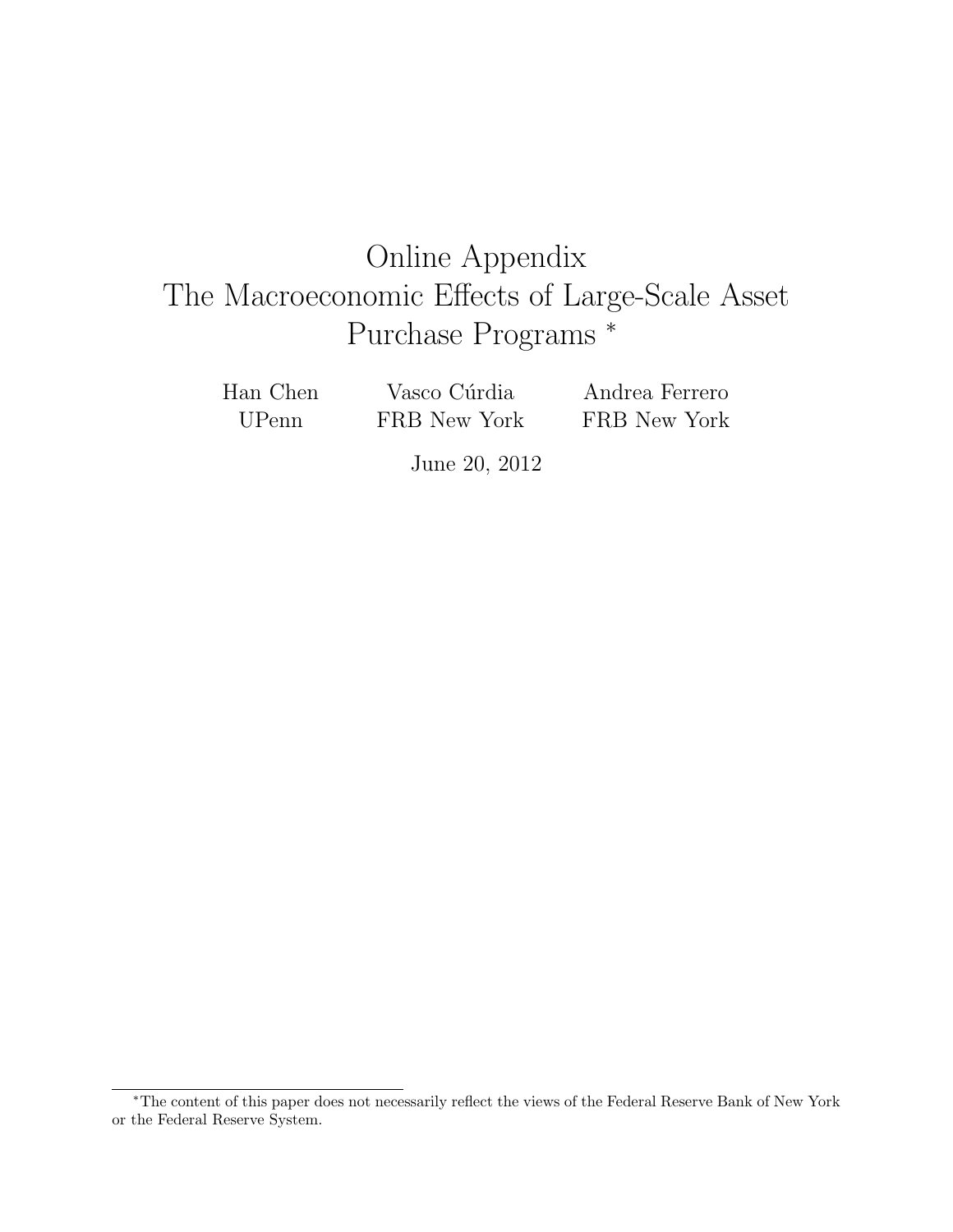# Online Appendix The Macroeconomic Effects of Large-Scale Asset Purchase Programs <sup>∗</sup>

Han Chen UPenn

Vasco Cúrdia FRB New York Andrea Ferrero FRB New York

June 20, 2012

<sup>∗</sup>The content of this paper does not necessarily reflect the views of the Federal Reserve Bank of New York or the Federal Reserve System.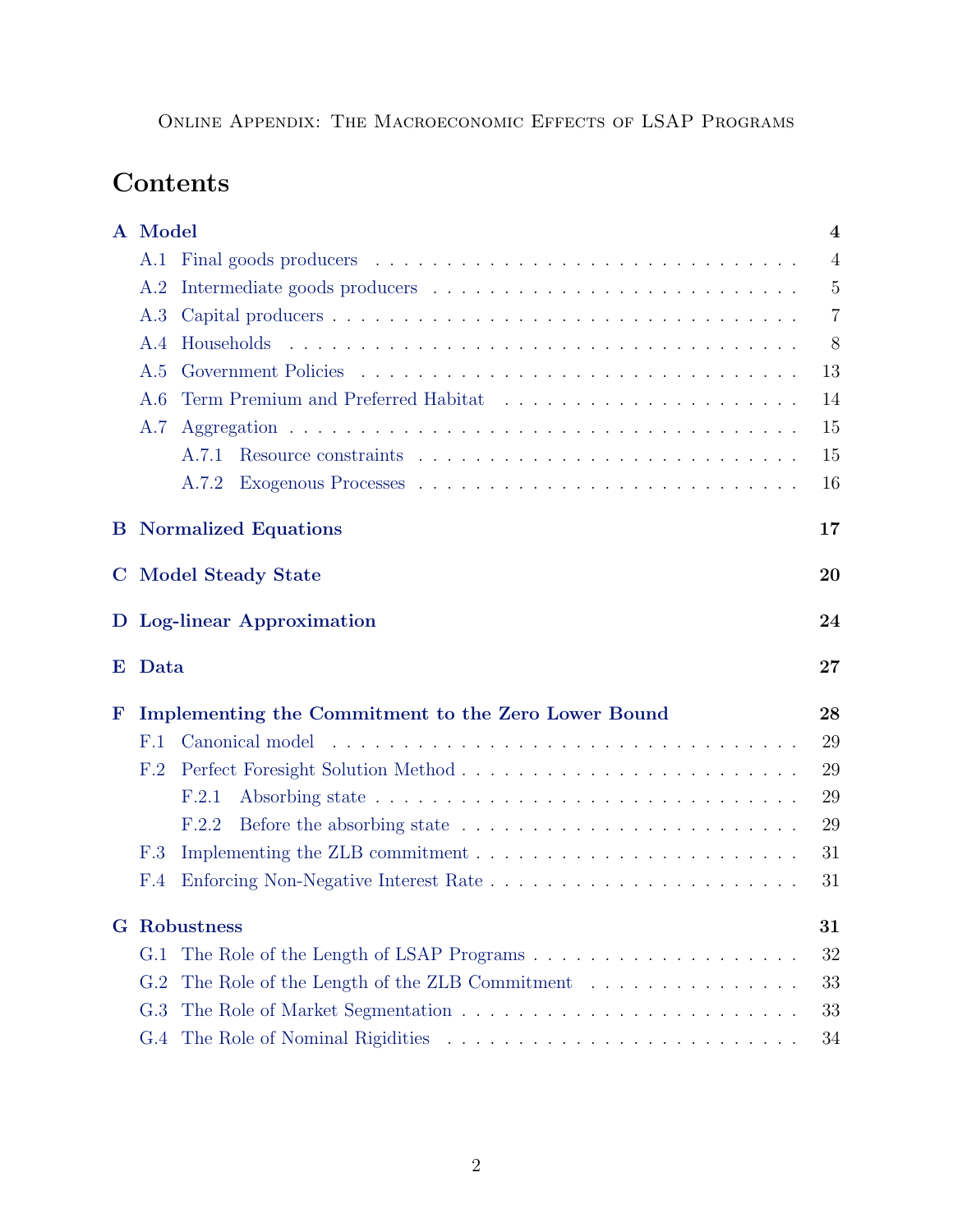# Contents

|   | A Model<br>$\overline{\mathbf{4}}$                                                                      |                |  |  |  |  |  |  |  |
|---|---------------------------------------------------------------------------------------------------------|----------------|--|--|--|--|--|--|--|
|   | A.1                                                                                                     | $\overline{4}$ |  |  |  |  |  |  |  |
|   | Intermediate goods producers $\dots \dots \dots \dots \dots \dots \dots \dots \dots \dots \dots$<br>A.2 | 5              |  |  |  |  |  |  |  |
|   | A.3                                                                                                     | $\overline{7}$ |  |  |  |  |  |  |  |
|   | A.4                                                                                                     |                |  |  |  |  |  |  |  |
|   | A.5                                                                                                     | 13             |  |  |  |  |  |  |  |
|   | A.6                                                                                                     | 14             |  |  |  |  |  |  |  |
|   | A.7                                                                                                     | 15             |  |  |  |  |  |  |  |
|   | A.7.1                                                                                                   | 15             |  |  |  |  |  |  |  |
|   | A.7.2                                                                                                   | 16             |  |  |  |  |  |  |  |
|   | <b>B</b> Normalized Equations<br>17                                                                     |                |  |  |  |  |  |  |  |
|   | <b>C</b> Model Steady State<br>20                                                                       |                |  |  |  |  |  |  |  |
|   | D Log-linear Approximation<br>24                                                                        |                |  |  |  |  |  |  |  |
| Е | Data<br>27                                                                                              |                |  |  |  |  |  |  |  |
| F | Implementing the Commitment to the Zero Lower Bound<br>28                                               |                |  |  |  |  |  |  |  |
|   | F.1                                                                                                     | 29             |  |  |  |  |  |  |  |
|   | F.2                                                                                                     | 29             |  |  |  |  |  |  |  |
|   | F.2.1                                                                                                   | 29             |  |  |  |  |  |  |  |
|   | F.2.2                                                                                                   | 29             |  |  |  |  |  |  |  |
|   | F.3                                                                                                     | 31             |  |  |  |  |  |  |  |
|   | F.4                                                                                                     | 31             |  |  |  |  |  |  |  |
|   | <b>G</b> Robustness                                                                                     |                |  |  |  |  |  |  |  |
|   | G.1                                                                                                     | 32             |  |  |  |  |  |  |  |
|   | The Role of the Length of the ZLB Commitment<br>G.2                                                     | 33             |  |  |  |  |  |  |  |
|   |                                                                                                         |                |  |  |  |  |  |  |  |
|   | G.3                                                                                                     | 33             |  |  |  |  |  |  |  |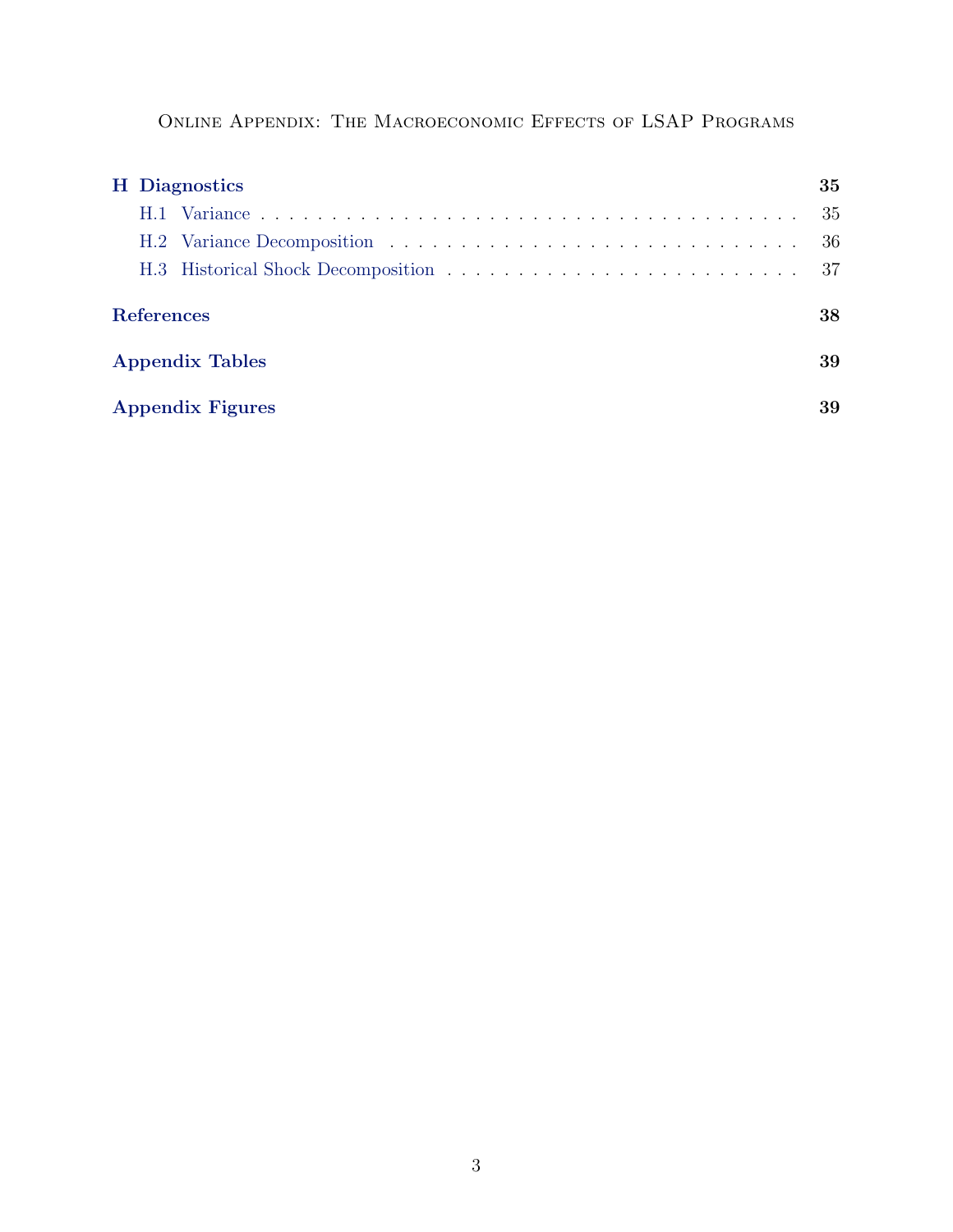|                        |  | <b>H</b> Diagnostics    | 35  |  |  |  |  |  |
|------------------------|--|-------------------------|-----|--|--|--|--|--|
|                        |  |                         | -35 |  |  |  |  |  |
|                        |  |                         | -36 |  |  |  |  |  |
|                        |  |                         |     |  |  |  |  |  |
| <b>References</b>      |  |                         |     |  |  |  |  |  |
| <b>Appendix Tables</b> |  |                         |     |  |  |  |  |  |
|                        |  | <b>Appendix Figures</b> | 39  |  |  |  |  |  |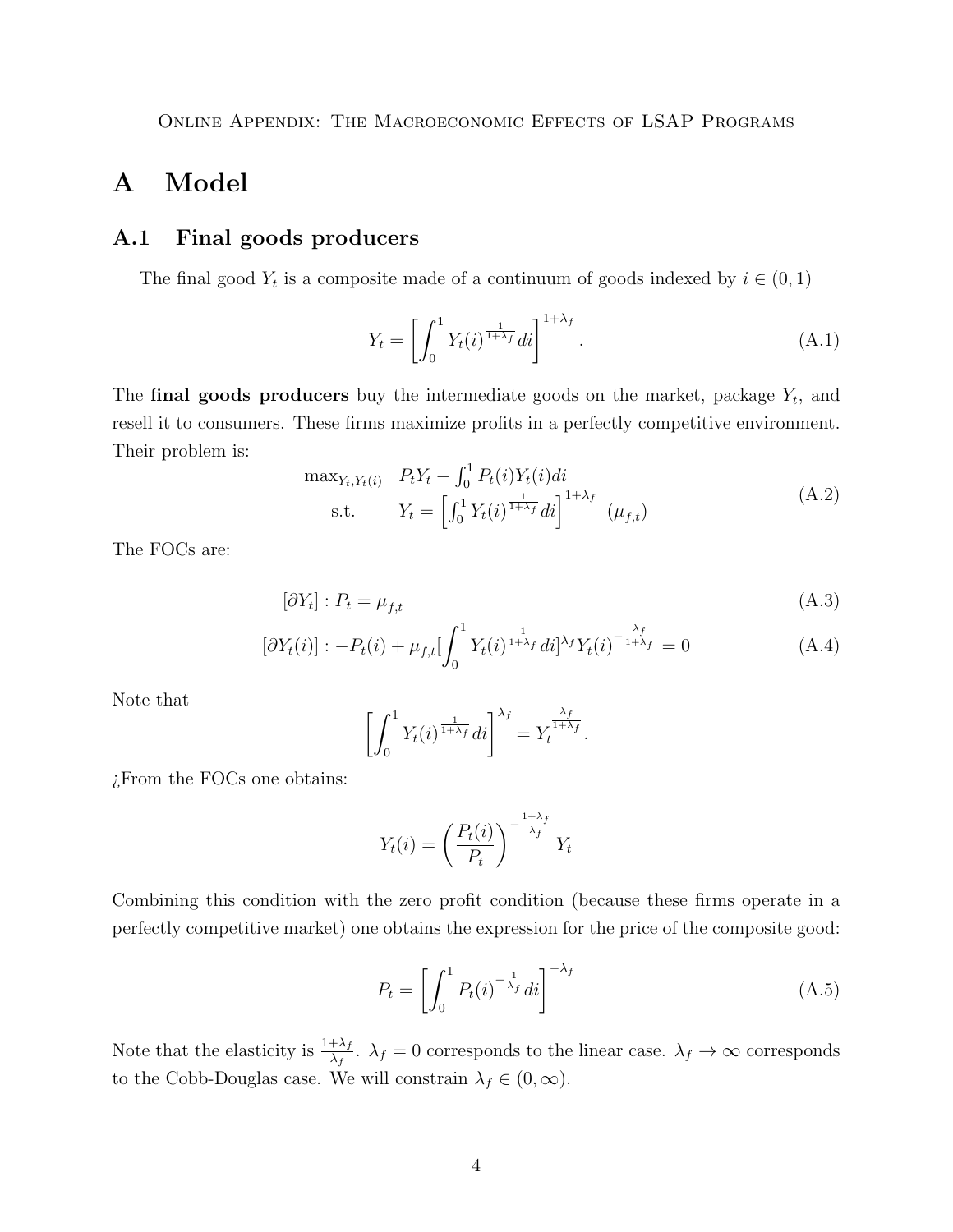# <span id="page-3-0"></span>A Model

### <span id="page-3-1"></span>A.1 Final goods producers

The final good  $Y_t$  is a composite made of a continuum of goods indexed by  $i \in (0,1)$ 

$$
Y_t = \left[ \int_0^1 Y_t(i)^{\frac{1}{1+\lambda_f}} di \right]^{1+\lambda_f}.
$$
\n(A.1)

The **final goods producers** buy the intermediate goods on the market, package  $Y_t$ , and resell it to consumers. These firms maximize profits in a perfectly competitive environment. Their problem is:

$$
\max_{Y_t, Y_t(i)} \quad P_t Y_t - \int_0^1 P_t(i) Y_t(i) di \n\text{s.t.} \quad Y_t = \left[ \int_0^1 Y_t(i)^{\frac{1}{1+\lambda_f}} di \right]^{1+\lambda_f} (\mu_{f,t})
$$
\n(A.2)

The FOCs are:

$$
[\partial Y_t] : P_t = \mu_{f,t}
$$
\n
$$
[\partial Y_t(i)] : -P_t(i) + \mu_{f,t} \left[ \int_0^1 Y_t(i)^{\frac{1}{1+\lambda_f}} di]^{\lambda_f} Y_t(i)^{-\frac{\lambda_f}{1+\lambda_f}} = 0
$$
\n(A.4)

Note that

$$
\left[\int_0^1 Y_t(i)^{\frac{1}{1+\lambda_f}} di\right]^{\lambda_f} = Y_t^{\frac{\lambda_f}{1+\lambda_f}}.
$$

¿From the FOCs one obtains:

$$
Y_t(i) = \left(\frac{P_t(i)}{P_t}\right)^{-\frac{1+\lambda_f}{\lambda_f}} Y_t
$$

Combining this condition with the zero profit condition (because these firms operate in a perfectly competitive market) one obtains the expression for the price of the composite good:

<span id="page-3-2"></span>
$$
P_t = \left[ \int_0^1 P_t(i)^{-\frac{1}{\lambda_f}} di \right]^{-\lambda_f}
$$
\n(A.5)

Note that the elasticity is  $\frac{1+\lambda_f}{\lambda_f}$ .  $\lambda_f=0$  corresponds to the linear case.  $\lambda_f\to\infty$  corresponds to the Cobb-Douglas case. We will constrain  $\lambda_f \in (0, \infty)$ .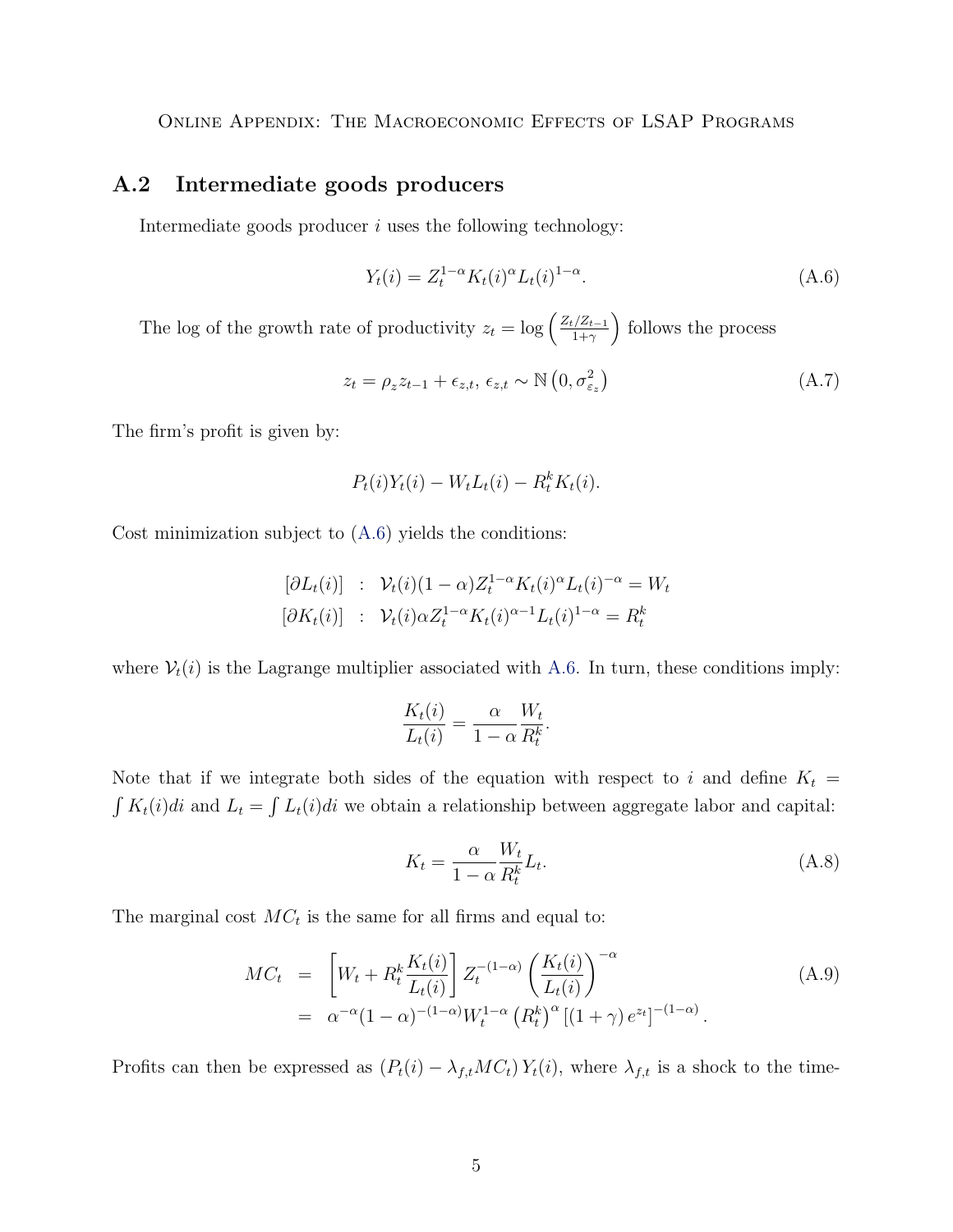### <span id="page-4-0"></span>A.2 Intermediate goods producers

Intermediate goods producer  $i$  uses the following technology:

<span id="page-4-1"></span>
$$
Y_t(i) = Z_t^{1-\alpha} K_t(i)^{\alpha} L_t(i)^{1-\alpha}.
$$
\n(A.6)

The log of the growth rate of productivity  $z_t = \log \left( \frac{Z_t/Z_{t-1}}{1+\gamma} \right)$  $\frac{1}{1+\gamma}$  follows the process

$$
z_t = \rho_z z_{t-1} + \epsilon_{z,t}, \ \epsilon_{z,t} \sim \mathbb{N}\left(0, \sigma_{\varepsilon_z}^2\right) \tag{A.7}
$$

The firm's profit is given by:

$$
P_t(i)Y_t(i) - W_t L_t(i) - R_t^k K_t(i).
$$

Cost minimization subject to [\(A.6\)](#page-4-1) yields the conditions:

$$
[\partial L_t(i)] : \mathcal{V}_t(i)(1-\alpha)Z_t^{1-\alpha}K_t(i)^{\alpha}L_t(i)^{-\alpha} = W_t
$$
  

$$
[\partial K_t(i)] : \mathcal{V}_t(i)\alpha Z_t^{1-\alpha}K_t(i)^{\alpha-1}L_t(i)^{1-\alpha} = R_t^k
$$

where  $V_t(i)$  is the Lagrange multiplier associated with [A.6.](#page-4-1) In turn, these conditions imply:

$$
\frac{K_t(i)}{L_t(i)} = \frac{\alpha}{1 - \alpha} \frac{W_t}{R_t^k}.
$$

Note that if we integrate both sides of the equation with respect to i and define  $K_t$  =  $\int K_t(i)di$  and  $L_t = \int L_t(i)di$  we obtain a relationship between aggregate labor and capital:

$$
K_t = \frac{\alpha}{1 - \alpha} \frac{W_t}{R_t^k} L_t.
$$
\n(A.8)

The marginal cost  $MC_t$  is the same for all firms and equal to:

$$
MC_t = \left[ W_t + R_t^k \frac{K_t(i)}{L_t(i)} \right] Z_t^{-(1-\alpha)} \left( \frac{K_t(i)}{L_t(i)} \right)^{-\alpha}
$$
  
=  $\alpha^{-\alpha} (1-\alpha)^{-(1-\alpha)} W_t^{1-\alpha} (R_t^k)^{\alpha} [(1+\gamma) e^{z_t}]^{-(1-\alpha)}.$  (A.9)

Profits can then be expressed as  $(P_t(i) - \lambda_{f,t}MC_t)Y_t(i)$ , where  $\lambda_{f,t}$  is a shock to the time-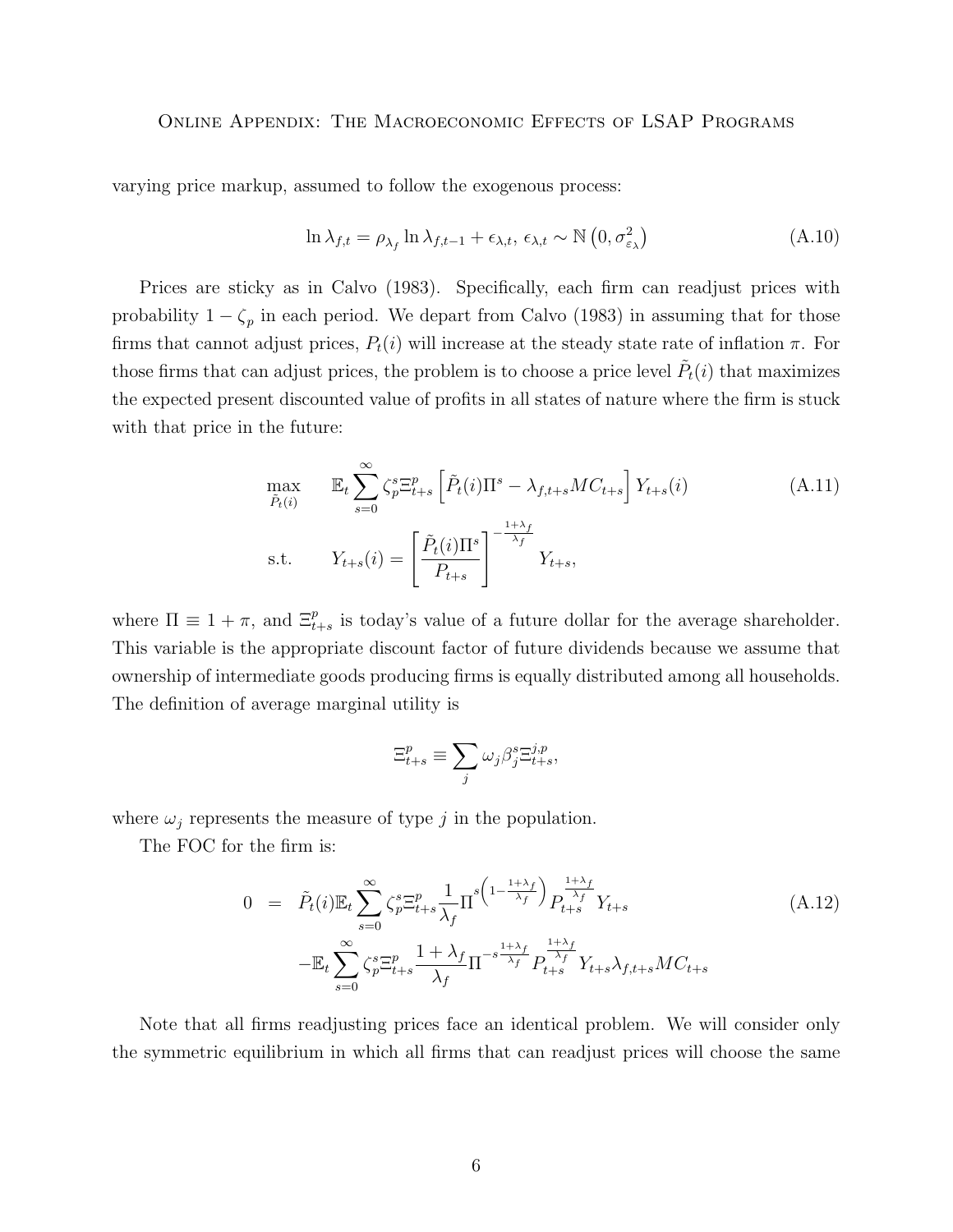varying price markup, assumed to follow the exogenous process:

$$
\ln \lambda_{f,t} = \rho_{\lambda_f} \ln \lambda_{f,t-1} + \epsilon_{\lambda,t}, \ \epsilon_{\lambda,t} \sim \mathbb{N}\left(0, \sigma_{\varepsilon_{\lambda}}^2\right) \tag{A.10}
$$

Prices are sticky as in Calvo (1983). Specifically, each firm can readjust prices with probability  $1 - \zeta_p$  in each period. We depart from Calvo (1983) in assuming that for those firms that cannot adjust prices,  $P_t(i)$  will increase at the steady state rate of inflation  $\pi$ . For those firms that can adjust prices, the problem is to choose a price level  $\tilde{P}_t(i)$  that maximizes the expected present discounted value of profits in all states of nature where the firm is stuck with that price in the future:

$$
\max_{\tilde{P}_t(i)} \mathbb{E}_t \sum_{s=0}^{\infty} \zeta_p^s \Xi_{t+s}^p \left[ \tilde{P}_t(i) \Pi^s - \lambda_{f,t+s} MC_{t+s} \right] Y_{t+s}(i)
$$
\n
$$
\text{s.t.} \qquad Y_{t+s}(i) = \left[ \frac{\tilde{P}_t(i) \Pi^s}{P_{t+s}} \right]^{-\frac{1+\lambda_f}{\lambda_f}} Y_{t+s},
$$
\n(A.11)

where  $\Pi \equiv 1 + \pi$ , and  $\Xi_{t+s}^p$  is today's value of a future dollar for the average shareholder. This variable is the appropriate discount factor of future dividends because we assume that ownership of intermediate goods producing firms is equally distributed among all households. The definition of average marginal utility is

$$
\Xi_{t+s}^p \equiv \sum_j \omega_j \beta_j^s \Xi_{t+s}^{j,p},
$$

where  $\omega_j$  represents the measure of type j in the population.

The FOC for the firm is:

$$
0 = \tilde{P}_t(i)\mathbb{E}_t \sum_{s=0}^{\infty} \zeta_p^s \mathbb{E}_{t+s}^p \frac{1}{\lambda_f} \Pi^{s \left(1 - \frac{1 + \lambda_f}{\lambda_f}\right)} P_{t+s}^{\frac{1 + \lambda_f}{\lambda_f}} Y_{t+s}
$$
\n
$$
-\mathbb{E}_t \sum_{s=0}^{\infty} \zeta_p^s \mathbb{E}_{t+s}^p \frac{1 + \lambda_f}{\lambda_f} \Pi^{-s \frac{1 + \lambda_f}{\lambda_f}} P_{t+s}^{\frac{1 + \lambda_f}{\lambda_f}} Y_{t+s} \lambda_{f,t+s} M C_{t+s}
$$
\n(A.12)

Note that all firms readjusting prices face an identical problem. We will consider only the symmetric equilibrium in which all firms that can readjust prices will choose the same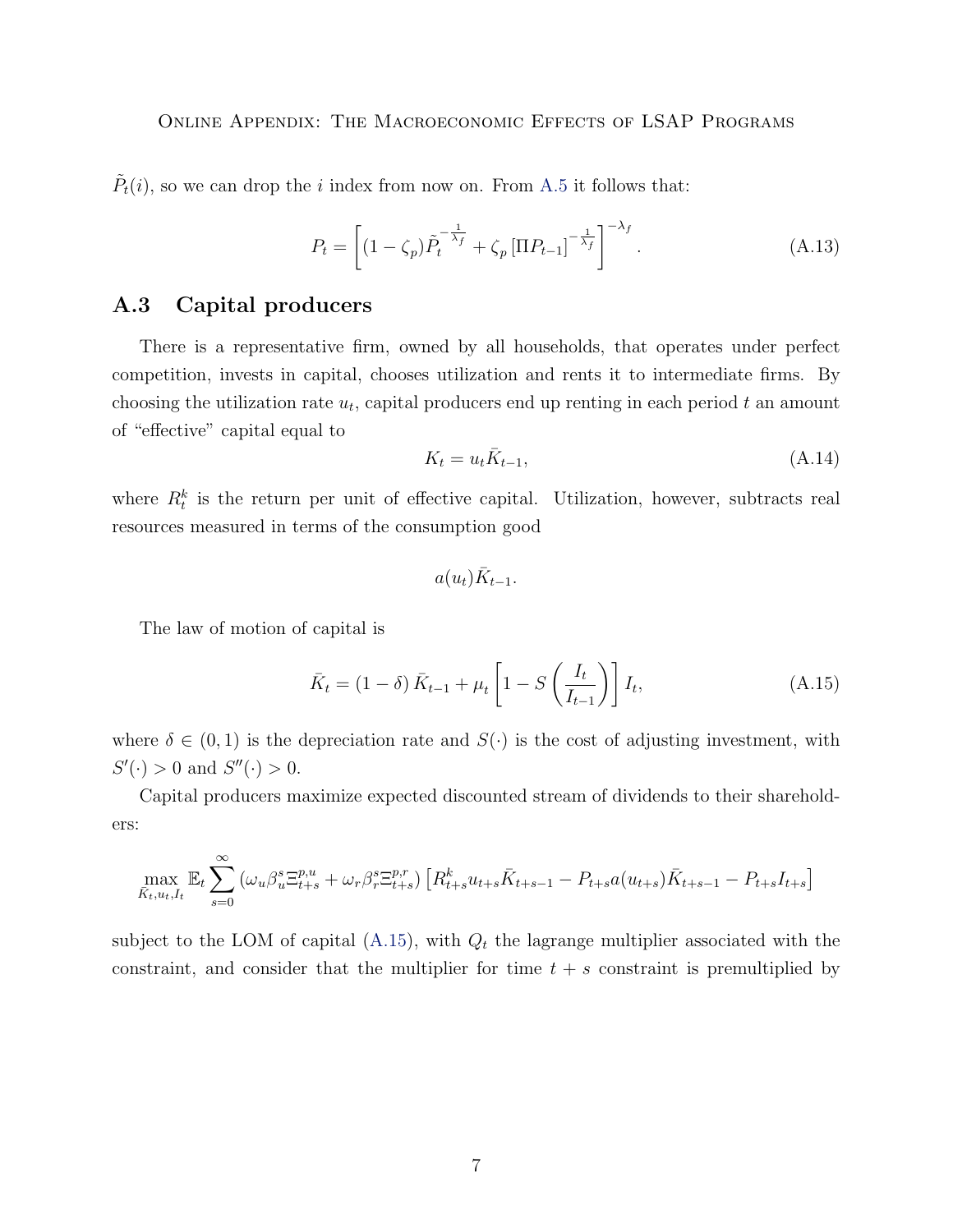$\tilde{P}_t(i)$ , so we can drop the *i* index from now on. From [A.5](#page-3-2) it follows that:

$$
P_t = \left[ (1 - \zeta_p) \tilde{P}_t^{-\frac{1}{\lambda_f}} + \zeta_p \left[ \Pi P_{t-1} \right]^{-\frac{1}{\lambda_f}} \right]^{-\lambda_f} . \tag{A.13}
$$

## <span id="page-6-0"></span>A.3 Capital producers

There is a representative firm, owned by all households, that operates under perfect competition, invests in capital, chooses utilization and rents it to intermediate firms. By choosing the utilization rate  $u_t$ , capital producers end up renting in each period  $t$  an amount of "effective" capital equal to

$$
K_t = u_t \bar{K}_{t-1},\tag{A.14}
$$

where  $R_t^k$  is the return per unit of effective capital. Utilization, however, subtracts real resources measured in terms of the consumption good

$$
a(u_t)\bar{K}_{t-1}.
$$

The law of motion of capital is

<span id="page-6-1"></span>
$$
\bar{K}_t = (1 - \delta) \bar{K}_{t-1} + \mu_t \left[ 1 - S \left( \frac{I_t}{I_{t-1}} \right) \right] I_t,
$$
\n(A.15)

where  $\delta \in (0,1)$  is the depreciation rate and  $S(\cdot)$  is the cost of adjusting investment, with  $S'(\cdot) > 0$  and  $S''(\cdot) > 0$ .

Capital producers maximize expected discounted stream of dividends to their shareholders:

$$
\max_{\bar{K}_{t}, u_{t}, I_{t}} \mathbb{E}_{t} \sum_{s=0}^{\infty} \left( \omega_{u} \beta_{u}^{s} \Xi_{t+s}^{p,u} + \omega_{r} \beta_{r}^{s} \Xi_{t+s}^{p,r} \right) \left[ R_{t+s}^{k} u_{t+s} \bar{K}_{t+s-1} - P_{t+s} a(u_{t+s}) \bar{K}_{t+s-1} - P_{t+s} I_{t+s} \right]
$$

subject to the LOM of capital  $(A.15)$ , with  $Q_t$  the lagrange multiplier associated with the constraint, and consider that the multiplier for time  $t + s$  constraint is premultiplied by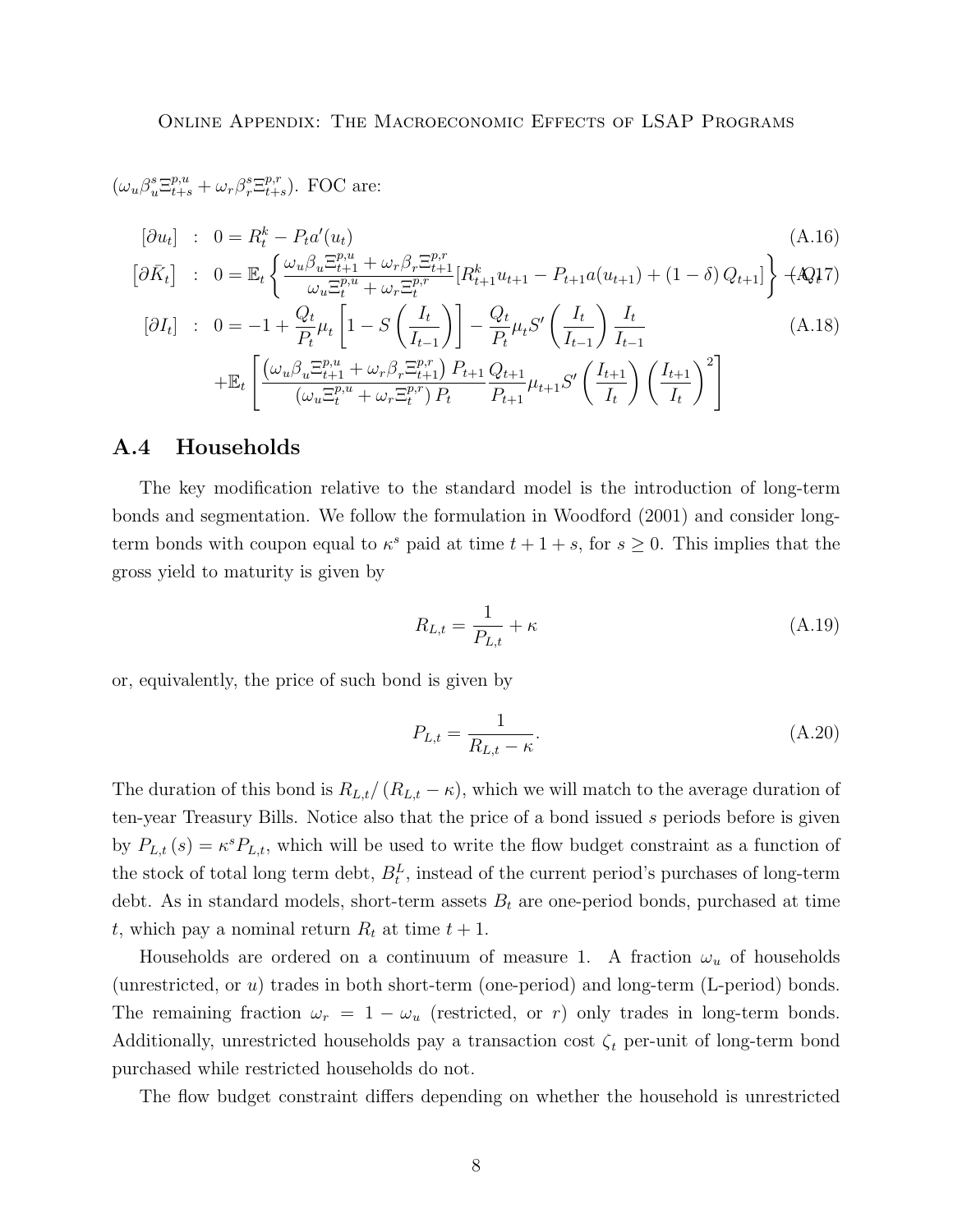$(\omega_u \beta_u^s \Xi_{t+s}^{p,u} + \omega_r \beta_r^s \Xi_{t+s}^{p,r})$  $_{t+s}^{p,r}$ ). FOC are:

$$
[\partial u_t] : 0 = R_t^k - P_t a'(u_t)
$$
\n(A.16)

$$
\begin{bmatrix} \partial \bar{K}_t \end{bmatrix} : 0 = \mathbb{E}_t \left\{ \frac{\omega_u \beta_u \Xi_{t+1}^{p,u} + \omega_r \beta_r \Xi_{t+1}^{p,r}}{\omega_u \Xi_t^{p,u} + \omega_r \Xi_t^{p,r}} [R_{t+1}^k u_{t+1} - P_{t+1} a(u_{t+1}) + (1 - \delta) Q_{t+1} ] \right\} + \mathcal{A} Q_t^{\dagger} \mathcal{I}
$$

$$
[\partial I_t] : 0 = -1 + \frac{Q_t}{P_t} \mu_t \left[ 1 - S \left( \frac{I_t}{I_{t-1}} \right) \right] - \frac{Q_t}{P_t} \mu_t S' \left( \frac{I_t}{I_{t-1}} \right) \frac{I_t}{I_{t-1}} + \mathbb{E}_t \left[ \frac{(\omega_u \beta_u \Xi_{t+1}^{p,u} + \omega_r \beta_r \Xi_{t+1}^{p,r}) P_{t+1} Q_{t+1}}{(\omega_u \Xi_t^{p,u} + \omega_r \Xi_t^{p,r}) P_t} \mu_{t+1} S' \left( \frac{I_{t+1}}{I_t} \right) \left( \frac{I_{t+1}}{I_t} \right)^2 \right]
$$
\n(A.18)

#### <span id="page-7-0"></span>A.4 Households

The key modification relative to the standard model is the introduction of long-term bonds and segmentation. We follow the formulation in Woodford (2001) and consider longterm bonds with coupon equal to  $\kappa^s$  paid at time  $t + 1 + s$ , for  $s \geq 0$ . This implies that the gross yield to maturity is given by

$$
R_{L,t} = \frac{1}{P_{L,t}} + \kappa \tag{A.19}
$$

or, equivalently, the price of such bond is given by

$$
P_{L,t} = \frac{1}{R_{L,t} - \kappa}.
$$
\n(A.20)

The duration of this bond is  $R_{L,t}/(R_{L,t} - \kappa)$ , which we will match to the average duration of ten-year Treasury Bills. Notice also that the price of a bond issued s periods before is given by  $P_{L,t}(s) = \kappa^s P_{L,t}$ , which will be used to write the flow budget constraint as a function of the stock of total long term debt,  $B_t^L$ , instead of the current period's purchases of long-term debt. As in standard models, short-term assets  $B_t$  are one-period bonds, purchased at time t, which pay a nominal return  $R_t$  at time  $t + 1$ .

Households are ordered on a continuum of measure 1. A fraction  $\omega_u$  of households (unrestricted, or u) trades in both short-term (one-period) and long-term (L-period) bonds. The remaining fraction  $\omega_r = 1 - \omega_u$  (restricted, or r) only trades in long-term bonds. Additionally, unrestricted households pay a transaction cost  $\zeta_t$  per-unit of long-term bond purchased while restricted households do not.

The flow budget constraint differs depending on whether the household is unrestricted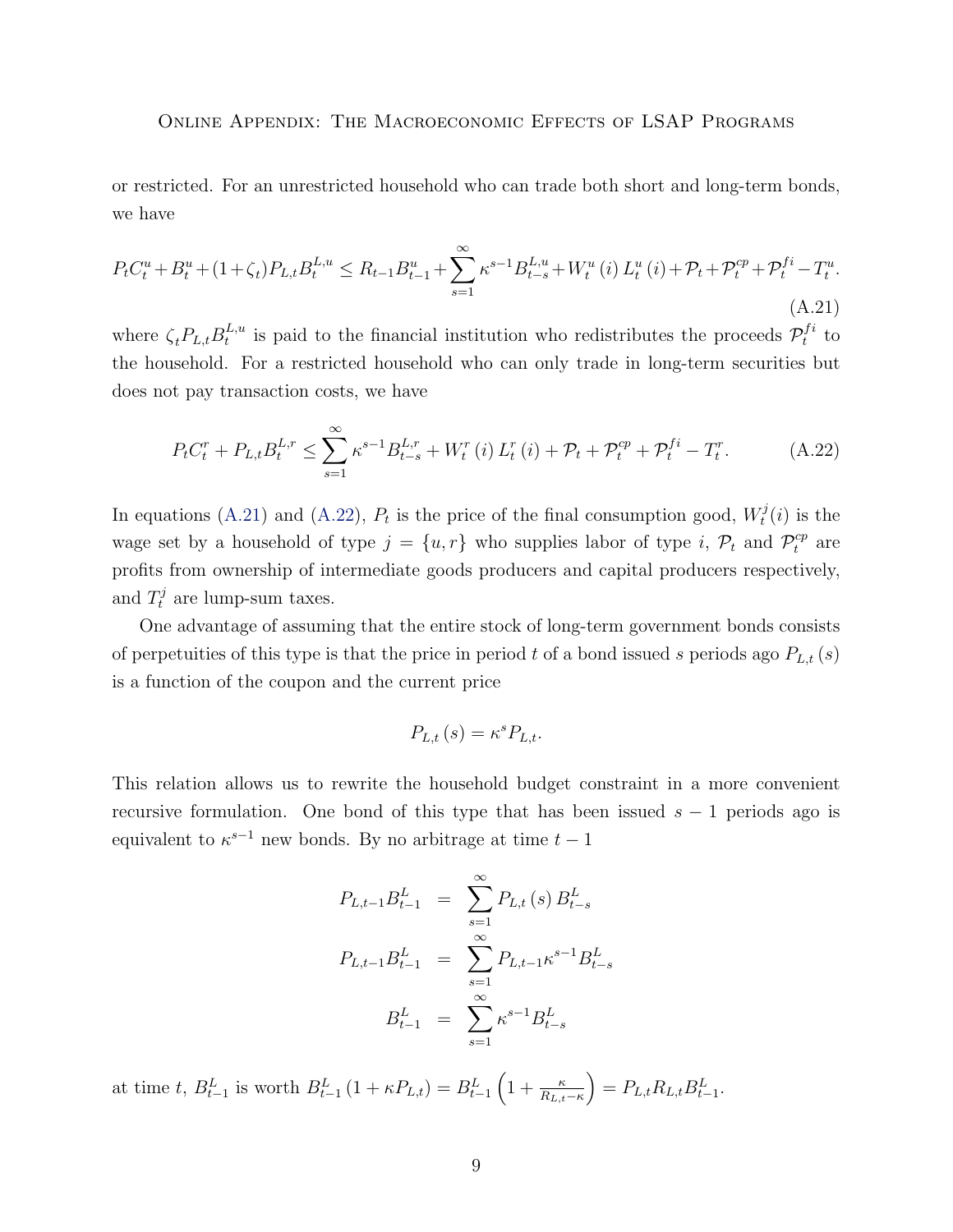or restricted. For an unrestricted household who can trade both short and long-term bonds, we have

<span id="page-8-0"></span>
$$
P_{t}C_{t}^{u} + B_{t}^{u} + (1 + \zeta_{t})P_{L,t}B_{t}^{L,u} \leq R_{t-1}B_{t-1}^{u} + \sum_{s=1}^{\infty} \kappa^{s-1} B_{t-s}^{L,u} + W_{t}^{u}(i) L_{t}^{u}(i) + \mathcal{P}_{t} + \mathcal{P}_{t}^{cp} + \mathcal{P}_{t}^{fi} - T_{t}^{u}.
$$
\n(A.21)

where  $\zeta_t P_{L,t} B_t^{L,u}$  $t_t^{L,u}$  is paid to the financial institution who redistributes the proceeds  $\mathcal{P}_t^{fi}$  $t^{j}$  to the household. For a restricted household who can only trade in long-term securities but does not pay transaction costs, we have

<span id="page-8-1"></span>
$$
P_{t}C_{t}^{r} + P_{L,t}B_{t}^{L,r} \leq \sum_{s=1}^{\infty} \kappa^{s-1} B_{t-s}^{L,r} + W_{t}^{r}(i) L_{t}^{r}(i) + \mathcal{P}_{t} + \mathcal{P}_{t}^{cp} + \mathcal{P}_{t}^{fi} - T_{t}^{r}.
$$
 (A.22)

In equations [\(A.21\)](#page-8-0) and [\(A.22\)](#page-8-1),  $P_t$  is the price of the final consumption good,  $W_t^j$  $t^{\jmath}(i)$  is the wage set by a household of type  $j = \{u, r\}$  who supplies labor of type i,  $\mathcal{P}_t$  and  $\mathcal{P}_t^{cp}$  are profits from ownership of intermediate goods producers and capital producers respectively, and  $T_t^j$  are lump-sum taxes.

One advantage of assuming that the entire stock of long-term government bonds consists of perpetuities of this type is that the price in period t of a bond issued s periods ago  $P_{L,t}(s)$ is a function of the coupon and the current price

$$
P_{L,t}\left(s\right) = \kappa^s P_{L,t}.
$$

This relation allows us to rewrite the household budget constraint in a more convenient recursive formulation. One bond of this type that has been issued  $s - 1$  periods ago is equivalent to  $\kappa^{s-1}$  new bonds. By no arbitrage at time  $t-1$ 

$$
P_{L,t-1}B_{t-1}^{L} = \sum_{s=1}^{\infty} P_{L,t}(s) B_{t-s}^{L}
$$

$$
P_{L,t-1}B_{t-1}^{L} = \sum_{s=1}^{\infty} P_{L,t-1} \kappa^{s-1} B_{t-s}^{L}
$$

$$
B_{t-1}^{L} = \sum_{s=1}^{\infty} \kappa^{s-1} B_{t-s}^{L}
$$

at time t,  $B_{t-1}^L$  is worth  $B_{t-1}^L(1 + \kappa P_{L,t}) = B_{t-1}^L(1 + \frac{\kappa}{R_{L,t}-\kappa})$  $= P_{L,t} R_{L,t} B_{t-1}^L.$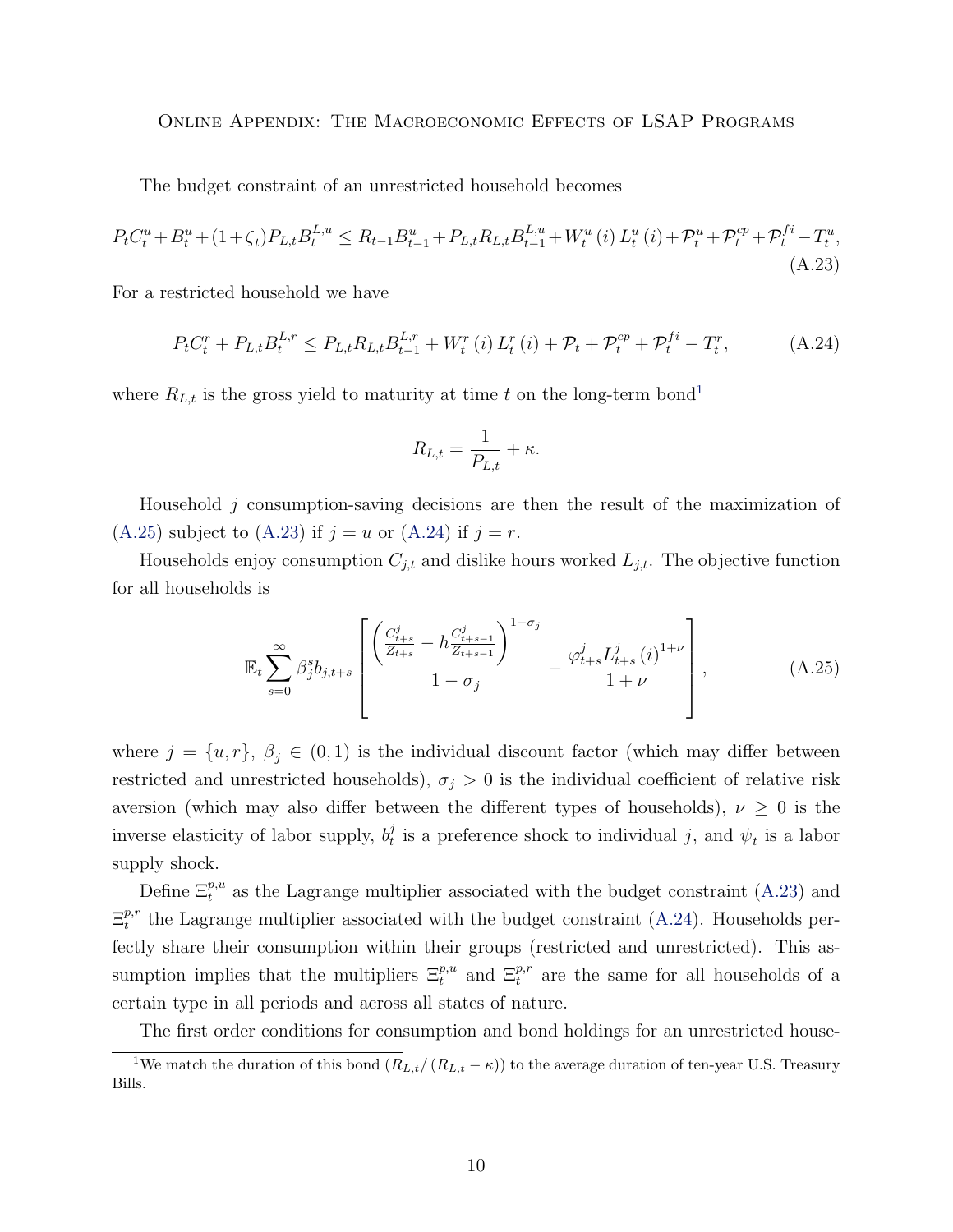The budget constraint of an unrestricted household becomes

<span id="page-9-2"></span>
$$
P_{t}C_{t}^{u} + B_{t}^{u} + (1 + \zeta_{t})P_{L,t}B_{t}^{L,u} \leq R_{t-1}B_{t-1}^{u} + P_{L,t}R_{L,t}B_{t-1}^{L,u} + W_{t}^{u}(i) L_{t}^{u}(i) + \mathcal{P}_{t}^{u} + \mathcal{P}_{t}^{cp} + \mathcal{P}_{t}^{fi} - T_{t}^{u},
$$
\n(A.23)

For a restricted household we have

<span id="page-9-3"></span>
$$
P_{t}C_{t}^{r} + P_{L,t}B_{t}^{L,r} \le P_{L,t}R_{L,t}B_{t-1}^{L,r} + W_{t}^{r}(i) L_{t}^{r}(i) + \mathcal{P}_{t} + \mathcal{P}_{t}^{cp} + \mathcal{P}_{t}^{fi} - T_{t}^{r}, \tag{A.24}
$$

where  $R_{L,t}$  is the gross yield to maturity at time t on the long-term bond<sup>[1](#page-9-0)</sup>

$$
R_{L,t} = \frac{1}{P_{L,t}} + \kappa.
$$

Household j consumption-saving decisions are then the result of the maximization of  $(A.25)$  subject to  $(A.23)$  if  $j = u$  or  $(A.24)$  if  $j = r$ .

Households enjoy consumption  $C_{j,t}$  and dislike hours worked  $L_{j,t}$ . The objective function for all households is

<span id="page-9-1"></span>
$$
\mathbb{E}_{t} \sum_{s=0}^{\infty} \beta_{j}^{s} b_{j,t+s} \left[ \frac{\left(\frac{C_{t+s}^{j}}{Z_{t+s}} - h\frac{C_{t+s-1}^{j}}{Z_{t+s-1}}\right)^{1-\sigma_{j}}}{1-\sigma_{j}} - \frac{\varphi_{t+s}^{j} L_{t+s}^{j} (i)^{1+\nu}}{1+\nu} \right], \tag{A.25}
$$

where  $j = \{u, r\}, \beta_j \in (0, 1)$  is the individual discount factor (which may differ between restricted and unrestricted households),  $\sigma_j > 0$  is the individual coefficient of relative risk aversion (which may also differ between the different types of households),  $\nu \geq 0$  is the inverse elasticity of labor supply,  $b_t^j$  $\mathcal{U}_t$  is a preference shock to individual j, and  $\psi_t$  is a labor supply shock.

Define  $\Xi_t^{p,u}$  as the Lagrange multiplier associated with the budget constraint [\(A.23\)](#page-9-2) and  $\Xi^{p,r}_t$  $t^{p,r}$  the Lagrange multiplier associated with the budget constraint [\(A.24\)](#page-9-3). Households perfectly share their consumption within their groups (restricted and unrestricted). This assumption implies that the multipliers  $\Xi_t^{p,u}$  and  $\Xi_t^{p,r}$  are the same for all households of a certain type in all periods and across all states of nature.

<span id="page-9-0"></span>The first order conditions for consumption and bond holdings for an unrestricted house-

<sup>&</sup>lt;sup>1</sup>We match the duration of this bond  $(R_{L,t}/(R_{L,t} - \kappa))$  to the average duration of ten-year U.S. Treasury Bills.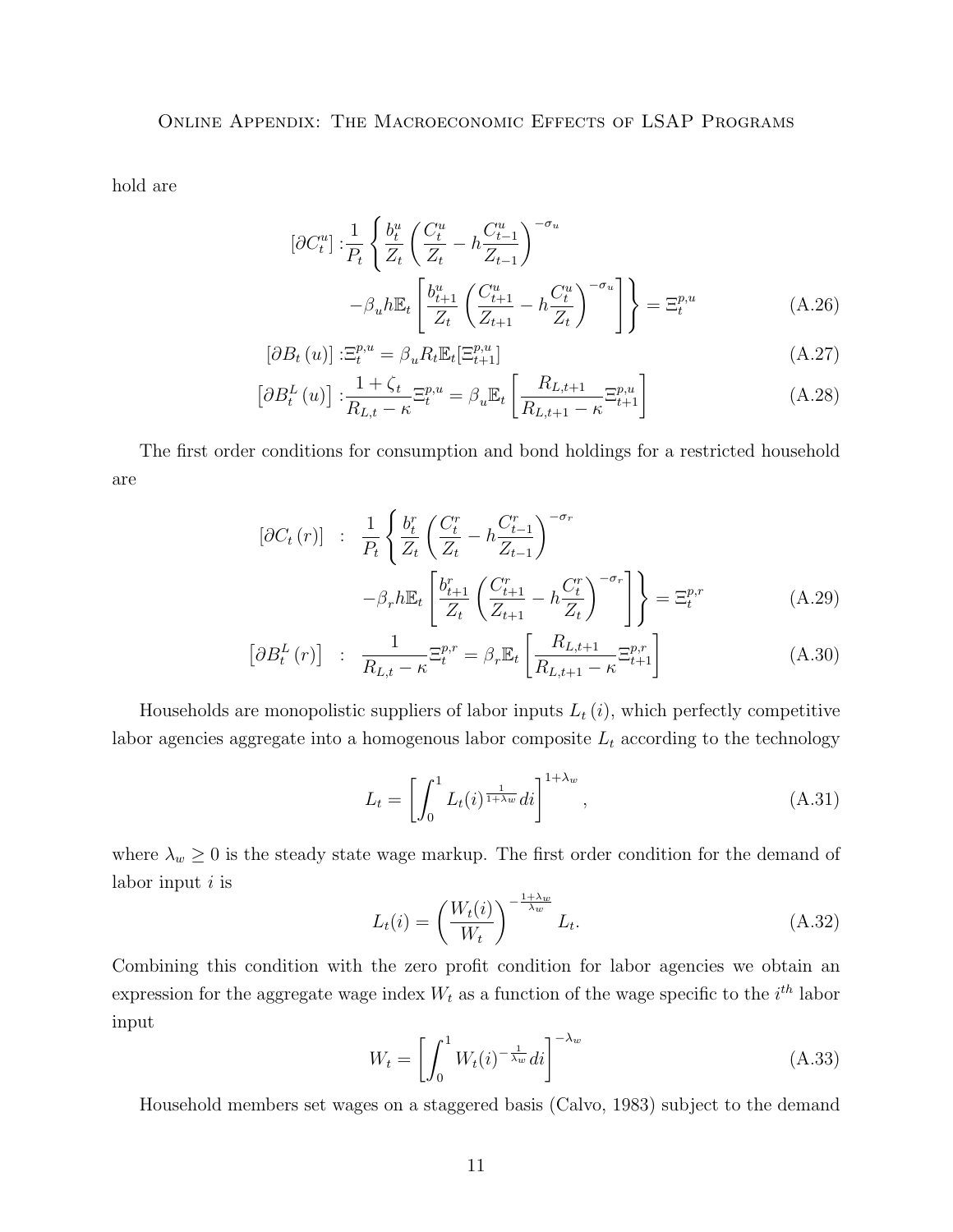hold are

$$
\left[\partial C_t^u\right] : \frac{1}{P_t} \left\{ \frac{b_t^u}{Z_t} \left( \frac{C_t^u}{Z_t} - h \frac{C_{t-1}^u}{Z_{t-1}} \right)^{-\sigma_u} -\beta_u h \mathbb{E}_t \left[ \frac{b_{t+1}^u}{Z_t} \left( \frac{C_{t+1}^u}{Z_{t+1}} - h \frac{C_t^u}{Z_t} \right)^{-\sigma_u} \right] \right\} = \Xi_t^{p,u}
$$
\n(A.26)

$$
\left[\partial B_t\left(u\right)\right] :\Xi_t^{p,u} = \beta_u R_t \mathbb{E}_t[\Xi_{t+1}^{p,u}] \tag{A.27}
$$

$$
\left[\partial B_t^L\left(u\right)\right] : \frac{1+\zeta_t}{R_{L,t}-\kappa} \Xi_t^{p,u} = \beta_u \mathbb{E}_t \left[\frac{R_{L,t+1}}{R_{L,t+1}-\kappa} \Xi_{t+1}^{p,u}\right]
$$
\n(A.28)

The first order conditions for consumption and bond holdings for a restricted household are

$$
\begin{aligned}\n\left[\partial C_t\left(r\right)\right] & \div \frac{1}{P_t} \left\{ \frac{b_t^r}{Z_t} \left(\frac{C_t^r}{Z_t} - h \frac{C_{t-1}^r}{Z_{t-1}}\right)^{-\sigma_r} \right. \\
&\left. - \beta_r h \mathbb{E}_t \left[\frac{b_{t+1}^r}{Z_t} \left(\frac{C_{t+1}^r}{Z_{t+1}} - h \frac{C_t^r}{Z_t}\right)^{-\sigma_r}\right] \right\} = \Xi_t^{p,r} \n\end{aligned} \tag{A.29}
$$

$$
\left[\partial B_t^L\left(r\right)\right] \quad : \quad \frac{1}{R_{L,t} - \kappa} \Xi_t^{p,r} = \beta_r \mathbb{E}_t \left[\frac{R_{L,t+1}}{R_{L,t+1} - \kappa} \Xi_{t+1}^{p,r}\right] \tag{A.30}
$$

Households are monopolistic suppliers of labor inputs  $L_t(i)$ , which perfectly competitive labor agencies aggregate into a homogenous labor composite  $L_t$  according to the technology

$$
L_t = \left[ \int_0^1 L_t(i)^{\frac{1}{1+\lambda_w}} di \right]^{1+\lambda_w}, \tag{A.31}
$$

where  $\lambda_w \geq 0$  is the steady state wage markup. The first order condition for the demand of labor input  $i$  is

<span id="page-10-0"></span>
$$
L_t(i) = \left(\frac{W_t(i)}{W_t}\right)^{-\frac{1+\lambda w}{\lambda_w}} L_t.
$$
\n(A.32)

Combining this condition with the zero profit condition for labor agencies we obtain an expression for the aggregate wage index  $W_t$  as a function of the wage specific to the  $i^{th}$  labor input

<span id="page-10-1"></span>
$$
W_t = \left[ \int_0^1 W_t(i)^{-\frac{1}{\lambda_w}} di \right]^{-\lambda_w}
$$
\n(A.33)

Household members set wages on a staggered basis (Calvo, 1983) subject to the demand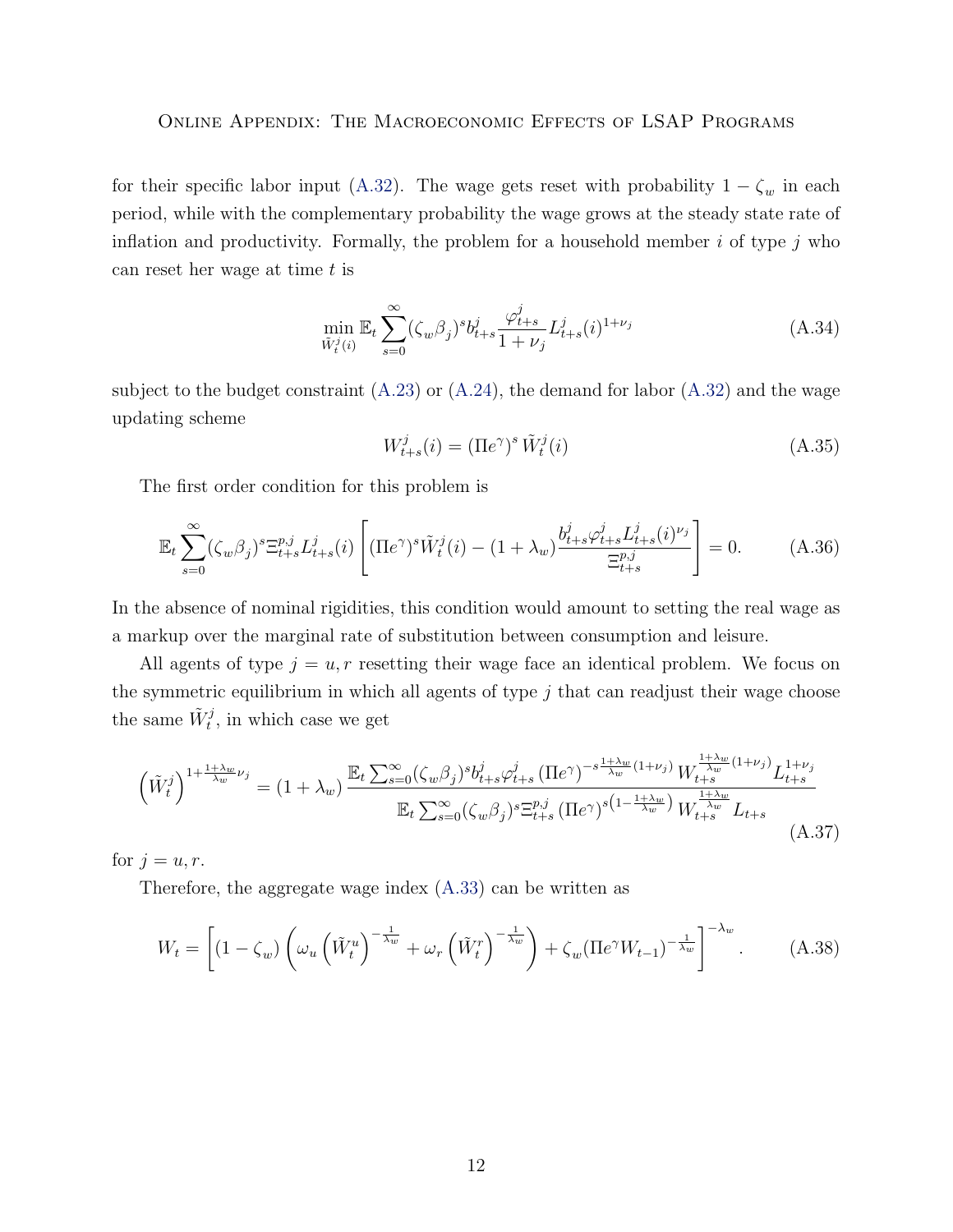for their specific labor input [\(A.32\)](#page-10-0). The wage gets reset with probability  $1 - \zeta_w$  in each period, while with the complementary probability the wage grows at the steady state rate of inflation and productivity. Formally, the problem for a household member  $i$  of type  $j$  who can reset her wage at time t is

$$
\min_{\tilde{W}_t^j(i)} \mathbb{E}_t \sum_{s=0}^{\infty} (\zeta_w \beta_j)^s b_{t+s}^j \frac{\varphi_{t+s}^j}{1+\nu_j} L_{t+s}^j(i)^{1+\nu_j} \tag{A.34}
$$

subject to the budget constraint  $(A.23)$  or  $(A.24)$ , the demand for labor  $(A.32)$  and the wage updating scheme

$$
W_{t+s}^j(i) = (\Pi e^{\gamma})^s \tilde{W}_t^j(i)
$$
\n(A.35)

The first order condition for this problem is

$$
\mathbb{E}_{t} \sum_{s=0}^{\infty} (\zeta_{w} \beta_{j})^{s} \Xi_{t+s}^{p,j} L_{t+s}^{j}(i) \left[ (\Pi e^{\gamma})^{s} \tilde{W}_{t}^{j}(i) - (1 + \lambda_{w}) \frac{b_{t+s}^{j} \varphi_{t+s}^{j} L_{t+s}^{j}(i)^{\nu_{j}}}{\Xi_{t+s}^{p,j}} \right] = 0.
$$
 (A.36)

In the absence of nominal rigidities, this condition would amount to setting the real wage as a markup over the marginal rate of substitution between consumption and leisure.

All agents of type  $j = u, r$  resetting their wage face an identical problem. We focus on the symmetric equilibrium in which all agents of type  $j$  that can readjust their wage choose the same  $\tilde{W}_t^j$ , in which case we get

$$
\left(\tilde{W}_{t}^{j}\right)^{1+\frac{1+\lambda_{w}}{\lambda_{w}}\nu_{j}} = (1+\lambda_{w}) \frac{\mathbb{E}_{t} \sum_{s=0}^{\infty} (\zeta_{w}\beta_{j})^{s} b_{t+s}^{j} \varphi_{t+s}^{j} (\Pi e^{\gamma})^{-s\frac{1+\lambda_{w}}{\lambda_{w}}(1+\nu_{j})} W_{t+s}^{\frac{1+\lambda_{w}}{\lambda_{w}}(1+\nu_{j})} L_{t+s}^{1+\nu_{j}}}{\mathbb{E}_{t} \sum_{s=0}^{\infty} (\zeta_{w}\beta_{j})^{s} \Xi_{t+s}^{p,j} (\Pi e^{\gamma})^{s\left(1-\frac{1+\lambda_{w}}{\lambda_{w}}\right)} W_{t+s}^{\frac{1+\lambda_{w}}{\lambda_{w}}} L_{t+s}} (A.37)
$$

for  $j = u, r$ .

Therefore, the aggregate wage index [\(A.33\)](#page-10-1) can be written as

$$
W_t = \left[ (1 - \zeta_w) \left( \omega_u \left( \tilde{W}_t^u \right)^{-\frac{1}{\lambda_w}} + \omega_r \left( \tilde{W}_t^r \right)^{-\frac{1}{\lambda_w}} \right) + \zeta_w (\Pi e^{\gamma} W_{t-1})^{-\frac{1}{\lambda_w}} \right]^{-\lambda_w} . \tag{A.38}
$$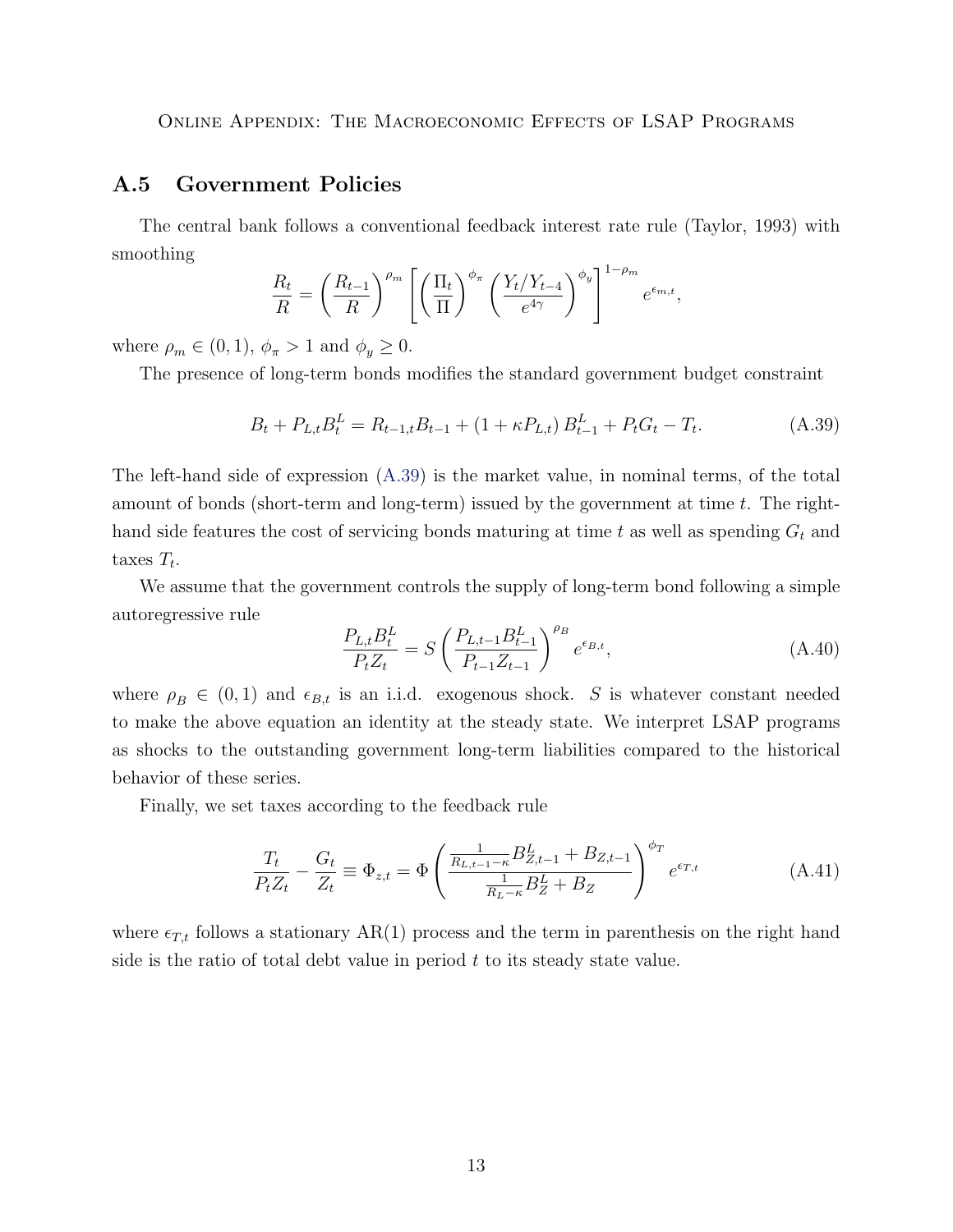#### <span id="page-12-0"></span>A.5 Government Policies

The central bank follows a conventional feedback interest rate rule (Taylor, 1993) with smoothing

$$
\frac{R_t}{R} = \left(\frac{R_{t-1}}{R}\right)^{\rho_m} \left[ \left(\frac{\Pi_t}{\Pi}\right)^{\phi_{\pi}} \left(\frac{Y_t/Y_{t-4}}{e^{4\gamma}}\right)^{\phi_y} \right]^{1-\rho_m} e^{\epsilon_{m,t}},
$$

where  $\rho_m \in (0,1)$ ,  $\phi_{\pi} > 1$  and  $\phi_y \geq 0$ .

The presence of long-term bonds modifies the standard government budget constraint

<span id="page-12-1"></span>
$$
B_t + P_{L,t} B_t^L = R_{t-1,t} B_{t-1} + (1 + \kappa P_{L,t}) B_{t-1}^L + P_t G_t - T_t.
$$
 (A.39)

The left-hand side of expression [\(A.39\)](#page-12-1) is the market value, in nominal terms, of the total amount of bonds (short-term and long-term) issued by the government at time  $t$ . The righthand side features the cost of servicing bonds maturing at time t as well as spending  $G_t$  and taxes  $T_t$ .

We assume that the government controls the supply of long-term bond following a simple autoregressive rule

$$
\frac{P_{L,t}B_t^L}{P_t Z_t} = S \left(\frac{P_{L,t-1}B_{t-1}^L}{P_{t-1}Z_{t-1}}\right)^{\rho_B} e^{\epsilon_{B,t}},\tag{A.40}
$$

where  $\rho_B \in (0,1)$  and  $\epsilon_{B,t}$  is an i.i.d. exogenous shock. S is whatever constant needed to make the above equation an identity at the steady state. We interpret LSAP programs as shocks to the outstanding government long-term liabilities compared to the historical behavior of these series.

Finally, we set taxes according to the feedback rule

$$
\frac{T_t}{P_t Z_t} - \frac{G_t}{Z_t} \equiv \Phi_{z,t} = \Phi \left( \frac{\frac{1}{R_{L,t-1} - \kappa} B_{Z,t-1}^L + B_{Z,t-1}}{\frac{1}{R_L - \kappa} B_Z^L + B_Z} \right)^{\phi_T} e^{\epsilon_{T,t}}
$$
(A.41)

where  $\epsilon_{T,t}$  follows a stationary AR(1) process and the term in parenthesis on the right hand side is the ratio of total debt value in period  $t$  to its steady state value.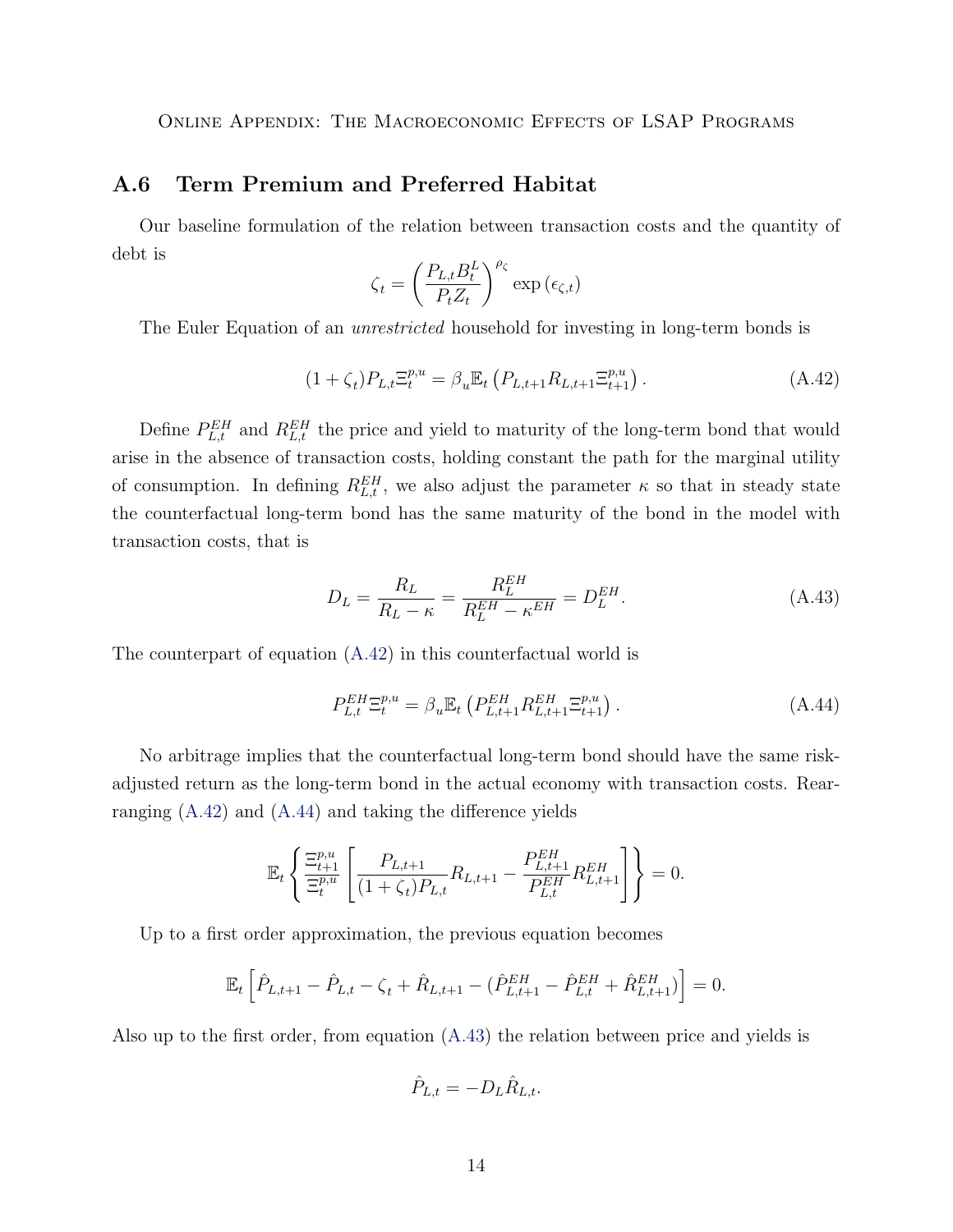## <span id="page-13-0"></span>A.6 Term Premium and Preferred Habitat

Our baseline formulation of the relation between transaction costs and the quantity of debt is

$$
\zeta_t = \left(\frac{P_{L,t}B_t^L}{P_t Z_t}\right)^{\rho_{\zeta}} \exp\left(\epsilon_{\zeta,t}\right)
$$

The Euler Equation of an *unrestricted* household for investing in long-term bonds is

<span id="page-13-1"></span>
$$
(1 + \zeta_t) P_{L,t} \Xi_t^{p,u} = \beta_u \mathbb{E}_t \left( P_{L,t+1} R_{L,t+1} \Xi_{t+1}^{p,u} \right). \tag{A.42}
$$

Define  $P_{L,t}^{EH}$  and  $R_{L,t}^{EH}$  the price and yield to maturity of the long-term bond that would arise in the absence of transaction costs, holding constant the path for the marginal utility of consumption. In defining  $R_{L,t}^{EH}$ , we also adjust the parameter  $\kappa$  so that in steady state the counterfactual long-term bond has the same maturity of the bond in the model with transaction costs, that is

<span id="page-13-3"></span>
$$
D_L = \frac{R_L}{R_L - \kappa} = \frac{R_L^{EH}}{R_L^{EH} - \kappa^{EH}} = D_L^{EH}.
$$
 (A.43)

The counterpart of equation [\(A.42\)](#page-13-1) in this counterfactual world is

<span id="page-13-2"></span>
$$
P_{L,t}^{EH} \Xi_t^{p,u} = \beta_u \mathbb{E}_t \left( P_{L,t+1}^{EH} R_{L,t+1}^{EH} \Xi_{t+1}^{p,u} \right). \tag{A.44}
$$

No arbitrage implies that the counterfactual long-term bond should have the same riskadjusted return as the long-term bond in the actual economy with transaction costs. Rearranging [\(A.42\)](#page-13-1) and [\(A.44\)](#page-13-2) and taking the difference yields

$$
\mathbb{E}_t \left\{ \frac{\Xi_{t+1}^{p,u}}{\Xi_t^{p,u}} \left[ \frac{P_{L,t+1}}{(1+\zeta_t)P_{L,t}} R_{L,t+1} - \frac{P_{L,t+1}^{EH}}{P_{L,t}^{EH}} R_{L,t+1}^{EH} \right] \right\} = 0.
$$

Up to a first order approximation, the previous equation becomes

$$
\mathbb{E}_t \left[ \hat{P}_{L,t+1} - \hat{P}_{L,t} - \zeta_t + \hat{R}_{L,t+1} - (\hat{P}_{L,t+1}^{EH} - \hat{P}_{L,t}^{EH} + \hat{R}_{L,t+1}^{EH}) \right] = 0.
$$

Also up to the first order, from equation [\(A.43\)](#page-13-3) the relation between price and yields is

$$
\hat{P}_{L,t} = -D_L \hat{R}_{L,t}.
$$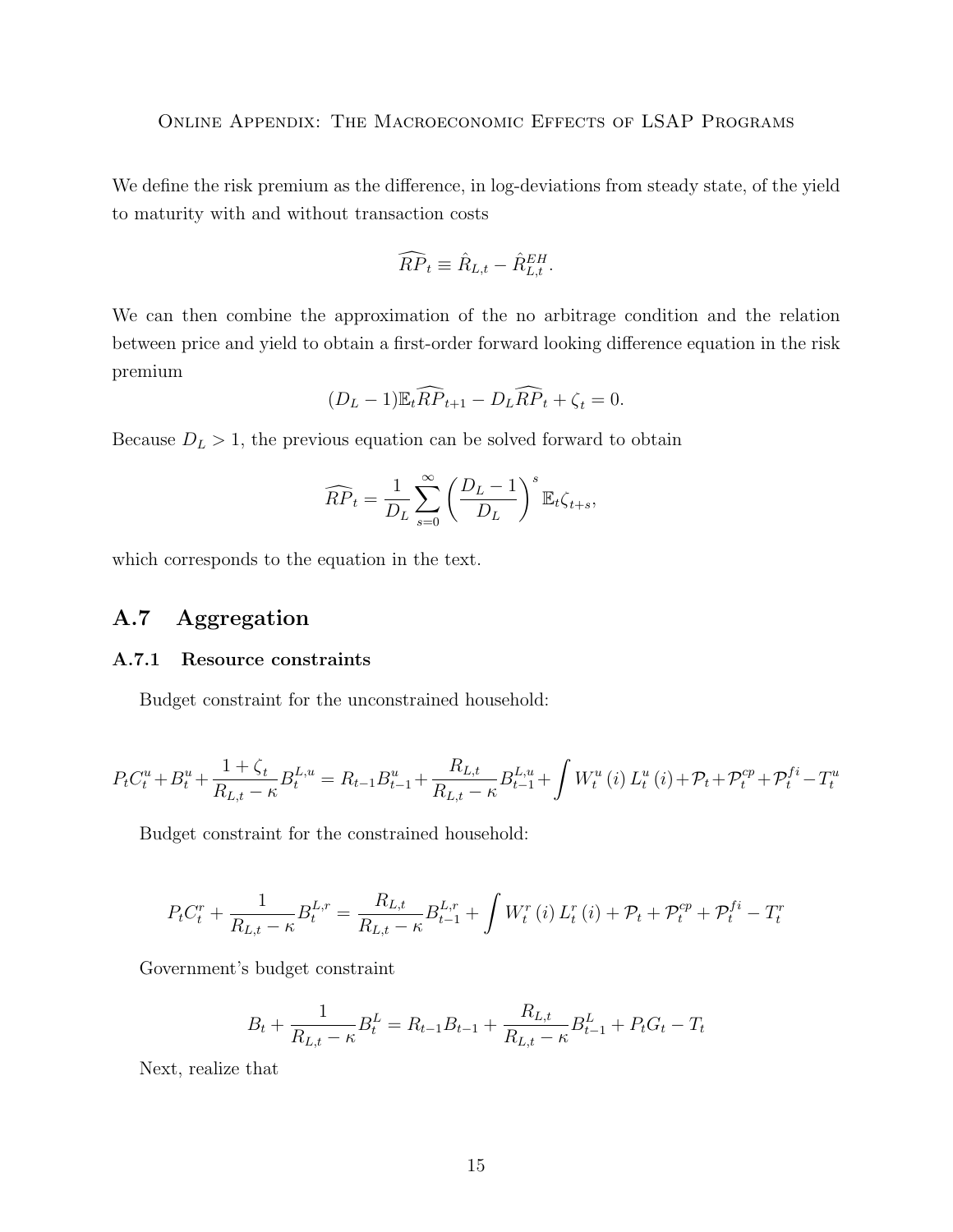We define the risk premium as the difference, in log-deviations from steady state, of the yield to maturity with and without transaction costs

$$
\widehat{RP}_t \equiv \widehat{R}_{L,t} - \widehat{R}_{L,t}^{EH}.
$$

We can then combine the approximation of the no arbitrage condition and the relation between price and yield to obtain a first-order forward looking difference equation in the risk premium

$$
(D_L - 1)\mathbb{E}_t \widehat{RP}_{t+1} - D_L \widehat{RP}_t + \zeta_t = 0.
$$

Because  $D<sub>L</sub> > 1$ , the previous equation can be solved forward to obtain

$$
\widehat{RP}_t = \frac{1}{D_L} \sum_{s=0}^{\infty} \left( \frac{D_L - 1}{D_L} \right)^s \mathbb{E}_t \zeta_{t+s},
$$

which corresponds to the equation in the text.

## <span id="page-14-0"></span>A.7 Aggregation

#### <span id="page-14-1"></span>A.7.1 Resource constraints

Budget constraint for the unconstrained household:

$$
P_{t}C_{t}^{u} + B_{t}^{u} + \frac{1+\zeta_{t}}{R_{L,t} - \kappa}B_{t}^{L,u} = R_{t-1}B_{t-1}^{u} + \frac{R_{L,t}}{R_{L,t} - \kappa}B_{t-1}^{L,u} + \int W_{t}^{u}(i) L_{t}^{u}(i) + \mathcal{P}_{t} + \mathcal{P}_{t}^{cp} + \mathcal{P}_{t}^{fi} - T_{t}^{u}
$$

Budget constraint for the constrained household:

$$
P_{t}C_{t}^{r} + \frac{1}{R_{L,t} - \kappa}B_{t}^{L,r} = \frac{R_{L,t}}{R_{L,t} - \kappa}B_{t-1}^{L,r} + \int W_{t}^{r}(i) L_{t}^{r}(i) + \mathcal{P}_{t} + \mathcal{P}_{t}^{cp} + \mathcal{P}_{t}^{fi} - T_{t}^{r}
$$

Government's budget constraint

$$
B_t + \frac{1}{R_{L,t} - \kappa} B_t^L = R_{t-1} B_{t-1} + \frac{R_{L,t}}{R_{L,t} - \kappa} B_{t-1}^L + P_t G_t - T_t
$$

Next, realize that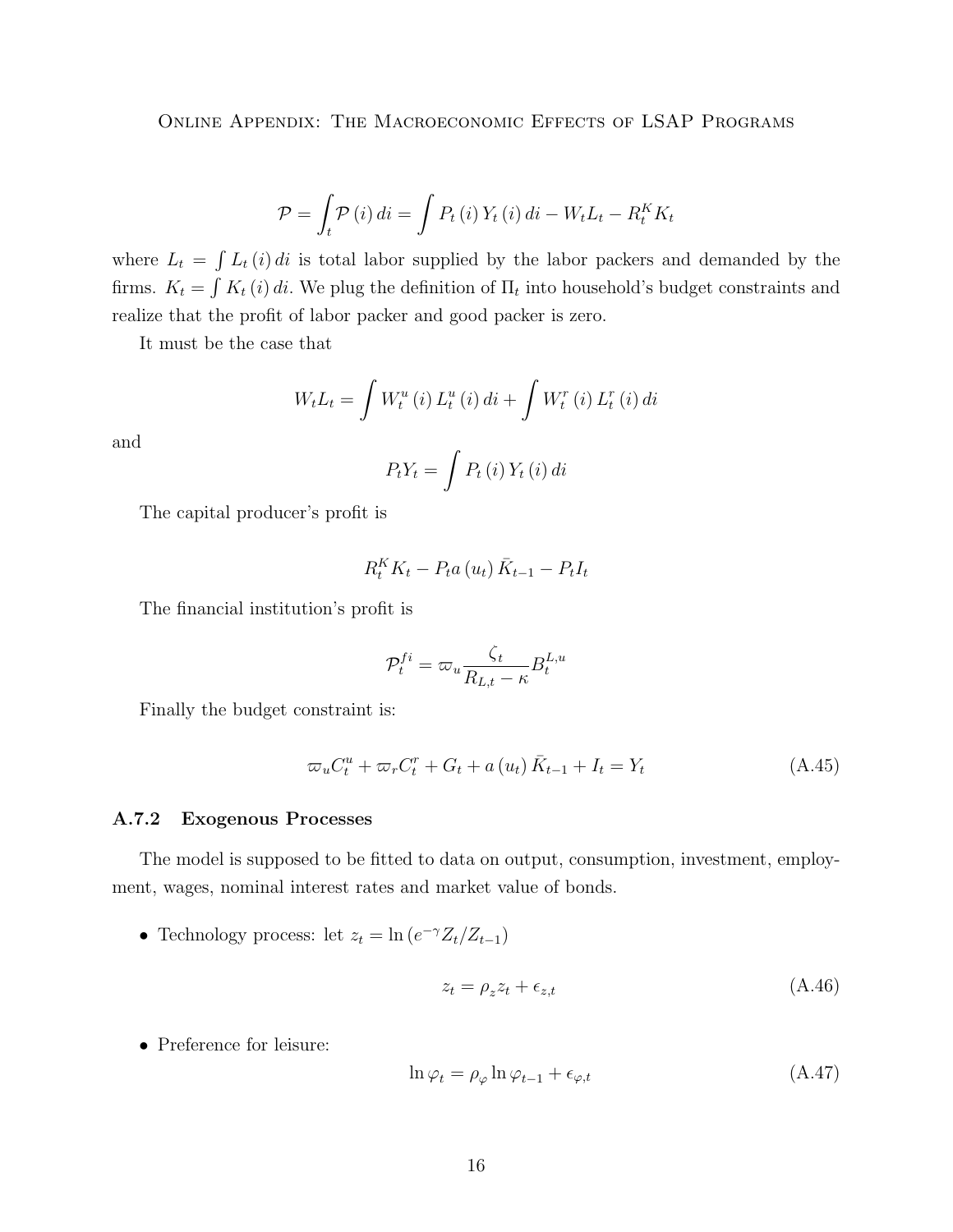$$
\mathcal{P} = \int_t \mathcal{P}(i) \, di = \int P_t(i) \, Y_t(i) \, di - W_t L_t - R_t^K K_t
$$

where  $L_t = \int L_t(i) di$  is total labor supplied by the labor packers and demanded by the firms.  $K_t = \int K_t(i) di$ . We plug the definition of  $\Pi_t$  into household's budget constraints and realize that the profit of labor packer and good packer is zero.

It must be the case that

$$
W_{t}L_{t} = \int W_{t}^{u}(i) L_{t}^{u}(i) di + \int W_{t}^{r}(i) L_{t}^{r}(i) di
$$

and

$$
P_t Y_t = \int P_t \left( i \right) Y_t \left( i \right) dt
$$

The capital producer's profit is

$$
R_t^K K_t - P_t a(u_t) \bar{K}_{t-1} - P_t I_t
$$

The financial institution's profit is

$$
\mathcal{P}_t^{fi} = \varpi_u \frac{\zeta_t}{R_{L,t} - \kappa} B_t^{L,u}
$$

Finally the budget constraint is:

$$
\varpi_u C_t^u + \varpi_r C_t^r + G_t + a(u_t) \bar{K}_{t-1} + I_t = Y_t
$$
\n(A.45)

#### <span id="page-15-0"></span>A.7.2 Exogenous Processes

The model is supposed to be fitted to data on output, consumption, investment, employment, wages, nominal interest rates and market value of bonds.

• Technology process: let  $z_t = \ln(e^{-\gamma} Z_t/Z_{t-1})$ 

$$
z_t = \rho_z z_t + \epsilon_{z,t} \tag{A.46}
$$

• Preference for leisure:

$$
\ln \varphi_t = \rho_\varphi \ln \varphi_{t-1} + \epsilon_{\varphi, t} \tag{A.47}
$$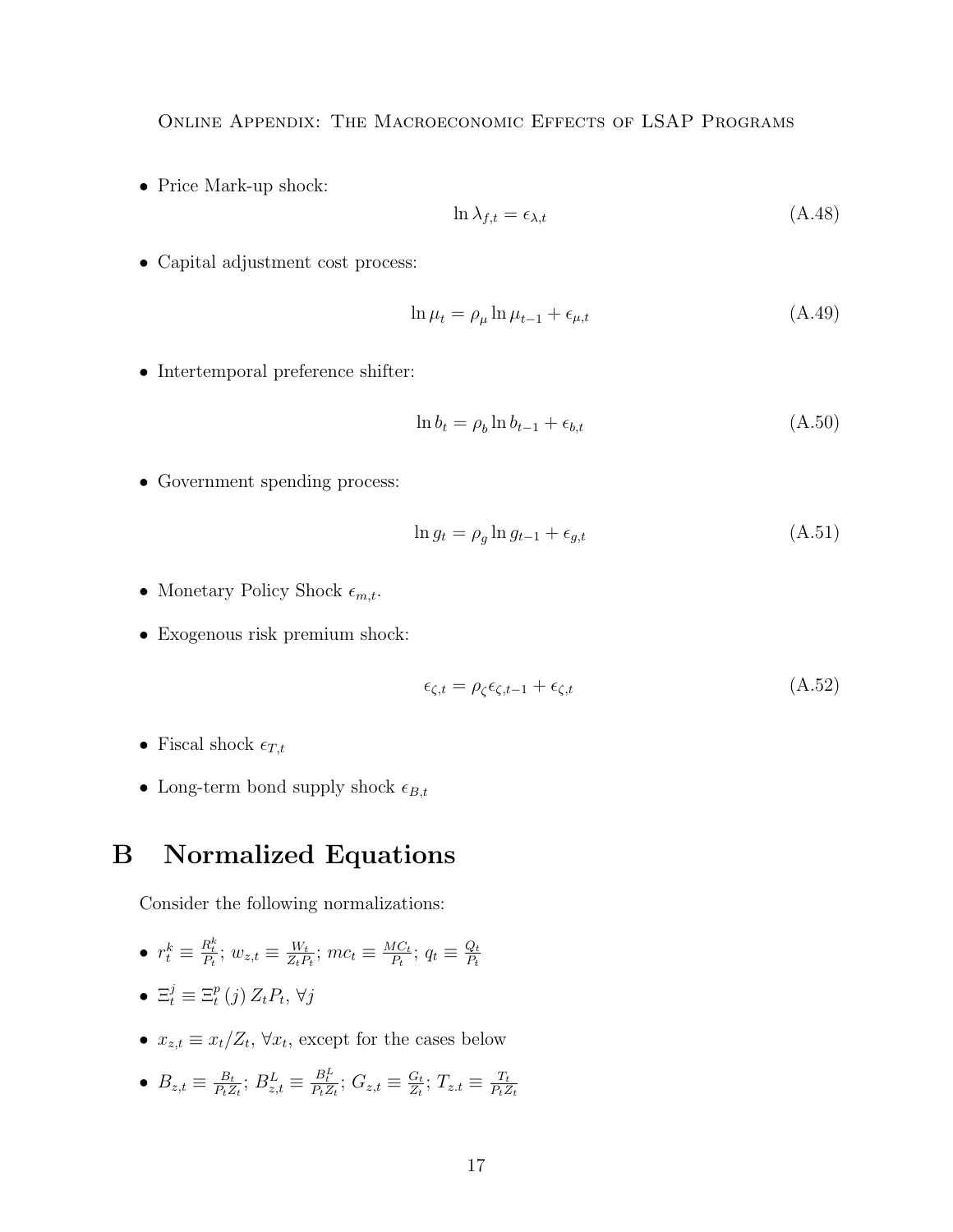• Price Mark-up shock:

$$
\ln \lambda_{f,t} = \epsilon_{\lambda,t} \tag{A.48}
$$

• Capital adjustment cost process:

$$
\ln \mu_t = \rho_\mu \ln \mu_{t-1} + \epsilon_{\mu, t} \tag{A.49}
$$

• Intertemporal preference shifter:

$$
\ln b_t = \rho_b \ln b_{t-1} + \epsilon_{b,t} \tag{A.50}
$$

• Government spending process:

$$
\ln g_t = \rho_g \ln g_{t-1} + \epsilon_{g,t} \tag{A.51}
$$

- Monetary Policy Shock  $\epsilon_{m,t}$ .
- Exogenous risk premium shock:

$$
\epsilon_{\zeta,t} = \rho_{\zeta}\epsilon_{\zeta,t-1} + \epsilon_{\zeta,t} \tag{A.52}
$$

- Fiscal shock  $\epsilon_{T,t}$
- Long-term bond supply shock  $\epsilon_{B,t}$

# <span id="page-16-0"></span>B Normalized Equations

Consider the following normalizations:

• 
$$
r_t^k \equiv \frac{R_t^k}{P_t}
$$
;  $w_{z,t} \equiv \frac{W_t}{Z_t P_t}$ ;  $mc_t \equiv \frac{MC_t}{P_t}$ ;  $q_t \equiv \frac{Q_t}{P_t}$ 

• 
$$
\Xi_t^j \equiv \Xi_t^p(j) Z_t P_t, \forall j
$$

•  $x_{z,t} \equiv x_t/Z_t$ ,  $\forall x_t$ , except for the cases below

• 
$$
B_{z,t} \equiv \frac{B_t}{P_t Z_t}; B_{z,t}^L \equiv \frac{B_t^L}{P_t Z_t}; G_{z,t} \equiv \frac{G_t}{Z_t}; T_{z,t} \equiv \frac{T_t}{P_t Z_t}
$$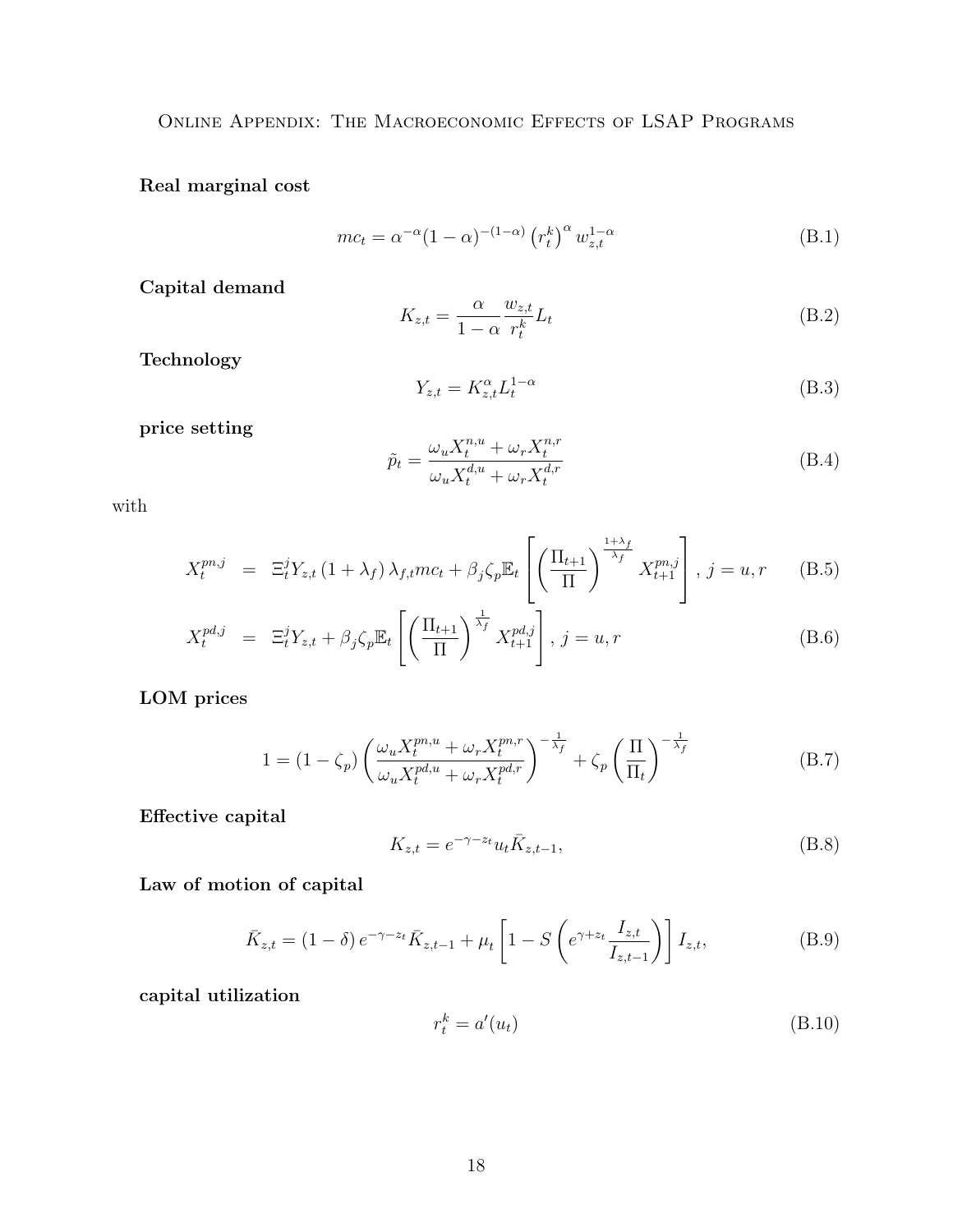Real marginal cost

$$
mc_t = \alpha^{-\alpha} (1 - \alpha)^{-(1 - \alpha)} (r_t^k)^{\alpha} w_{z,t}^{1 - \alpha}
$$
 (B.1)

Capital demand

$$
K_{z,t} = \frac{\alpha}{1 - \alpha} \frac{w_{z,t}}{r_t^k} L_t
$$
\n(B.2)

Technology

$$
Y_{z,t} = K_{z,t}^{\alpha} L_t^{1-\alpha}
$$
 (B.3)

price setting

$$
\tilde{p}_t = \frac{\omega_u X_t^{n,u} + \omega_r X_t^{n,r}}{\omega_u X_t^{d,u} + \omega_r X_t^{d,r}}
$$
\n(B.4)

with

$$
X_t^{pn,j} = \Xi_t^j Y_{z,t} \left(1 + \lambda_f\right) \lambda_{f,t} mc_t + \beta_j \zeta_p \mathbb{E}_t \left[ \left(\frac{\Pi_{t+1}}{\Pi}\right)^{\frac{1+\lambda_f}{\lambda_f}} X_{t+1}^{pn,j} \right], j = u, r \quad (B.5)
$$

$$
X_t^{pd,j} = \Xi_t^j Y_{z,t} + \beta_j \zeta_p \mathbb{E}_t \left[ \left( \frac{\Pi_{t+1}}{\Pi} \right)^{\frac{1}{\lambda_f}} X_{t+1}^{pd,j} \right], j = u, r \tag{B.6}
$$

LOM prices

$$
1 = (1 - \zeta_p) \left( \frac{\omega_u X_t^{pn, u} + \omega_r X_t^{pn, r}}{\omega_u X_t^{pd, u} + \omega_r X_t^{pd, r}} \right)^{-\frac{1}{\lambda_f}} + \zeta_p \left( \frac{\Pi}{\Pi_t} \right)^{-\frac{1}{\lambda_f}}
$$
(B.7)

Effective capital

$$
K_{z,t} = e^{-\gamma - z_t} u_t \bar{K}_{z,t-1},
$$
\n(B.8)

Law of motion of capital

$$
\bar{K}_{z,t} = (1 - \delta) e^{-\gamma - z_t} \bar{K}_{z,t-1} + \mu_t \left[ 1 - S \left( e^{\gamma + z_t} \frac{I_{z,t}}{I_{z,t-1}} \right) \right] I_{z,t}, \tag{B.9}
$$

capital utilization

$$
r_t^k = a'(u_t) \tag{B.10}
$$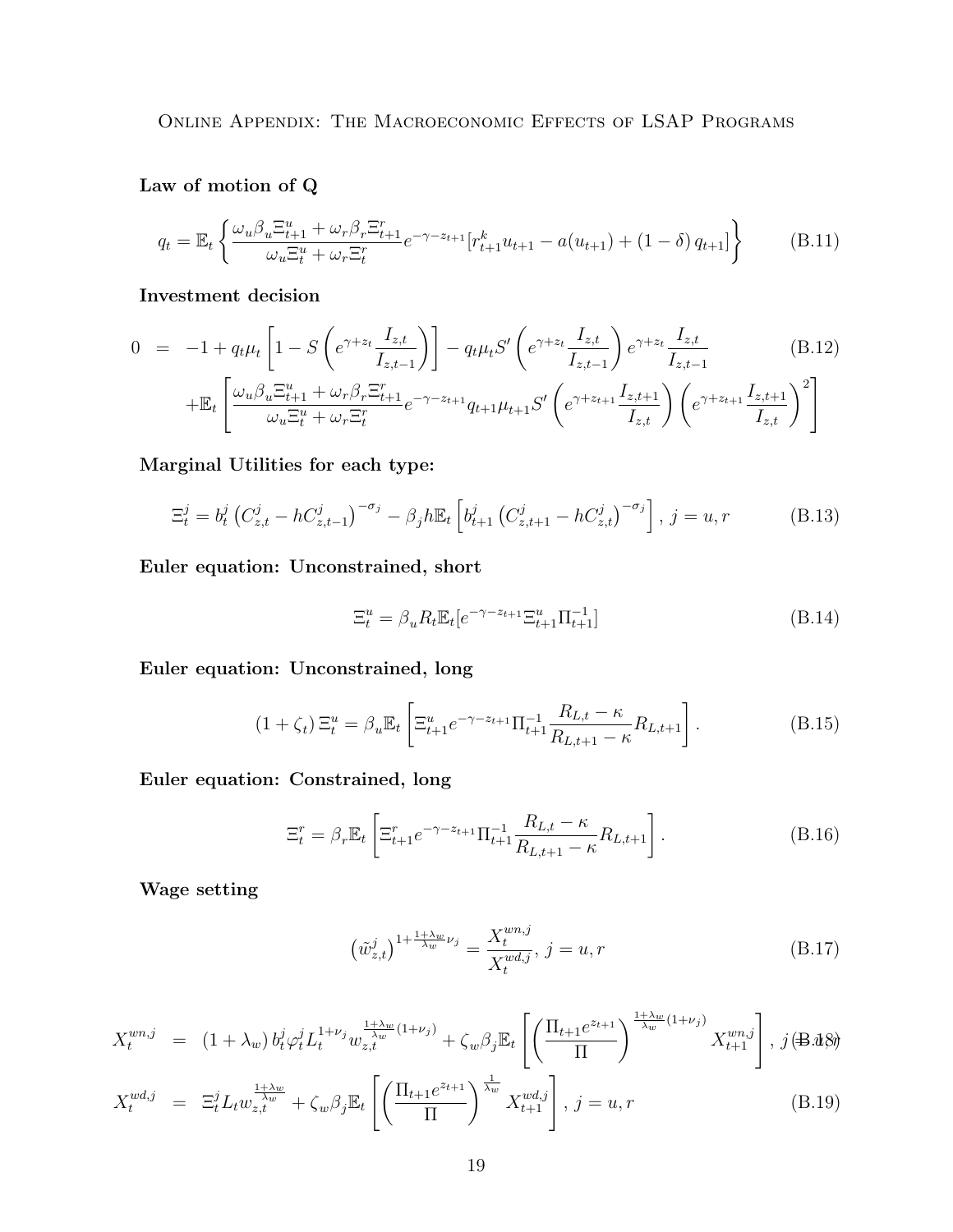Law of motion of Q

$$
q_{t} = \mathbb{E}_{t} \left\{ \frac{\omega_{u} \beta_{u} \Xi_{t+1}^{u} + \omega_{r} \beta_{r} \Xi_{t+1}^{r}}{\omega_{u} \Xi_{t}^{u} + \omega_{r} \Xi_{t}^{r}} e^{-\gamma - z_{t+1}} [r_{t+1}^{k} u_{t+1} - a(u_{t+1}) + (1 - \delta) q_{t+1}] \right\}
$$
(B.11)

Investment decision

$$
0 = -1 + q_t \mu_t \left[ 1 - S \left( e^{\gamma + z_t} \frac{I_{z,t}}{I_{z,t-1}} \right) \right] - q_t \mu_t S' \left( e^{\gamma + z_t} \frac{I_{z,t}}{I_{z,t-1}} \right) e^{\gamma + z_t} \frac{I_{z,t}}{I_{z,t-1}} + \mathbb{E}_t \left[ \frac{\omega_u \beta_u \Xi_{t+1}^u + \omega_r \beta_r \Xi_{t+1}^r}{\omega_u \Xi_t^u + \omega_r \Xi_t^r} e^{-\gamma - z_{t+1}} q_{t+1} \mu_{t+1} S' \left( e^{\gamma + z_{t+1}} \frac{I_{z,t+1}}{I_{z,t}} \right) \left( e^{\gamma + z_{t+1}} \frac{I_{z,t+1}}{I_{z,t}} \right)^2 \right]
$$
\n(B.12)

Marginal Utilities for each type:

$$
\Xi_t^j = b_t^j \left( C_{z,t}^j - h C_{z,t-1}^j \right)^{-\sigma_j} - \beta_j h \mathbb{E}_t \left[ b_{t+1}^j \left( C_{z,t+1}^j - h C_{z,t}^j \right)^{-\sigma_j} \right], j = u, r \tag{B.13}
$$

Euler equation: Unconstrained, short

$$
\Xi_t^u = \beta_u R_t \mathbb{E}_t[e^{-\gamma - z_{t+1}} \Xi_{t+1}^u \Pi_{t+1}^{-1}]
$$
\n(B.14)

Euler equation: Unconstrained, long

$$
(1 + \zeta_t) \Xi_t^u = \beta_u \mathbb{E}_t \left[ \Xi_{t+1}^u e^{-\gamma - z_{t+1}} \Pi_{t+1}^{-1} \frac{R_{L,t} - \kappa}{R_{L,t+1} - \kappa} R_{L,t+1} \right].
$$
 (B.15)

Euler equation: Constrained, long

$$
\Xi_t^r = \beta_r \mathbb{E}_t \left[ \Xi_{t+1}^r e^{-\gamma - z_{t+1}} \Pi_{t+1}^{-1} \frac{R_{L,t} - \kappa}{R_{L,t+1} - \kappa} R_{L,t+1} \right]. \tag{B.16}
$$

Wage setting

$$
\left(\tilde{w}_{z,t}^j\right)^{1+\frac{1+\lambda_w}{\lambda_w}\nu_j} = \frac{X_t^{wn,j}}{X_t^{wd,j}}, \ j = u, r \tag{B.17}
$$

$$
X_t^{wn,j} = (1 + \lambda_w) b_t^j \varphi_t^j L_t^{1 + \nu_j} w_{z,t}^{\frac{1 + \lambda_w}{\lambda_w} (1 + \nu_j)} + \zeta_w \beta_j \mathbb{E}_t \left[ \left( \frac{\Pi_{t+1} e^{z_{t+1}}}{\Pi} \right)^{\frac{1 + \lambda_w}{\lambda_w} (1 + \nu_j)} X_{t+1}^{wn,j} \right], j \in \mathbb{R}. \mathbb{Q}.
$$

$$
X_t^{wd,j} = \Xi_t^j L_t w_{z,t}^{\frac{1+\lambda_w}{\lambda_w}} + \zeta_w \beta_j \mathbb{E}_t \left[ \left( \frac{\Pi_{t+1} e^{z_{t+1}}}{\Pi} \right)^{\frac{1}{\lambda_w}} X_{t+1}^{wd,j} \right], j = u, r
$$
 (B.19)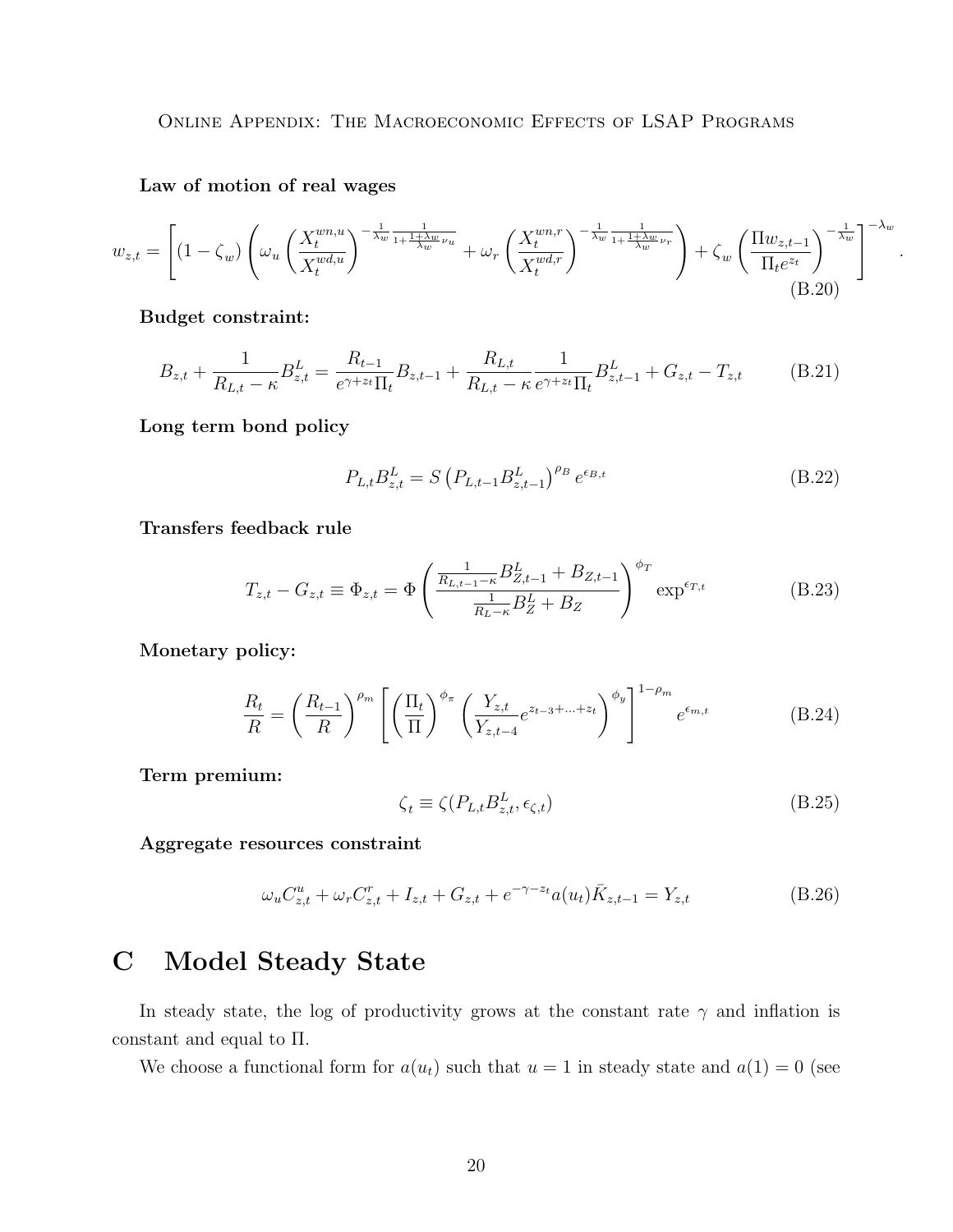Law of motion of real wages

$$
w_{z,t} = \left[ (1 - \zeta_w) \left( \omega_u \left( \frac{X_t^{wn,u}}{X_t^{wd,u}} \right)^{-\frac{1}{\lambda_w} \frac{1}{1 + \frac{1 + \lambda_w}{\lambda_w} \nu_u}} + \omega_r \left( \frac{X_t^{wn,r}}{X_t^{wd,r}} \right)^{-\frac{1}{\lambda_w} \frac{1}{1 + \frac{1 + \lambda_w}{\lambda_w} \nu_r}} \right) + \zeta_w \left( \frac{\Pi w_{z,t-1}}{\Pi_t e^{z_t}} \right)^{-\frac{1}{\lambda_w}} \right]^{-\lambda_w}
$$
\n(B.20)

Budget constraint:

$$
B_{z,t} + \frac{1}{R_{L,t} - \kappa} B_{z,t}^{L} = \frac{R_{t-1}}{e^{\gamma + z_t} \Pi_t} B_{z,t-1} + \frac{R_{L,t}}{R_{L,t} - \kappa} \frac{1}{e^{\gamma + z_t} \Pi_t} B_{z,t-1}^{L} + G_{z,t} - T_{z,t}
$$
(B.21)

Long term bond policy

$$
P_{L,t} B_{z,t}^L = S \left( P_{L,t-1} B_{z,t-1}^L \right)^{\rho_B} e^{\epsilon_{B,t}}
$$
\n(B.22)

.

Transfers feedback rule

$$
T_{z,t} - G_{z,t} \equiv \Phi_{z,t} = \Phi \left( \frac{\frac{1}{R_{L,t-1} - \kappa} B_{Z,t-1}^L + B_{Z,t-1}}{\frac{1}{R_L - \kappa} B_Z^L + B_Z} \right)^{\phi_T} \exp^{\epsilon_{T,t}}
$$
(B.23)

Monetary policy:

$$
\frac{R_t}{R} = \left(\frac{R_{t-1}}{R}\right)^{\rho_m} \left[ \left(\frac{\Pi_t}{\Pi}\right)^{\phi_{\pi}} \left(\frac{Y_{z,t}}{Y_{z,t-4}} e^{z_{t-3} + \dots + z_t} \right)^{\phi_y} \right]^{1-\rho_m} e^{\epsilon_{m,t}}
$$
(B.24)

Term premium:

$$
\zeta_t \equiv \zeta(P_{L,t} B_{z,t}^L, \epsilon_{\zeta,t})
$$
\n(B.25)

Aggregate resources constraint

$$
\omega_u C_{z,t}^u + \omega_r C_{z,t}^r + I_{z,t} + G_{z,t} + e^{-\gamma - z_t} a(u_t) \bar{K}_{z,t-1} = Y_{z,t}
$$
(B.26)

# <span id="page-19-0"></span>C Model Steady State

In steady state, the log of productivity grows at the constant rate  $\gamma$  and inflation is constant and equal to Π.

We choose a functional form for  $a(u_t)$  such that  $u = 1$  in steady state and  $a(1) = 0$  (see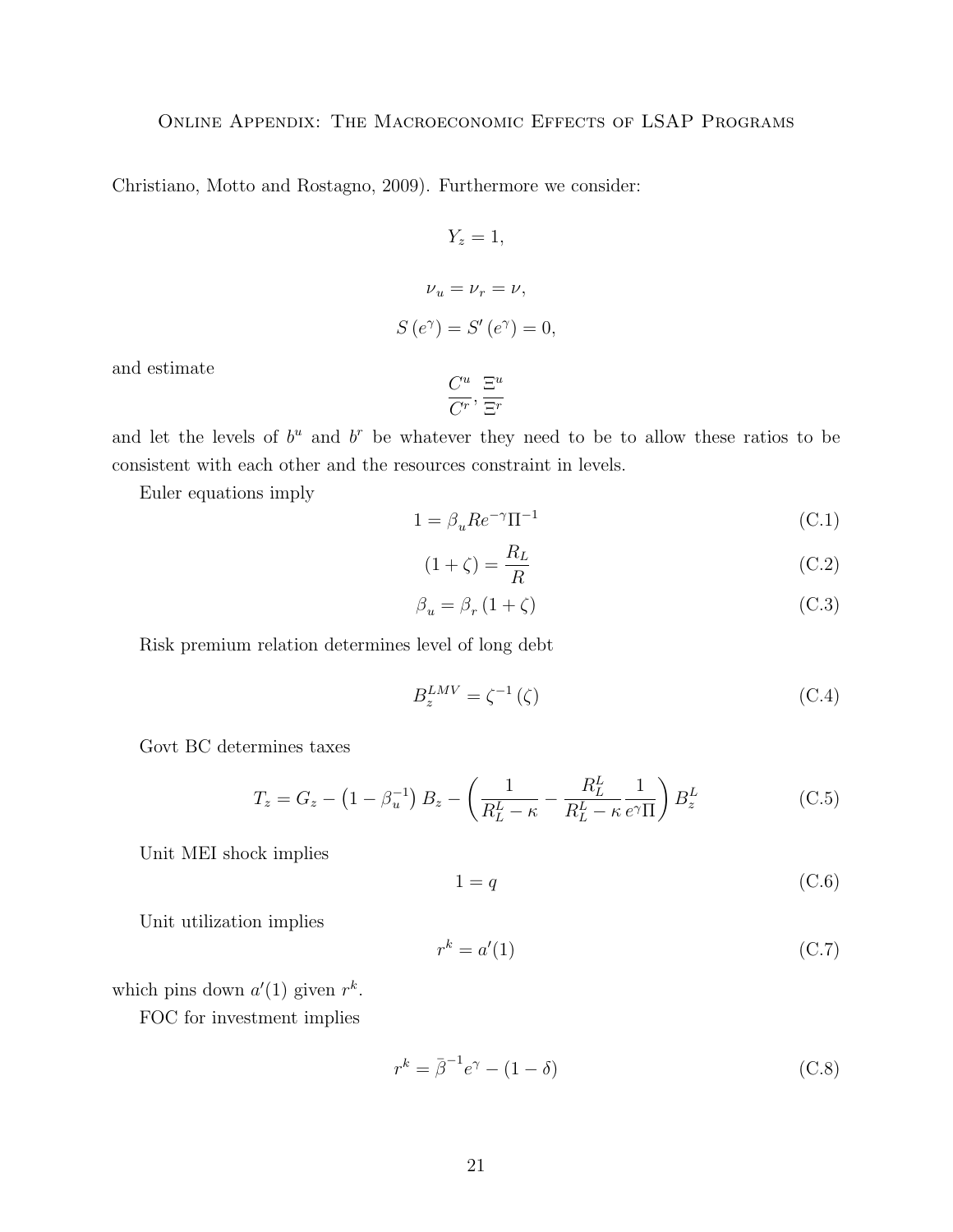Christiano, Motto and Rostagno, 2009). Furthermore we consider:

$$
Y_z = 1,
$$
  
\n
$$
\nu_u = \nu_r = \nu,
$$
  
\n
$$
S(e^{\gamma}) = S'(e^{\gamma}) = 0,
$$

and estimate

$$
\frac{C^u}{C^r}, \frac{\Xi^u}{\Xi^r}
$$

and let the levels of  $b^u$  and  $b^r$  be whatever they need to be to allow these ratios to be consistent with each other and the resources constraint in levels.

Euler equations imply

$$
1 = \beta_u Re^{-\gamma} \Pi^{-1}
$$
 (C.1)

$$
(1+\zeta) = \frac{R_L}{R}
$$
 (C.2)

$$
\beta_u = \beta_r (1 + \zeta) \tag{C.3}
$$

Risk premium relation determines level of long debt

$$
B_z^{LMV} = \zeta^{-1}(\zeta) \tag{C.4}
$$

Govt BC determines taxes

$$
T_z = G_z - \left(1 - \beta_u^{-1}\right) B_z - \left(\frac{1}{R_L^L - \kappa} - \frac{R_L^L}{R_L^L - \kappa} \frac{1}{e^{\gamma} \Pi}\right) B_z^L
$$
 (C.5)

Unit MEI shock implies

$$
1 = q \tag{C.6}
$$

Unit utilization implies

$$
r^k = a'(1) \tag{C.7}
$$

which pins down  $a'(1)$  given  $r^k$ .

FOC for investment implies

$$
r^k = \bar{\beta}^{-1} e^{\gamma} - (1 - \delta) \tag{C.8}
$$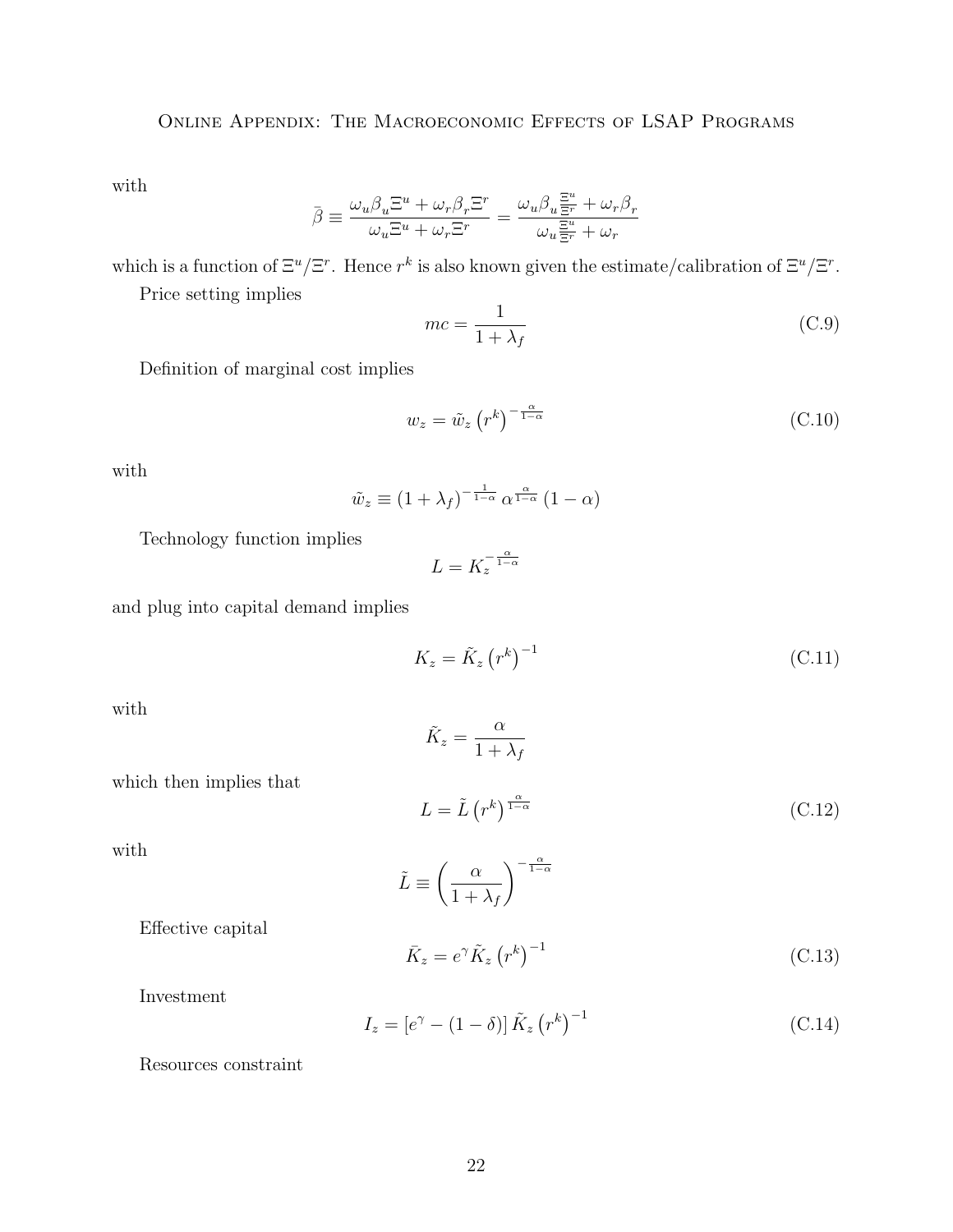with

$$
\bar{\beta}\equiv\frac{\omega_u\beta_u\Xi^u+\omega_r\beta_r\Xi^r}{\omega_u\Xi^u+\omega_r\Xi^r}=\frac{\omega_u\beta_u\frac{\Xi^u}{\Xi^r}+\omega_r\beta_r}{\omega_u\frac{\Xi^u}{\Xi^r}+\omega_r}
$$

which is a function of  $\Xi^u/\Xi^r$ . Hence  $r^k$  is also known given the estimate/calibration of  $\Xi^u/\Xi^r$ .

Price setting implies

$$
mc = \frac{1}{1 + \lambda_f} \tag{C.9}
$$

Definition of marginal cost implies

$$
w_z = \tilde{w}_z \left( r^k \right)^{-\frac{\alpha}{1-\alpha}} \tag{C.10}
$$

with

$$
\tilde{w}_z \equiv (1 + \lambda_f)^{-\frac{1}{1-\alpha}} \alpha^{\frac{\alpha}{1-\alpha}} (1 - \alpha)
$$

Technology function implies

$$
L = K_z^{-\frac{\alpha}{1-\alpha}}
$$

and plug into capital demand implies

$$
K_z = \tilde{K}_z \left( r^k \right)^{-1} \tag{C.11}
$$

with

$$
\tilde{K}_z = \frac{\alpha}{1 + \lambda_f}
$$

$$
L = \tilde{L} \left( r^k \right)^{\frac{\alpha}{1-\alpha}} \tag{C.12}
$$

with

$$
\tilde{L} \equiv \left(\frac{\alpha}{1 + \lambda_f}\right)^{-\frac{\alpha}{1 - \alpha}}
$$

Effective capital

which then implies that

$$
\bar{K}_z = e^{\gamma} \tilde{K}_z \left( r^k \right)^{-1} \tag{C.13}
$$

Investment

$$
I_z = \left[e^{\gamma} - (1 - \delta)\right] \tilde{K}_z \left(r^k\right)^{-1} \tag{C.14}
$$

Resources constraint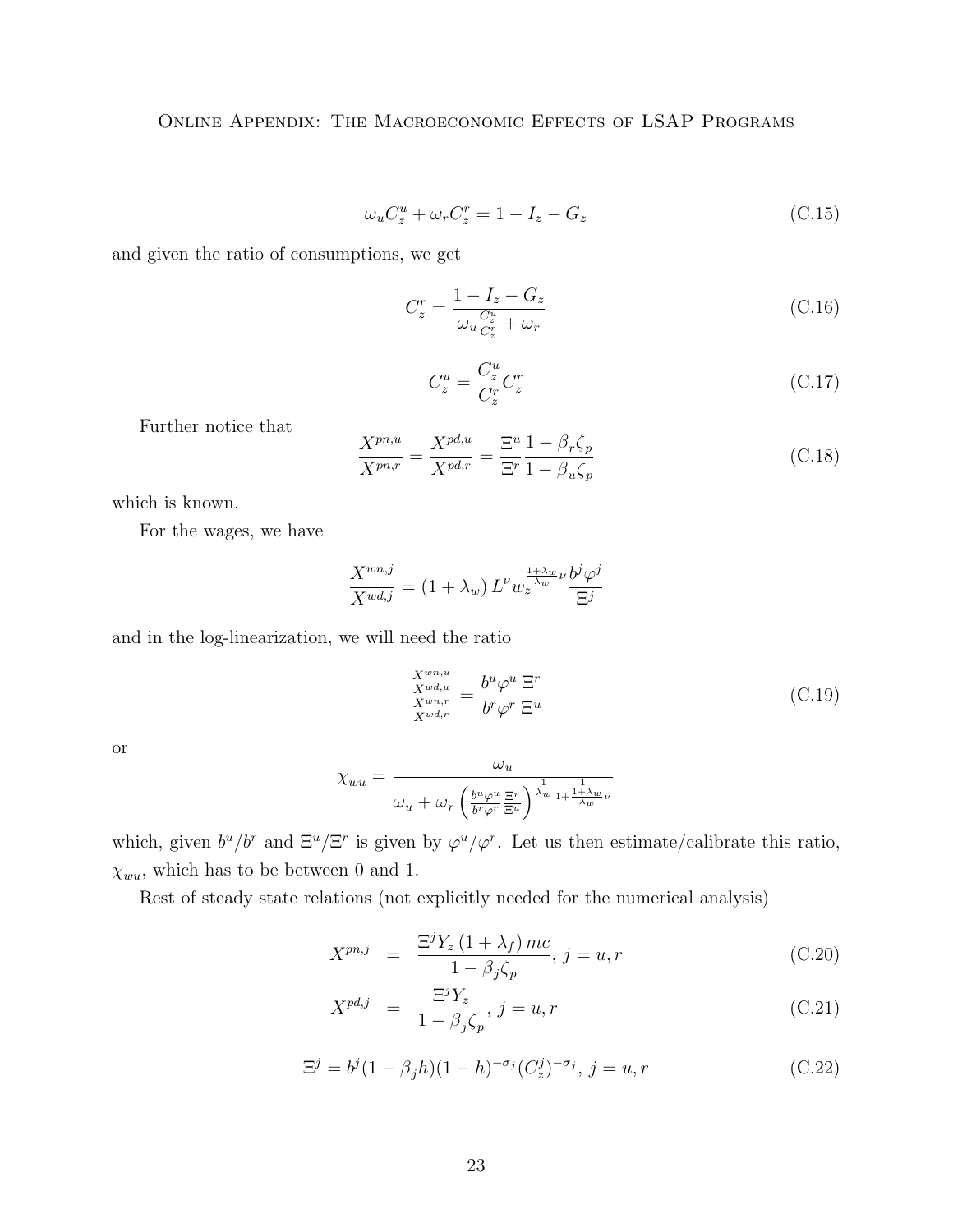$$
\omega_u C_z^u + \omega_r C_z^r = 1 - I_z - G_z \tag{C.15}
$$

and given the ratio of consumptions, we get

$$
C_z^r = \frac{1 - I_z - G_z}{\omega_u \frac{C_z^u}{C_z^r} + \omega_r}
$$
\n(C.16)

$$
C_z^u = \frac{C_z^u}{C_z^r} C_z^r \tag{C.17}
$$

Further notice that

$$
\frac{X^{pn,u}}{X^{pn,r}} = \frac{X^{pd,u}}{X^{pd,r}} = \frac{\Xi^u}{\Xi^r} \frac{1 - \beta_r \zeta_p}{1 - \beta_u \zeta_p}
$$
\n(C.18)

which is known.

For the wages, we have

$$
\frac{X^{wn,j}}{X^{wd,j}} = (1 + \lambda_w) L^{\nu} w_z^{\frac{1 + \lambda_w}{\lambda_w} \nu} \frac{b^j \varphi^j}{\Xi^j}
$$

and in the log-linearization, we will need the ratio

$$
\frac{\frac{X^{wn,u}}{X^{wu,r}}}{\frac{X^{wn,r}}{X^{wd,r}}} = \frac{b^u \varphi^u}{b^r \varphi^r} \frac{\Xi^r}{\Xi^u}
$$
\n(C.19)

or

$$
\chi_{wu} = \frac{\omega_u}{\omega_u + \omega_r \left(\frac{b^u \varphi^u}{b^r \varphi^r} \frac{\Xi^r}{\Xi^u}\right)^{\frac{1}{\lambda_w} \frac{1}{1 + \frac{1 + \lambda_w}{\lambda_w} \nu}}}
$$

which, given  $b^u/b^r$  and  $\Xi^u/\Xi^r$  is given by  $\varphi^u/\varphi^r$ . Let us then estimate/calibrate this ratio,  $\chi_{wu}$ , which has to be between 0 and 1.

Rest of steady state relations (not explicitly needed for the numerical analysis)

$$
X^{pn,j} = \frac{\Xi^j Y_z (1 + \lambda_f) mc}{1 - \beta_j \zeta_p}, j = u, r
$$
 (C.20)

$$
X^{pd,j} = \frac{\Xi^j Y_z}{1 - \beta_j \zeta_p}, j = u, r
$$
\n(C.21)

$$
\Xi^{j} = b^{j} (1 - \beta_{j} h)(1 - h)^{-\sigma_{j}} (C_{z}^{j})^{-\sigma_{j}}, \ j = u, r
$$
\n(C.22)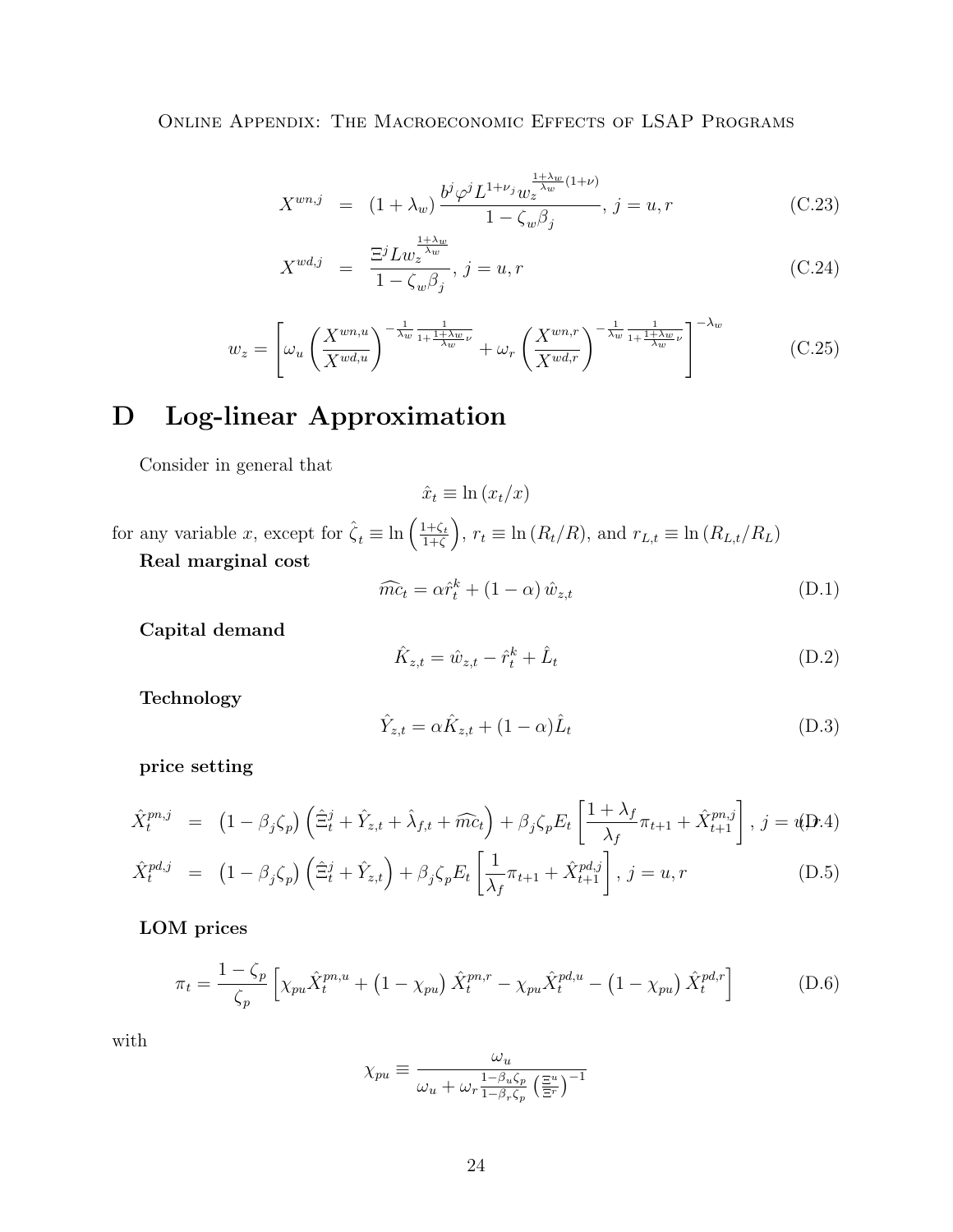$$
X^{wn,j} = (1 + \lambda_w) \frac{b^j \varphi^j L^{1+\nu_j} w_z^{\frac{1+\lambda_w}{\lambda_w}(1+\nu)}}{1 - \zeta_w \beta_j}, \ j = u, r \tag{C.23}
$$

$$
X^{wd,j} = \frac{\Xi^j L w_z^{\frac{1+\lambda_w}{\lambda_w}}}{1 - \zeta_w \beta_j}, j = u, r
$$
\n(C.24)

$$
w_z = \left[ \omega_u \left( \frac{X^{wn,u}}{X^{wd,u}} \right)^{-\frac{1}{\lambda_w} \frac{1}{1 + \frac{1 + \lambda_w}{\lambda_w} \nu}} + \omega_r \left( \frac{X^{wn,r}}{X^{wd,r}} \right)^{-\frac{1}{\lambda_w} \frac{1}{1 + \frac{1 + \lambda_w}{\lambda_w} \nu}} \right]^{-\lambda_w} \tag{C.25}
$$

# <span id="page-23-0"></span>D Log-linear Approximation

Consider in general that

$$
\hat{x}_t \equiv \ln(x_t/x)
$$

for any variable x, except for  $\hat{\zeta}_t \equiv \ln\left(\frac{1+\zeta_t}{1+\zeta}\right)$  $\frac{1+\zeta_t}{1+\zeta}$ ,  $r_t \equiv \ln(R_t/R)$ , and  $r_{L,t} \equiv \ln(R_{L,t}/R_L)$ Real marginal cost

$$
\widehat{mc}_t = \alpha \widehat{r}_t^k + (1 - \alpha) \widehat{w}_{z,t} \tag{D.1}
$$

Capital demand

$$
\hat{K}_{z,t} = \hat{w}_{z,t} - \hat{r}_t^k + \hat{L}_t
$$
\n(D.2)

Technology

$$
\hat{Y}_{z,t} = \alpha \hat{K}_{z,t} + (1 - \alpha) \hat{L}_t \tag{D.3}
$$

price setting

$$
\hat{X}_t^{pn,j} = (1 - \beta_j \zeta_p) \left( \hat{\Xi}_t^j + \hat{Y}_{z,t} + \hat{\lambda}_{f,t} + \widehat{mc}_t \right) + \beta_j \zeta_p E_t \left[ \frac{1 + \lambda_f}{\lambda_f} \pi_{t+1} + \hat{X}_{t+1}^{pn,j} \right], j = u(\mathbf{D}.4)
$$
\n
$$
\hat{X}_t^{pd,j} = (1 - \beta_j \zeta_p) \left( \hat{\Xi}_t^j + \hat{Y}_{z,t} \right) + \beta_j \zeta_p E_t \left[ \frac{1}{\lambda_f} \pi_{t+1} + \hat{X}_{t+1}^{pd,j} \right], j = u, r \tag{D.5}
$$

LOM prices

$$
\pi_t = \frac{1 - \zeta_p}{\zeta_p} \left[ \chi_{pu} \hat{X}_t^{pn, u} + (1 - \chi_{pu}) \hat{X}_t^{pn, r} - \chi_{pu} \hat{X}_t^{pd, u} - (1 - \chi_{pu}) \hat{X}_t^{pd, r} \right]
$$
(D.6)

with

$$
\chi_{pu} \equiv \frac{\omega_u}{\omega_u + \omega_r \frac{1 - \beta_u \zeta_p}{1 - \beta_r \zeta_p} \left(\frac{\Xi^u}{\Xi^r}\right)^{-1}}
$$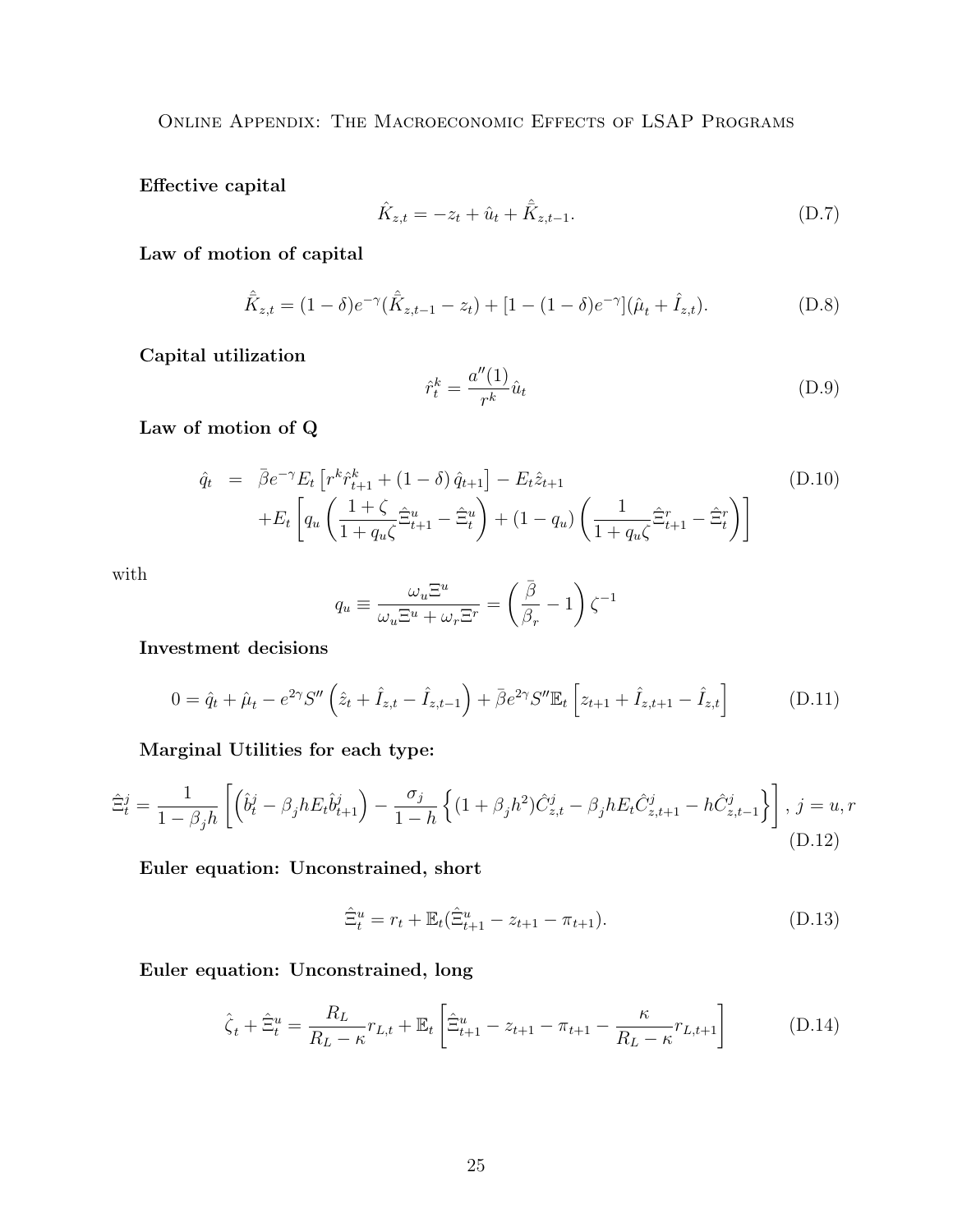Effective capital

$$
\hat{K}_{z,t} = -z_t + \hat{u}_t + \hat{\bar{K}}_{z,t-1}.
$$
\n(D.7)

Law of motion of capital

$$
\hat{K}_{z,t} = (1 - \delta)e^{-\gamma}(\hat{K}_{z,t-1} - z_t) + [1 - (1 - \delta)e^{-\gamma}](\hat{\mu}_t + \hat{I}_{z,t}).
$$
\n(D.8)

Capital utilization

$$
\hat{r}_t^k = \frac{a''(1)}{r^k} \hat{u}_t \tag{D.9}
$$

Law of motion of Q

$$
\hat{q}_t = \bar{\beta} e^{-\gamma} E_t \left[ r^k \hat{r}_{t+1}^k + (1 - \delta) \hat{q}_{t+1} \right] - E_t \hat{z}_{t+1} + E_t \left[ q_u \left( \frac{1 + \zeta}{1 + q_u \zeta} \hat{\Xi}_{t+1}^u - \hat{\Xi}_t^u \right) + (1 - q_u) \left( \frac{1}{1 + q_u \zeta} \hat{\Xi}_{t+1}^r - \hat{\Xi}_t^r \right) \right]
$$
\n(D.10)

with

$$
q_u \equiv \frac{\omega_u \Xi^u}{\omega_u \Xi^u + \omega_r \Xi^r} = \left(\frac{\bar{\beta}}{\beta_r} - 1\right) \zeta^{-1}
$$

Investment decisions

$$
0 = \hat{q}_t + \hat{\mu}_t - e^{2\gamma} S'' \left( \hat{z}_t + \hat{I}_{z,t} - \hat{I}_{z,t-1} \right) + \bar{\beta} e^{2\gamma} S'' \mathbb{E}_t \left[ z_{t+1} + \hat{I}_{z,t+1} - \hat{I}_{z,t} \right]
$$
(D.11)

Marginal Utilities for each type:

$$
\hat{\Xi}_t^j = \frac{1}{1 - \beta_j h} \left[ \left( \hat{b}_t^j - \beta_j h E_t \hat{b}_{t+1}^j \right) - \frac{\sigma_j}{1 - h} \left\{ (1 + \beta_j h^2) \hat{C}_{z,t}^j - \beta_j h E_t \hat{C}_{z,t+1}^j - h \hat{C}_{z,t-1}^j \right\} \right], \ j = u, r
$$
\n(D.12)

Euler equation: Unconstrained, short

$$
\hat{\Xi}_t^u = r_t + \mathbb{E}_t(\hat{\Xi}_{t+1}^u - z_{t+1} - \pi_{t+1}).\tag{D.13}
$$

Euler equation: Unconstrained, long

$$
\hat{\zeta}_t + \hat{\Xi}_t^u = \frac{R_L}{R_L - \kappa} r_{L,t} + \mathbb{E}_t \left[ \hat{\Xi}_{t+1}^u - z_{t+1} - \pi_{t+1} - \frac{\kappa}{R_L - \kappa} r_{L,t+1} \right]
$$
(D.14)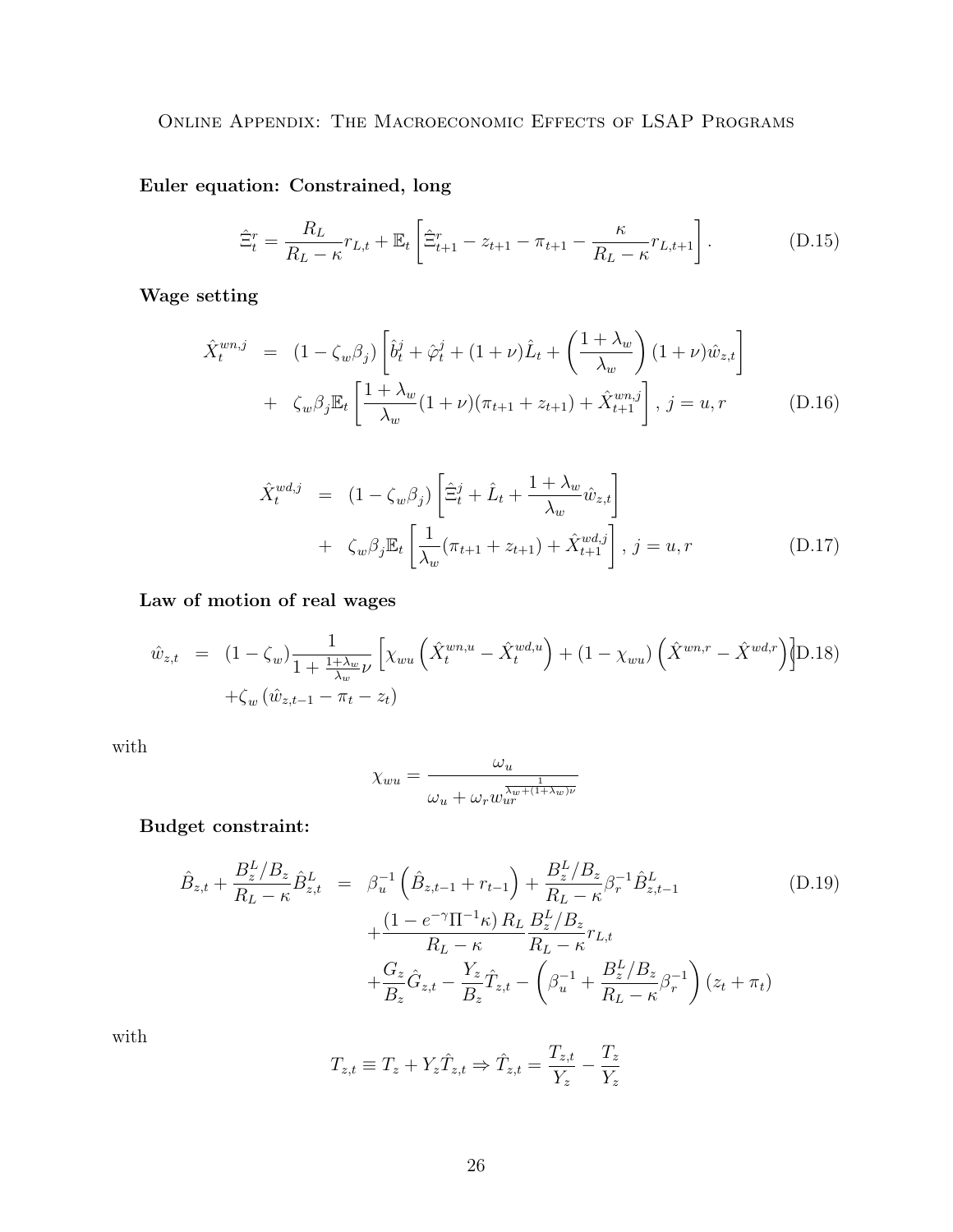Euler equation: Constrained, long

$$
\hat{\Xi}_t^r = \frac{R_L}{R_L - \kappa} r_{L,t} + \mathbb{E}_t \left[ \hat{\Xi}_{t+1}^r - z_{t+1} - \pi_{t+1} - \frac{\kappa}{R_L - \kappa} r_{L,t+1} \right].
$$
 (D.15)

Wage setting

$$
\hat{X}_{t}^{wn,j} = (1 - \zeta_{w}\beta_{j}) \left[ \hat{b}_{t}^{j} + \hat{\varphi}_{t}^{j} + (1 + \nu)\hat{L}_{t} + \left( \frac{1 + \lambda_{w}}{\lambda_{w}} \right) (1 + \nu)\hat{w}_{z,t} \right] \n+ \zeta_{w}\beta_{j}\mathbb{E}_{t} \left[ \frac{1 + \lambda_{w}}{\lambda_{w}} (1 + \nu)(\pi_{t+1} + z_{t+1}) + \hat{X}_{t+1}^{wn,j} \right], j = u, r \qquad (D.16)
$$

$$
\hat{X}_t^{wd,j} = (1 - \zeta_w \beta_j) \left[ \hat{\Xi}_t^j + \hat{L}_t + \frac{1 + \lambda_w}{\lambda_w} \hat{w}_{z,t} \right] \n+ \zeta_w \beta_j \mathbb{E}_t \left[ \frac{1}{\lambda_w} (\pi_{t+1} + z_{t+1}) + \hat{X}_{t+1}^{wd,j} \right], j = u, r
$$
\n(D.17)

Law of motion of real wages

$$
\hat{w}_{z,t} = (1 - \zeta_w) \frac{1}{1 + \frac{1 + \lambda_w}{\lambda_w} \nu} \left[ \chi_{wu} \left( \hat{X}_t^{wn,u} - \hat{X}_t^{wd,u} \right) + (1 - \chi_{wu}) \left( \hat{X}^{wn,r} - \hat{X}^{wd,r} \right) \right] \mathcal{D}.18) \n+ \zeta_w \left( \hat{w}_{z,t-1} - \pi_t - z_t \right)
$$

with

$$
\chi_{wu} = \frac{\omega_u}{\omega_u + \omega_r w_{ur}^{\frac{1}{\lambda_w + (1 + \lambda_w)\nu}}}
$$

Budget constraint:

$$
\hat{B}_{z,t} + \frac{B_z^L/B_z}{R_L - \kappa} \hat{B}_{z,t}^L = \beta_u^{-1} \left( \hat{B}_{z,t-1} + r_{t-1} \right) + \frac{B_z^L/B_z}{R_L - \kappa} \beta_r^{-1} \hat{B}_{z,t-1}^L
$$
\n
$$
+ \frac{(1 - e^{-\gamma} \Pi^{-1} \kappa) R_L}{R_L - \kappa} \frac{B_z^L/B_z}{R_L - \kappa} r_{L,t}
$$
\n
$$
+ \frac{G_z}{B_z} \hat{G}_{z,t} - \frac{Y_z}{B_z} \hat{T}_{z,t} - \left( \beta_u^{-1} + \frac{B_z^L/B_z}{R_L - \kappa} \beta_r^{-1} \right) (z_t + \pi_t)
$$
\n(D.19)

with

$$
T_{z,t} \equiv T_z + Y_z \hat{T}_{z,t} \Rightarrow \hat{T}_{z,t} = \frac{T_{z,t}}{Y_z} - \frac{T_z}{Y_z}
$$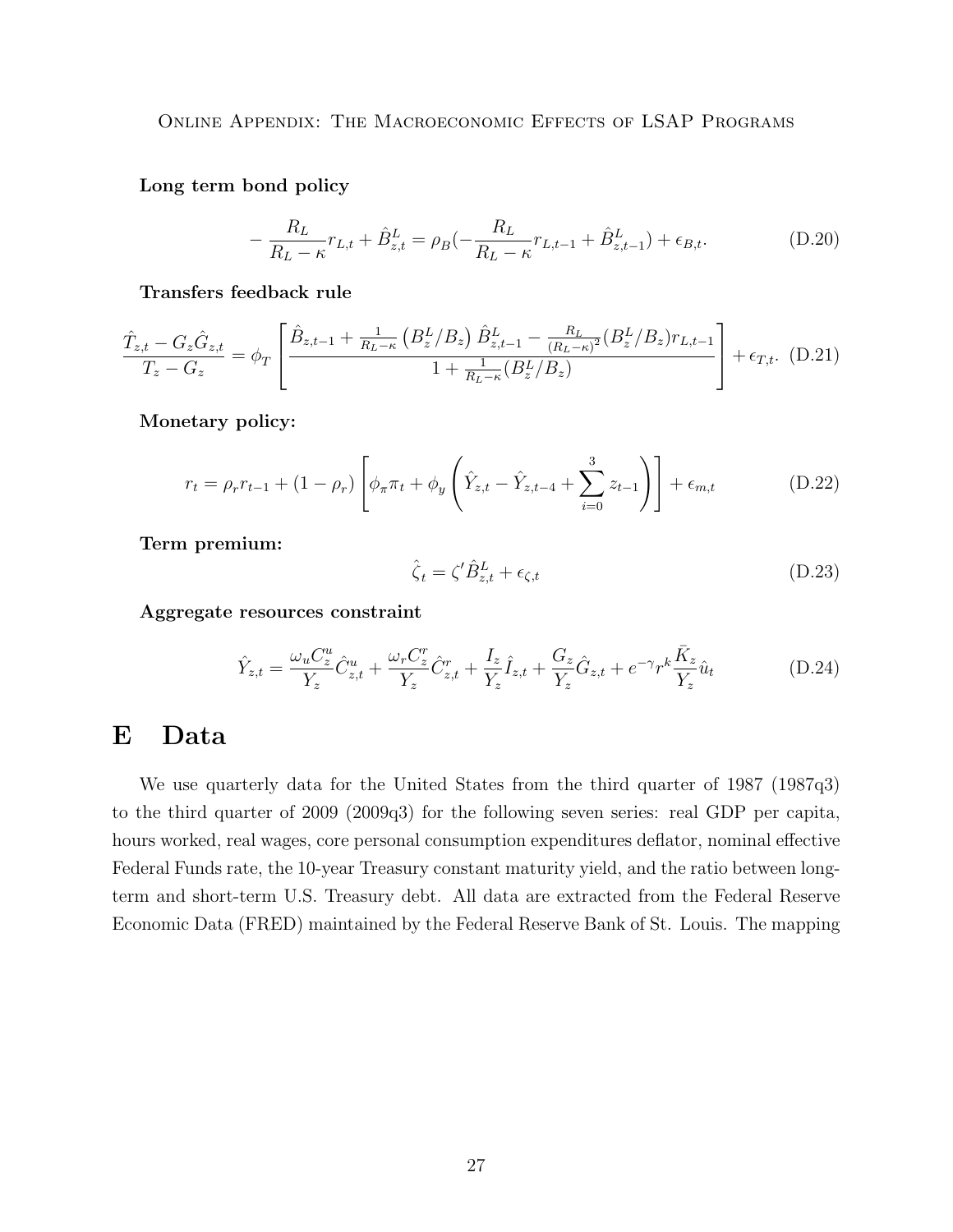Long term bond policy

$$
-\frac{R_L}{R_L - \kappa} r_{L,t} + \hat{B}_{z,t}^L = \rho_B(-\frac{R_L}{R_L - \kappa} r_{L,t-1} + \hat{B}_{z,t-1}^L) + \epsilon_{B,t}.
$$
 (D.20)

Transfers feedback rule

$$
\frac{\hat{T}_{z,t} - G_z \hat{G}_{z,t}}{T_z - G_z} = \phi_T \left[ \frac{\hat{B}_{z,t-1} + \frac{1}{R_L - \kappa} \left( B_z^L / B_z \right) \hat{B}_{z,t-1}^L - \frac{R_L}{(R_L - \kappa)^2} \left( B_z^L / B_z \right) r_{L,t-1}}{1 + \frac{1}{R_L - \kappa} \left( B_z^L / B_z \right)} \right] + \epsilon_{T,t}.
$$
 (D.21)

Monetary policy:

$$
r_{t} = \rho_{r} r_{t-1} + (1 - \rho_{r}) \left[ \phi_{\pi} \pi_{t} + \phi_{y} \left( \hat{Y}_{z,t} - \hat{Y}_{z,t-4} + \sum_{i=0}^{3} z_{t-1} \right) \right] + \epsilon_{m,t}
$$
(D.22)

Term premium:

$$
\hat{\zeta}_t = \zeta' \hat{B}_{z,t}^L + \epsilon_{\zeta,t} \tag{D.23}
$$

Aggregate resources constraint

$$
\hat{Y}_{z,t} = \frac{\omega_u C_z^u}{Y_z} \hat{C}_{z,t}^u + \frac{\omega_r C_z^r}{Y_z} \hat{C}_{z,t}^r + \frac{I_z}{Y_z} \hat{I}_{z,t} + \frac{G_z}{Y_z} \hat{G}_{z,t} + e^{-\gamma} r^k \frac{\bar{K}_z}{Y_z} \hat{u}_t
$$
\n(D.24)

## <span id="page-26-0"></span>E Data

We use quarterly data for the United States from the third quarter of 1987 (1987q3) to the third quarter of 2009 (2009q3) for the following seven series: real GDP per capita, hours worked, real wages, core personal consumption expenditures deflator, nominal effective Federal Funds rate, the 10-year Treasury constant maturity yield, and the ratio between longterm and short-term U.S. Treasury debt. All data are extracted from the Federal Reserve Economic Data (FRED) maintained by the Federal Reserve Bank of St. Louis. The mapping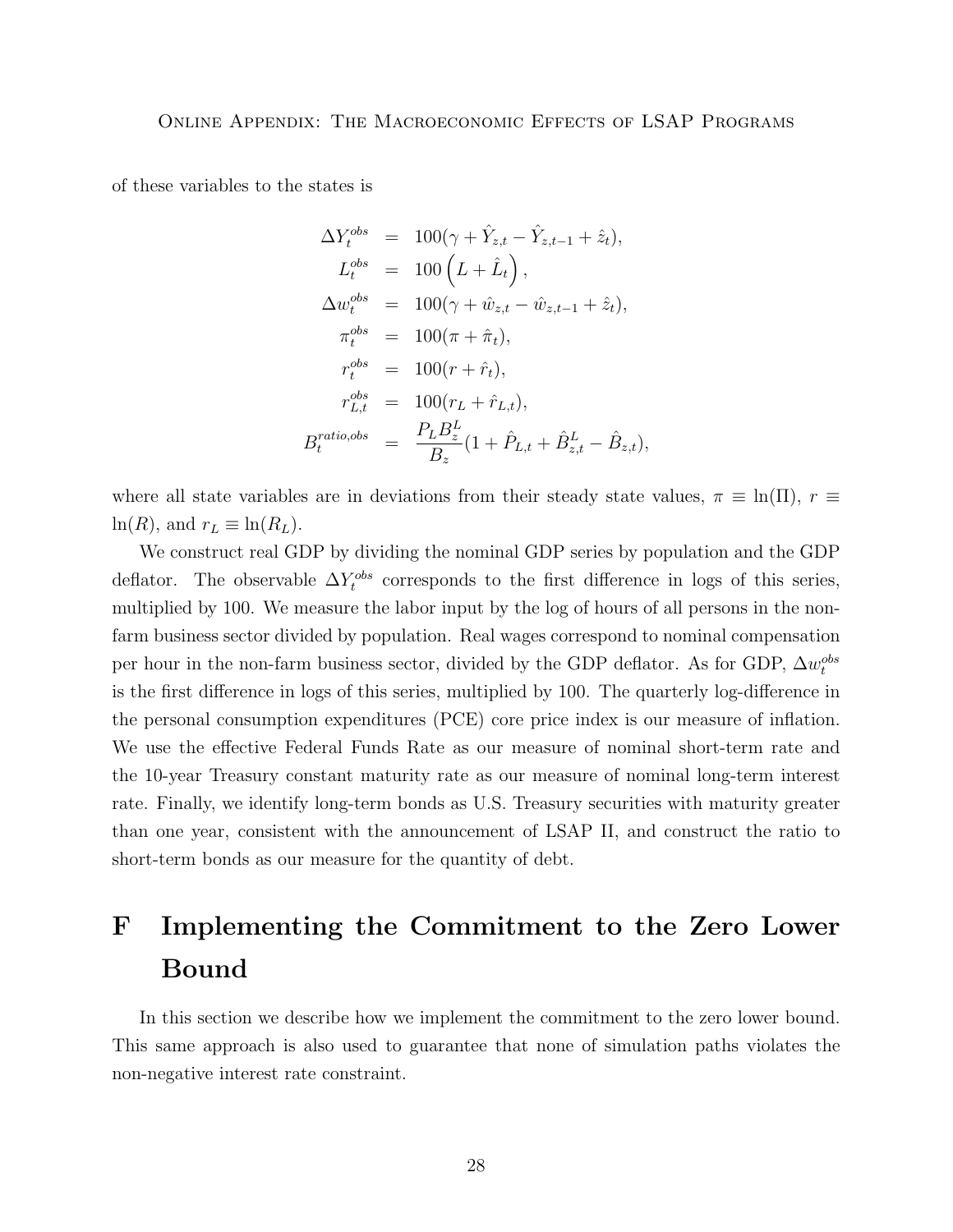of these variables to the states is

$$
\Delta Y_t^{obs} = 100(\gamma + \hat{Y}_{z,t} - \hat{Y}_{z,t-1} + \hat{z}_t),
$$
  
\n
$$
L_t^{obs} = 100 (L + \hat{L}_t),
$$
  
\n
$$
\Delta w_t^{obs} = 100(\gamma + \hat{w}_{z,t} - \hat{w}_{z,t-1} + \hat{z}_t),
$$
  
\n
$$
\pi_t^{obs} = 100(\pi + \hat{\pi}_t),
$$
  
\n
$$
r_t^{obs} = 100(r + \hat{r}_t),
$$
  
\n
$$
r_{L,t}^{obs} = 100(r_L + \hat{r}_{L,t}),
$$
  
\n
$$
B_t^{ratio,obs} = \frac{P_L B_z^L}{B_z} (1 + \hat{P}_{L,t} + \hat{B}_{z,t}^L - \hat{B}_{z,t}),
$$

where all state variables are in deviations from their steady state values,  $\pi \equiv \ln(\Pi)$ ,  $r \equiv$  $ln(R)$ , and  $r_L \equiv ln(R_L)$ .

We construct real GDP by dividing the nominal GDP series by population and the GDP deflator. The observable  $\Delta Y_t^{obs}$  corresponds to the first difference in logs of this series, multiplied by 100. We measure the labor input by the log of hours of all persons in the nonfarm business sector divided by population. Real wages correspond to nominal compensation per hour in the non-farm business sector, divided by the GDP deflator. As for GDP,  $\Delta w_t^{obs}$ is the first difference in logs of this series, multiplied by 100. The quarterly log-difference in the personal consumption expenditures (PCE) core price index is our measure of inflation. We use the effective Federal Funds Rate as our measure of nominal short-term rate and the 10-year Treasury constant maturity rate as our measure of nominal long-term interest rate. Finally, we identify long-term bonds as U.S. Treasury securities with maturity greater than one year, consistent with the announcement of LSAP II, and construct the ratio to short-term bonds as our measure for the quantity of debt.

# <span id="page-27-0"></span>F Implementing the Commitment to the Zero Lower Bound

In this section we describe how we implement the commitment to the zero lower bound. This same approach is also used to guarantee that none of simulation paths violates the non-negative interest rate constraint.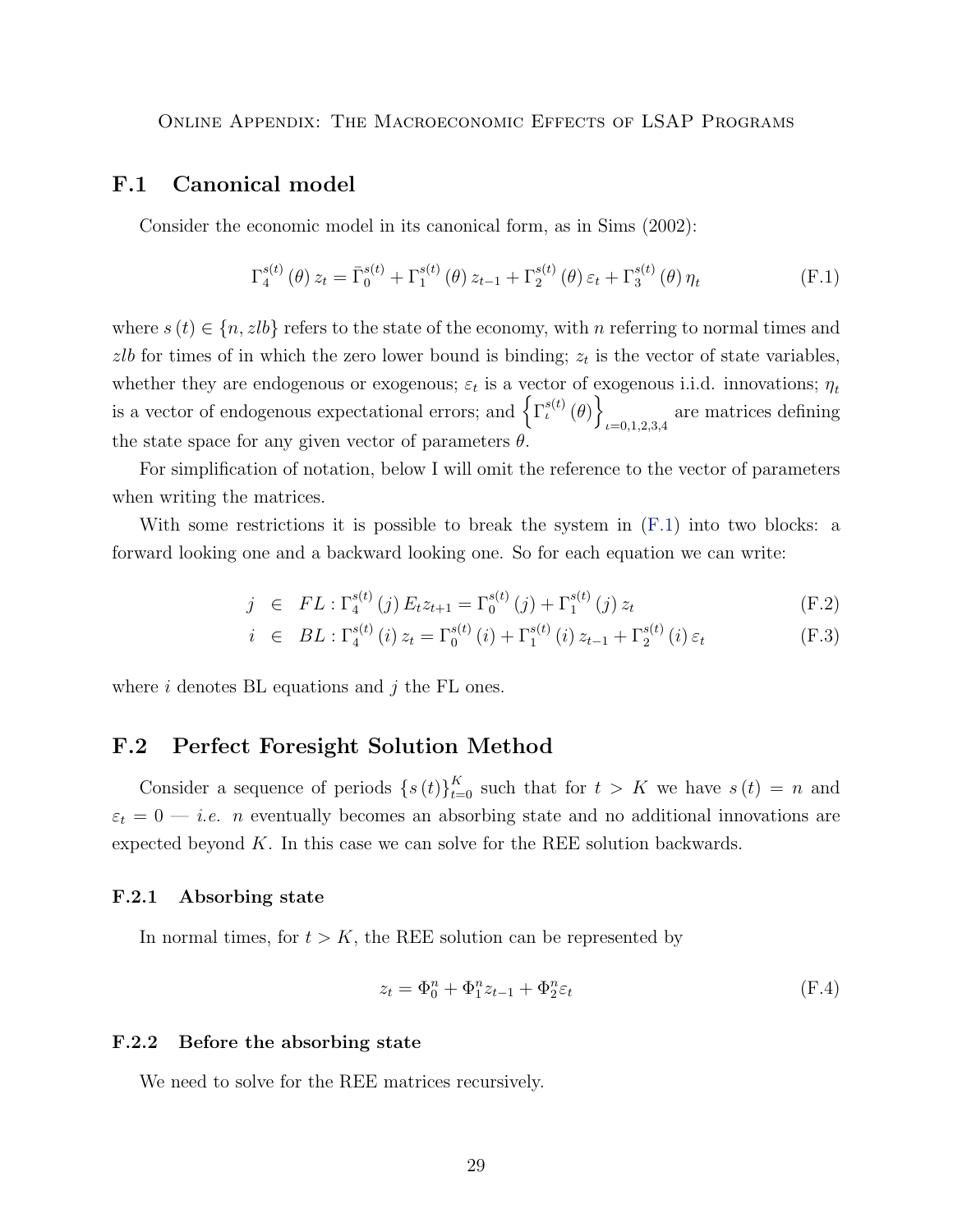#### <span id="page-28-0"></span>F.1 Canonical model

Consider the economic model in its canonical form, as in Sims (2002):

<span id="page-28-4"></span>
$$
\Gamma_4^{s(t)}(\theta) z_t = \bar{\Gamma}_0^{s(t)} + \Gamma_1^{s(t)}(\theta) z_{t-1} + \Gamma_2^{s(t)}(\theta) \varepsilon_t + \Gamma_3^{s(t)}(\theta) \eta_t
$$
\n(F.1)

where  $s(t) \in \{n, zlb\}$  refers to the state of the economy, with n referring to normal times and zlb for times of in which the zero lower bound is binding;  $z_t$  is the vector of state variables, whether they are endogenous or exogenous;  $\varepsilon_t$  is a vector of exogenous i.i.d. innovations;  $\eta_t$ is a vector of endogenous expectational errors; and  $\left\{ \Gamma_{\iota}^{s(t)}(\theta)\right\}$ are matrices defining<br> $u=0,1,2,3,4$ the state space for any given vector of parameters  $\theta$ .

For simplification of notation, below I will omit the reference to the vector of parameters when writing the matrices.

With some restrictions it is possible to break the system in [\(F.1\)](#page-28-4) into two blocks: a forward looking one and a backward looking one. So for each equation we can write:

$$
j \in FL: \Gamma_4^{s(t)}(j) E_t z_{t+1} = \Gamma_0^{s(t)}(j) + \Gamma_1^{s(t)}(j) z_t
$$
 (F.2)

$$
i \in BL: \Gamma_4^{s(t)}(i) z_t = \Gamma_0^{s(t)}(i) + \Gamma_1^{s(t)}(i) z_{t-1} + \Gamma_2^{s(t)}(i) \varepsilon_t
$$
 (F.3)

where  $i$  denotes BL equations and  $j$  the FL ones.

#### <span id="page-28-1"></span>F.2 Perfect Foresight Solution Method

Consider a sequence of periods  $\{s(t)\}_{t=0}^K$  such that for  $t > K$  we have  $s(t) = n$  and  $\varepsilon_t = 0$  – *i.e. n* eventually becomes an absorbing state and no additional innovations are expected beyond K. In this case we can solve for the REE solution backwards.

#### <span id="page-28-2"></span>F.2.1 Absorbing state

In normal times, for  $t > K$ , the REE solution can be represented by

<span id="page-28-5"></span>
$$
z_t = \Phi_0^n + \Phi_1^n z_{t-1} + \Phi_2^n \varepsilon_t \tag{F.4}
$$

#### <span id="page-28-3"></span>F.2.2 Before the absorbing state

We need to solve for the REE matrices recursively.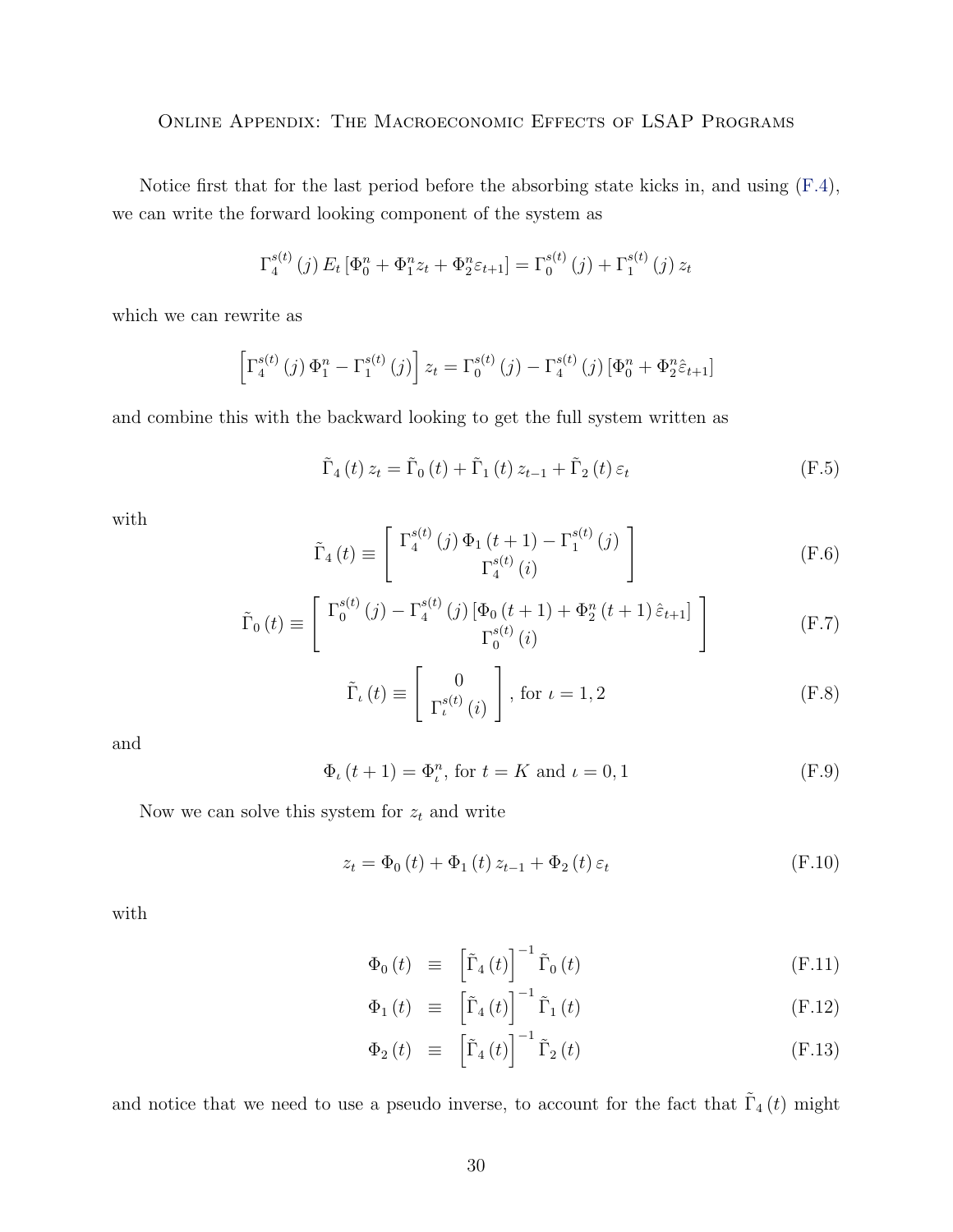Notice first that for the last period before the absorbing state kicks in, and using [\(F.4\)](#page-28-5), we can write the forward looking component of the system as

$$
\Gamma_4^{s(t)}(j) E_t [\Phi_0^n + \Phi_1^n z_t + \Phi_2^n \varepsilon_{t+1}] = \Gamma_0^{s(t)}(j) + \Gamma_1^{s(t)}(j) z_t
$$

which we can rewrite as

$$
\[ \Gamma_4^{s(t)}(j) \, \Phi_1^n - \Gamma_1^{s(t)}(j) \] z_t = \Gamma_0^{s(t)}(j) - \Gamma_4^{s(t)}(j) \left[ \Phi_0^n + \Phi_2^n \hat{\varepsilon}_{t+1} \right]
$$

and combine this with the backward looking to get the full system written as

<span id="page-29-1"></span>
$$
\tilde{\Gamma}_{4}\left(t\right)z_{t} = \tilde{\Gamma}_{0}\left(t\right) + \tilde{\Gamma}_{1}\left(t\right)z_{t-1} + \tilde{\Gamma}_{2}\left(t\right)\varepsilon_{t}
$$
\n(F.5)

with

$$
\tilde{\Gamma}_4(t) \equiv \begin{bmatrix} \Gamma_4^{s(t)}(j) \Phi_1(t+1) - \Gamma_1^{s(t)}(j) \\ \Gamma_4^{s(t)}(i) \end{bmatrix}
$$
\n(F.6)

$$
\tilde{\Gamma}_{0}(t) \equiv \begin{bmatrix} \Gamma_{0}^{s(t)}(j) - \Gamma_{4}^{s(t)}(j) \left[ \Phi_{0}(t+1) + \Phi_{2}^{n}(t+1) \hat{\varepsilon}_{t+1} \right] \\ \Gamma_{0}^{s(t)}(i) \end{bmatrix}
$$
(F.7)

$$
\tilde{\Gamma}_{\iota}(t) \equiv \begin{bmatrix} 0\\ \Gamma_{\iota}^{s(t)}(i) \end{bmatrix}, \text{ for } \iota = 1, 2
$$
\n(F.8)

and

$$
\Phi_{\iota}(t+1) = \Phi_{\iota}^{n}
$$
, for  $t = K$  and  $\iota = 0, 1$  (F.9)

Now we can solve this system for  $z_t$  and write

<span id="page-29-0"></span>
$$
z_{t} = \Phi_{0}(t) + \Phi_{1}(t) z_{t-1} + \Phi_{2}(t) \varepsilon_{t}
$$
 (F.10)

with

$$
\Phi_{0}(t) \equiv \left[ \tilde{\Gamma}_{4}(t) \right]^{-1} \tilde{\Gamma}_{0}(t) \tag{F.11}
$$

$$
\Phi_{1}(t) \equiv \left[ \tilde{\Gamma}_{4}(t) \right]^{-1} \tilde{\Gamma}_{1}(t) \tag{F.12}
$$

$$
\Phi_2(t) \equiv \left[ \tilde{\Gamma}_4(t) \right]^{-1} \tilde{\Gamma}_2(t) \tag{F.13}
$$

and notice that we need to use a pseudo inverse, to account for the fact that  $\tilde{\Gamma}_4(t)$  might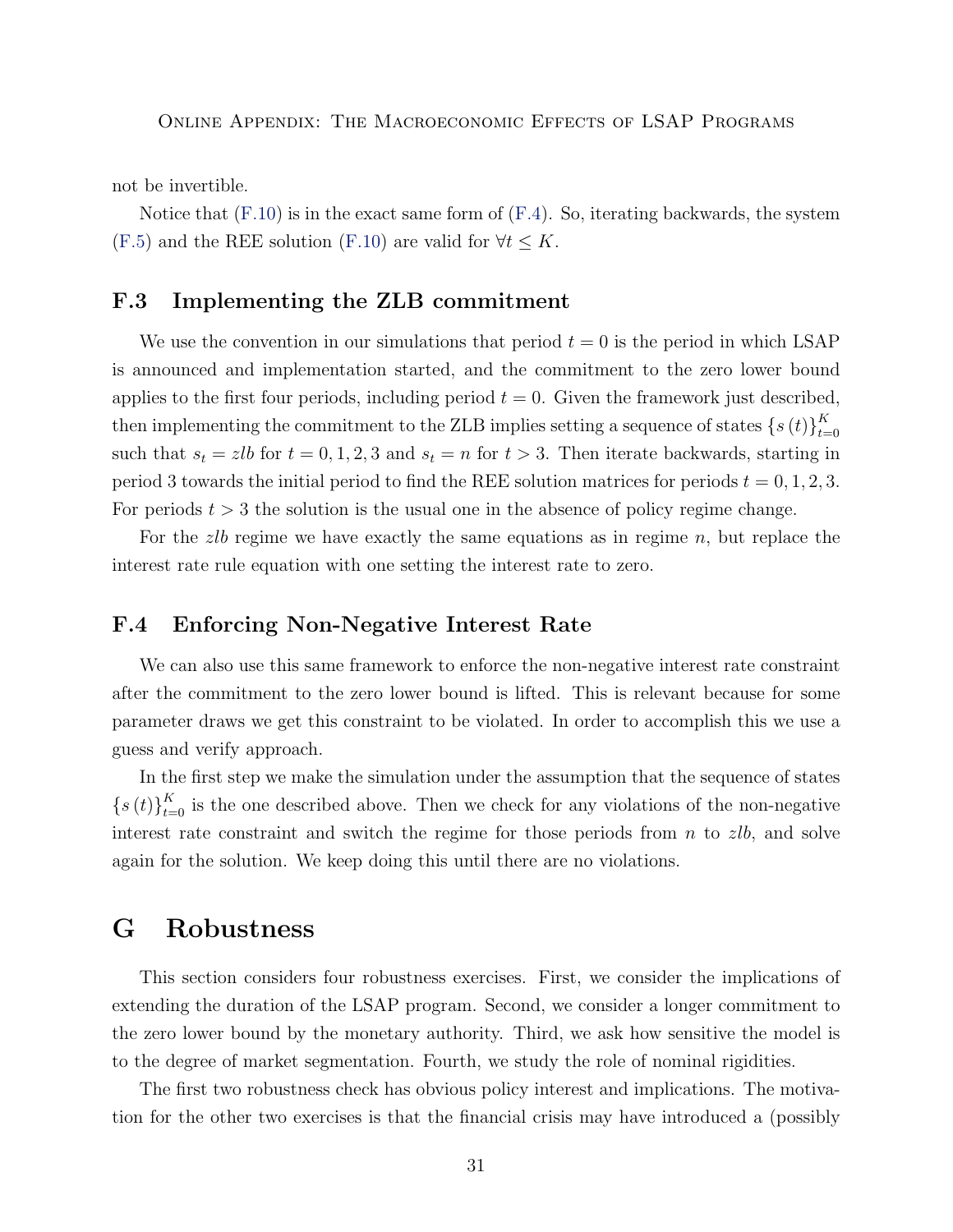not be invertible.

Notice that  $(F.10)$  is in the exact same form of  $(F.4)$ . So, iterating backwards, the system [\(F.5\)](#page-29-1) and the REE solution [\(F.10\)](#page-29-0) are valid for  $\forall t \leq K$ .

#### <span id="page-30-0"></span>F.3 Implementing the ZLB commitment

We use the convention in our simulations that period  $t = 0$  is the period in which LSAP is announced and implementation started, and the commitment to the zero lower bound applies to the first four periods, including period  $t = 0$ . Given the framework just described, then implementing the commitment to the ZLB implies setting a sequence of states  $\{s(t)\}_{t=1}^K$  $t=0$ such that  $s_t = zlb$  for  $t = 0, 1, 2, 3$  and  $s_t = n$  for  $t > 3$ . Then iterate backwards, starting in period 3 towards the initial period to find the REE solution matrices for periods  $t = 0, 1, 2, 3$ . For periods  $t > 3$  the solution is the usual one in the absence of policy regime change.

For the *zlb* regime we have exactly the same equations as in regime  $n$ , but replace the interest rate rule equation with one setting the interest rate to zero.

#### <span id="page-30-1"></span>F.4 Enforcing Non-Negative Interest Rate

We can also use this same framework to enforce the non-negative interest rate constraint after the commitment to the zero lower bound is lifted. This is relevant because for some parameter draws we get this constraint to be violated. In order to accomplish this we use a guess and verify approach.

In the first step we make the simulation under the assumption that the sequence of states  $\{s(t)\}_{t=0}^K$  is the one described above. Then we check for any violations of the non-negative interest rate constraint and switch the regime for those periods from  $n$  to  $zlb$ , and solve again for the solution. We keep doing this until there are no violations.

## <span id="page-30-2"></span>G Robustness

This section considers four robustness exercises. First, we consider the implications of extending the duration of the LSAP program. Second, we consider a longer commitment to the zero lower bound by the monetary authority. Third, we ask how sensitive the model is to the degree of market segmentation. Fourth, we study the role of nominal rigidities.

The first two robustness check has obvious policy interest and implications. The motivation for the other two exercises is that the financial crisis may have introduced a (possibly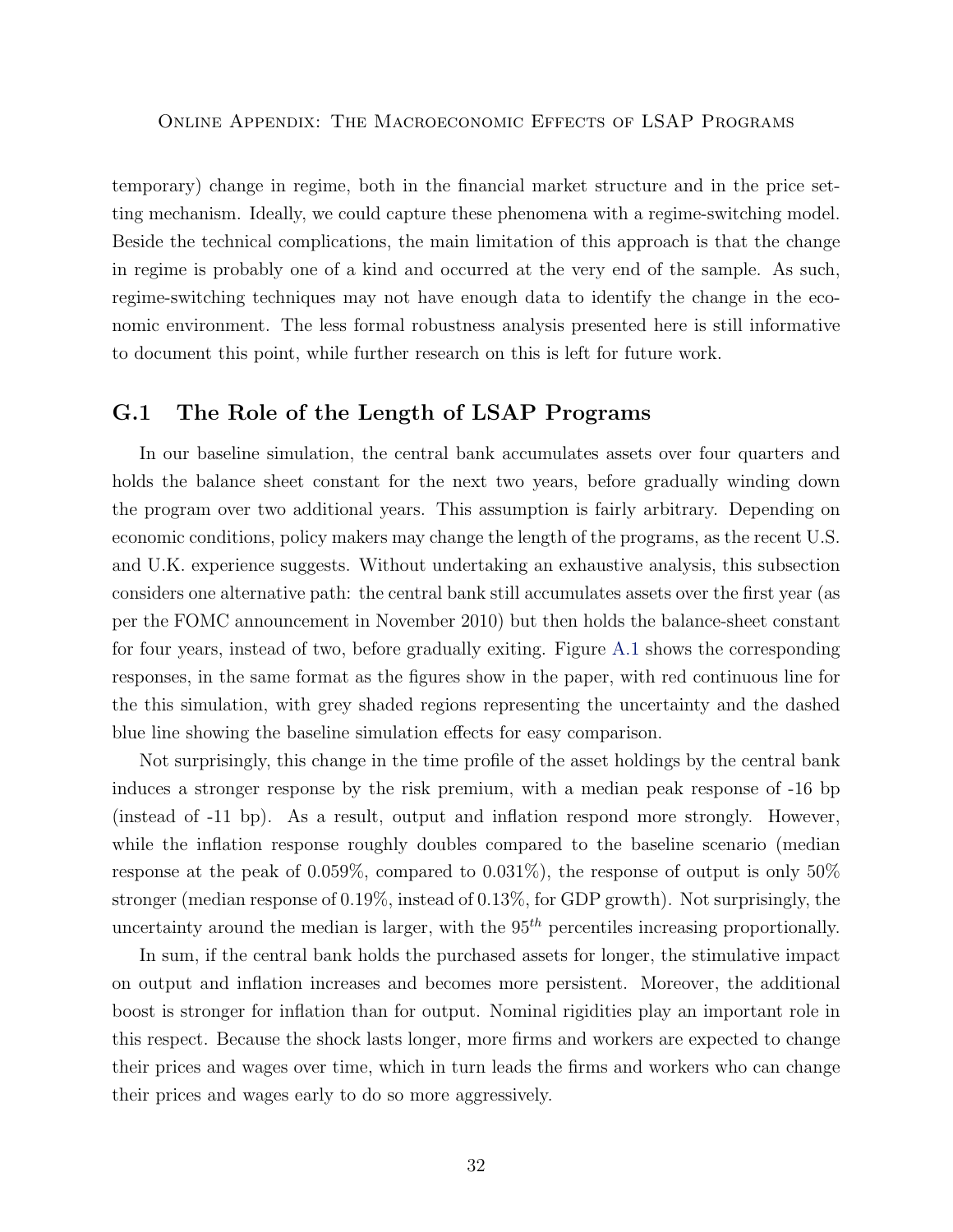temporary) change in regime, both in the financial market structure and in the price setting mechanism. Ideally, we could capture these phenomena with a regime-switching model. Beside the technical complications, the main limitation of this approach is that the change in regime is probably one of a kind and occurred at the very end of the sample. As such, regime-switching techniques may not have enough data to identify the change in the economic environment. The less formal robustness analysis presented here is still informative to document this point, while further research on this is left for future work.

#### <span id="page-31-0"></span>G.1 The Role of the Length of LSAP Programs

In our baseline simulation, the central bank accumulates assets over four quarters and holds the balance sheet constant for the next two years, before gradually winding down the program over two additional years. This assumption is fairly arbitrary. Depending on economic conditions, policy makers may change the length of the programs, as the recent U.S. and U.K. experience suggests. Without undertaking an exhaustive analysis, this subsection considers one alternative path: the central bank still accumulates assets over the first year (as per the FOMC announcement in November 2010) but then holds the balance-sheet constant for four years, instead of two, before gradually exiting. Figure [A.1](#page-39-0) shows the corresponding responses, in the same format as the figures show in the paper, with red continuous line for the this simulation, with grey shaded regions representing the uncertainty and the dashed blue line showing the baseline simulation effects for easy comparison.

Not surprisingly, this change in the time profile of the asset holdings by the central bank induces a stronger response by the risk premium, with a median peak response of -16 bp (instead of -11 bp). As a result, output and inflation respond more strongly. However, while the inflation response roughly doubles compared to the baseline scenario (median response at the peak of 0.059%, compared to 0.031%), the response of output is only 50% stronger (median response of 0.19%, instead of 0.13%, for GDP growth). Not surprisingly, the uncertainty around the median is larger, with the  $95<sup>th</sup>$  percentiles increasing proportionally.

In sum, if the central bank holds the purchased assets for longer, the stimulative impact on output and inflation increases and becomes more persistent. Moreover, the additional boost is stronger for inflation than for output. Nominal rigidities play an important role in this respect. Because the shock lasts longer, more firms and workers are expected to change their prices and wages over time, which in turn leads the firms and workers who can change their prices and wages early to do so more aggressively.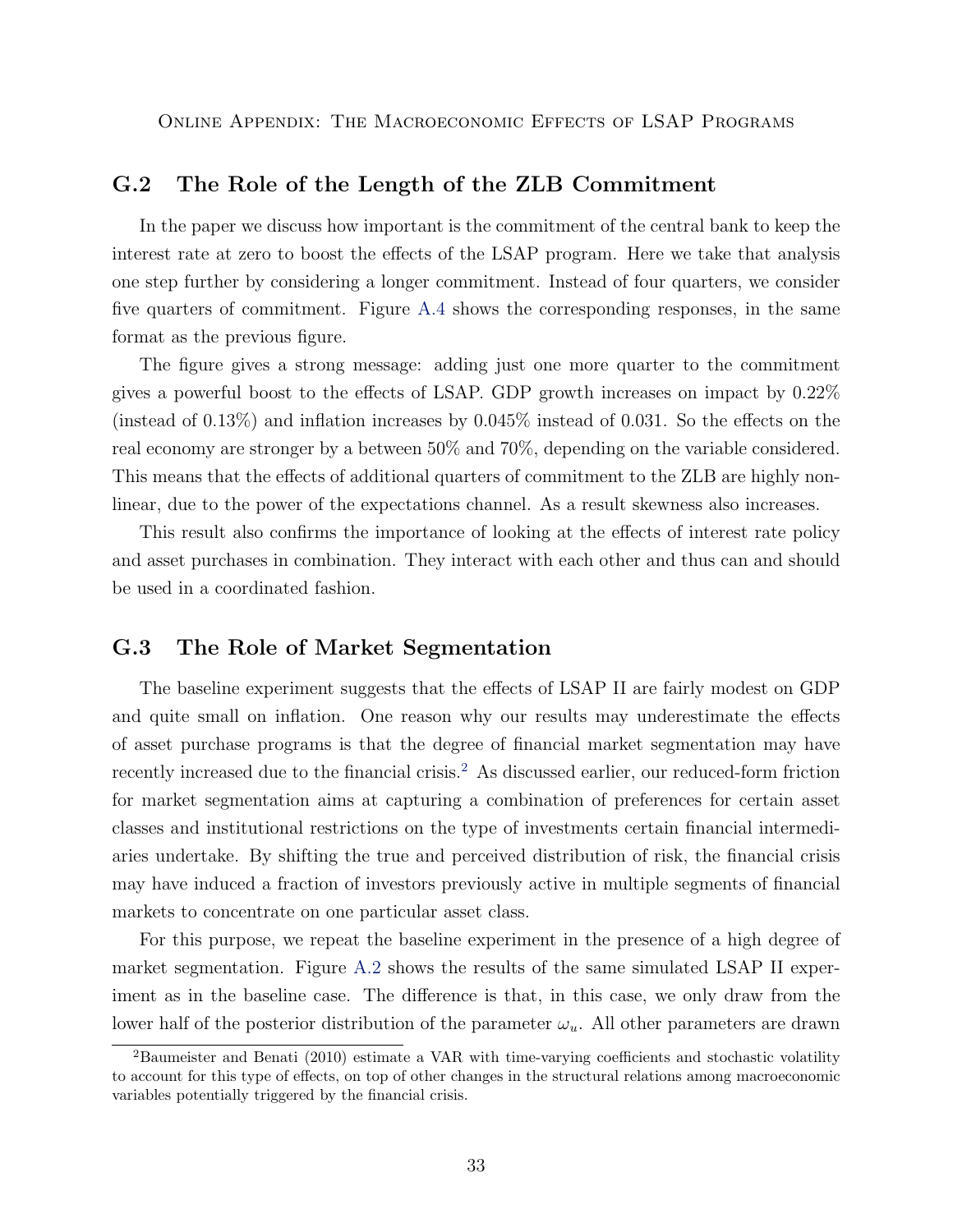#### <span id="page-32-0"></span>G.2 The Role of the Length of the ZLB Commitment

In the paper we discuss how important is the commitment of the central bank to keep the interest rate at zero to boost the effects of the LSAP program. Here we take that analysis one step further by considering a longer commitment. Instead of four quarters, we consider five quarters of commitment. Figure [A.4](#page-42-0) shows the corresponding responses, in the same format as the previous figure.

The figure gives a strong message: adding just one more quarter to the commitment gives a powerful boost to the effects of LSAP. GDP growth increases on impact by 0.22% (instead of 0.13%) and inflation increases by 0.045% instead of 0.031. So the effects on the real economy are stronger by a between 50% and 70%, depending on the variable considered. This means that the effects of additional quarters of commitment to the ZLB are highly nonlinear, due to the power of the expectations channel. As a result skewness also increases.

This result also confirms the importance of looking at the effects of interest rate policy and asset purchases in combination. They interact with each other and thus can and should be used in a coordinated fashion.

#### <span id="page-32-1"></span>G.3 The Role of Market Segmentation

The baseline experiment suggests that the effects of LSAP II are fairly modest on GDP and quite small on inflation. One reason why our results may underestimate the effects of asset purchase programs is that the degree of financial market segmentation may have recently increased due to the financial crisis.<sup>[2](#page-32-2)</sup> As discussed earlier, our reduced-form friction for market segmentation aims at capturing a combination of preferences for certain asset classes and institutional restrictions on the type of investments certain financial intermediaries undertake. By shifting the true and perceived distribution of risk, the financial crisis may have induced a fraction of investors previously active in multiple segments of financial markets to concentrate on one particular asset class.

For this purpose, we repeat the baseline experiment in the presence of a high degree of market segmentation. Figure [A.2](#page-40-0) shows the results of the same simulated LSAP II experiment as in the baseline case. The difference is that, in this case, we only draw from the lower half of the posterior distribution of the parameter  $\omega_u$ . All other parameters are drawn

<span id="page-32-2"></span><sup>2</sup>Baumeister and Benati (2010) estimate a VAR with time-varying coefficients and stochastic volatility to account for this type of effects, on top of other changes in the structural relations among macroeconomic variables potentially triggered by the financial crisis.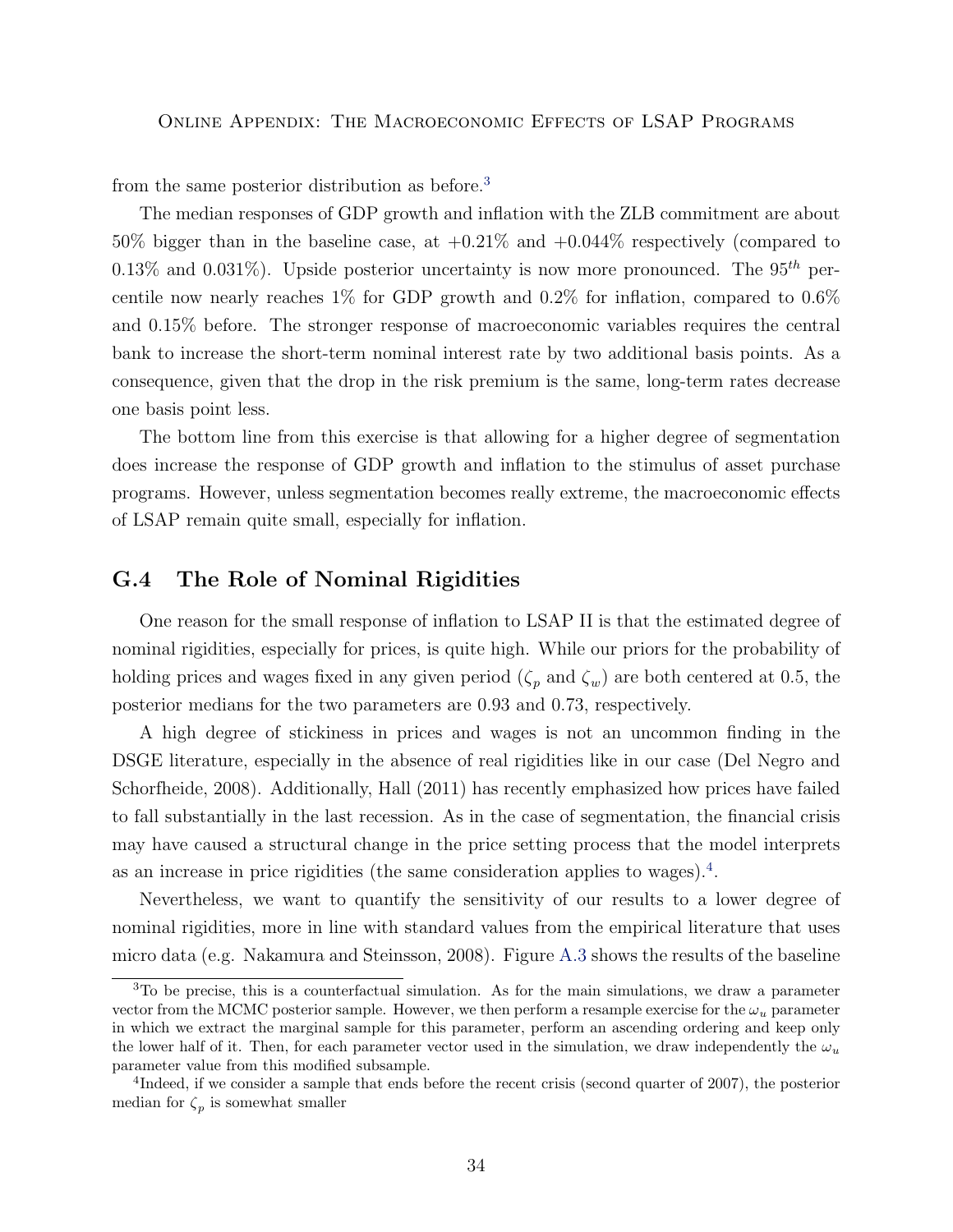from the same posterior distribution as before.[3](#page-33-1)

The median responses of GDP growth and inflation with the ZLB commitment are about 50% bigger than in the baseline case, at +0.21% and +0.044% respectively (compared to 0.13% and 0.031%). Upside posterior uncertainty is now more pronounced. The  $95<sup>th</sup>$  percentile now nearly reaches  $1\%$  for GDP growth and  $0.2\%$  for inflation, compared to  $0.6\%$ and 0.15% before. The stronger response of macroeconomic variables requires the central bank to increase the short-term nominal interest rate by two additional basis points. As a consequence, given that the drop in the risk premium is the same, long-term rates decrease one basis point less.

The bottom line from this exercise is that allowing for a higher degree of segmentation does increase the response of GDP growth and inflation to the stimulus of asset purchase programs. However, unless segmentation becomes really extreme, the macroeconomic effects of LSAP remain quite small, especially for inflation.

#### <span id="page-33-0"></span>G.4 The Role of Nominal Rigidities

One reason for the small response of inflation to LSAP II is that the estimated degree of nominal rigidities, especially for prices, is quite high. While our priors for the probability of holding prices and wages fixed in any given period  $(\zeta_p \text{ and } \zeta_w)$  are both centered at 0.5, the posterior medians for the two parameters are 0.93 and 0.73, respectively.

A high degree of stickiness in prices and wages is not an uncommon finding in the DSGE literature, especially in the absence of real rigidities like in our case (Del Negro and Schorfheide, 2008). Additionally, Hall (2011) has recently emphasized how prices have failed to fall substantially in the last recession. As in the case of segmentation, the financial crisis may have caused a structural change in the price setting process that the model interprets as an increase in price rigidities (the same consideration applies to wages).<sup>[4](#page-33-2)</sup>.

Nevertheless, we want to quantify the sensitivity of our results to a lower degree of nominal rigidities, more in line with standard values from the empirical literature that uses micro data (e.g. Nakamura and Steinsson, 2008). Figure [A.3](#page-41-0) shows the results of the baseline

<span id="page-33-1"></span><sup>3</sup>To be precise, this is a counterfactual simulation. As for the main simulations, we draw a parameter vector from the MCMC posterior sample. However, we then perform a resample exercise for the  $\omega_u$  parameter in which we extract the marginal sample for this parameter, perform an ascending ordering and keep only the lower half of it. Then, for each parameter vector used in the simulation, we draw independently the  $\omega_u$ parameter value from this modified subsample.

<span id="page-33-2"></span><sup>&</sup>lt;sup>4</sup>Indeed, if we consider a sample that ends before the recent crisis (second quarter of 2007), the posterior median for  $\zeta_p$  is somewhat smaller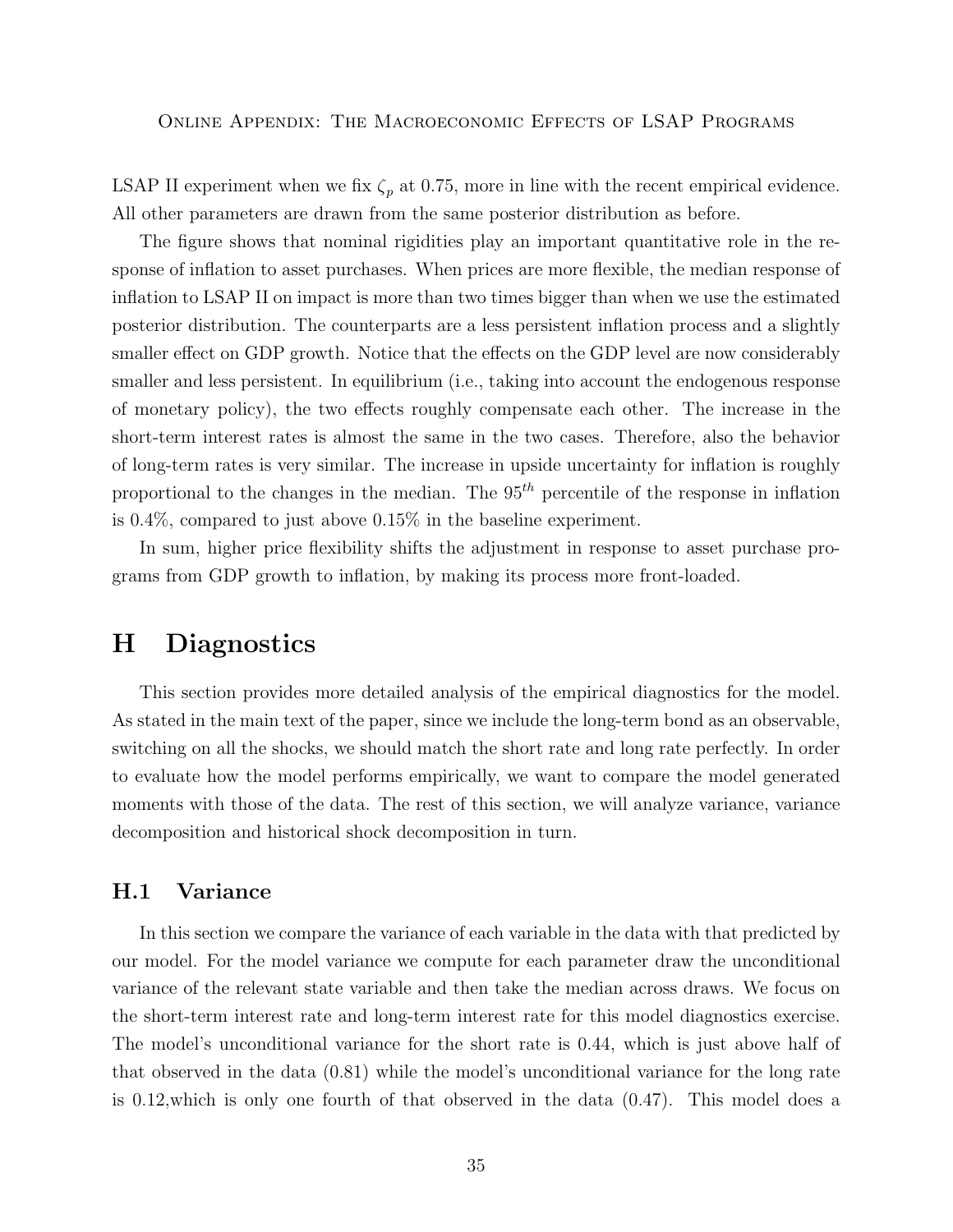LSAP II experiment when we fix  $\zeta_p$  at 0.75, more in line with the recent empirical evidence. All other parameters are drawn from the same posterior distribution as before.

The figure shows that nominal rigidities play an important quantitative role in the response of inflation to asset purchases. When prices are more flexible, the median response of inflation to LSAP II on impact is more than two times bigger than when we use the estimated posterior distribution. The counterparts are a less persistent inflation process and a slightly smaller effect on GDP growth. Notice that the effects on the GDP level are now considerably smaller and less persistent. In equilibrium (i.e., taking into account the endogenous response of monetary policy), the two effects roughly compensate each other. The increase in the short-term interest rates is almost the same in the two cases. Therefore, also the behavior of long-term rates is very similar. The increase in upside uncertainty for inflation is roughly proportional to the changes in the median. The  $95<sup>th</sup>$  percentile of the response in inflation is 0.4%, compared to just above 0.15% in the baseline experiment.

In sum, higher price flexibility shifts the adjustment in response to asset purchase programs from GDP growth to inflation, by making its process more front-loaded.

## <span id="page-34-0"></span>H Diagnostics

This section provides more detailed analysis of the empirical diagnostics for the model. As stated in the main text of the paper, since we include the long-term bond as an observable, switching on all the shocks, we should match the short rate and long rate perfectly. In order to evaluate how the model performs empirically, we want to compare the model generated moments with those of the data. The rest of this section, we will analyze variance, variance decomposition and historical shock decomposition in turn.

#### <span id="page-34-1"></span>H.1 Variance

In this section we compare the variance of each variable in the data with that predicted by our model. For the model variance we compute for each parameter draw the unconditional variance of the relevant state variable and then take the median across draws. We focus on the short-term interest rate and long-term interest rate for this model diagnostics exercise. The model's unconditional variance for the short rate is 0.44, which is just above half of that observed in the data (0.81) while the model's unconditional variance for the long rate is 0.12,which is only one fourth of that observed in the data (0.47). This model does a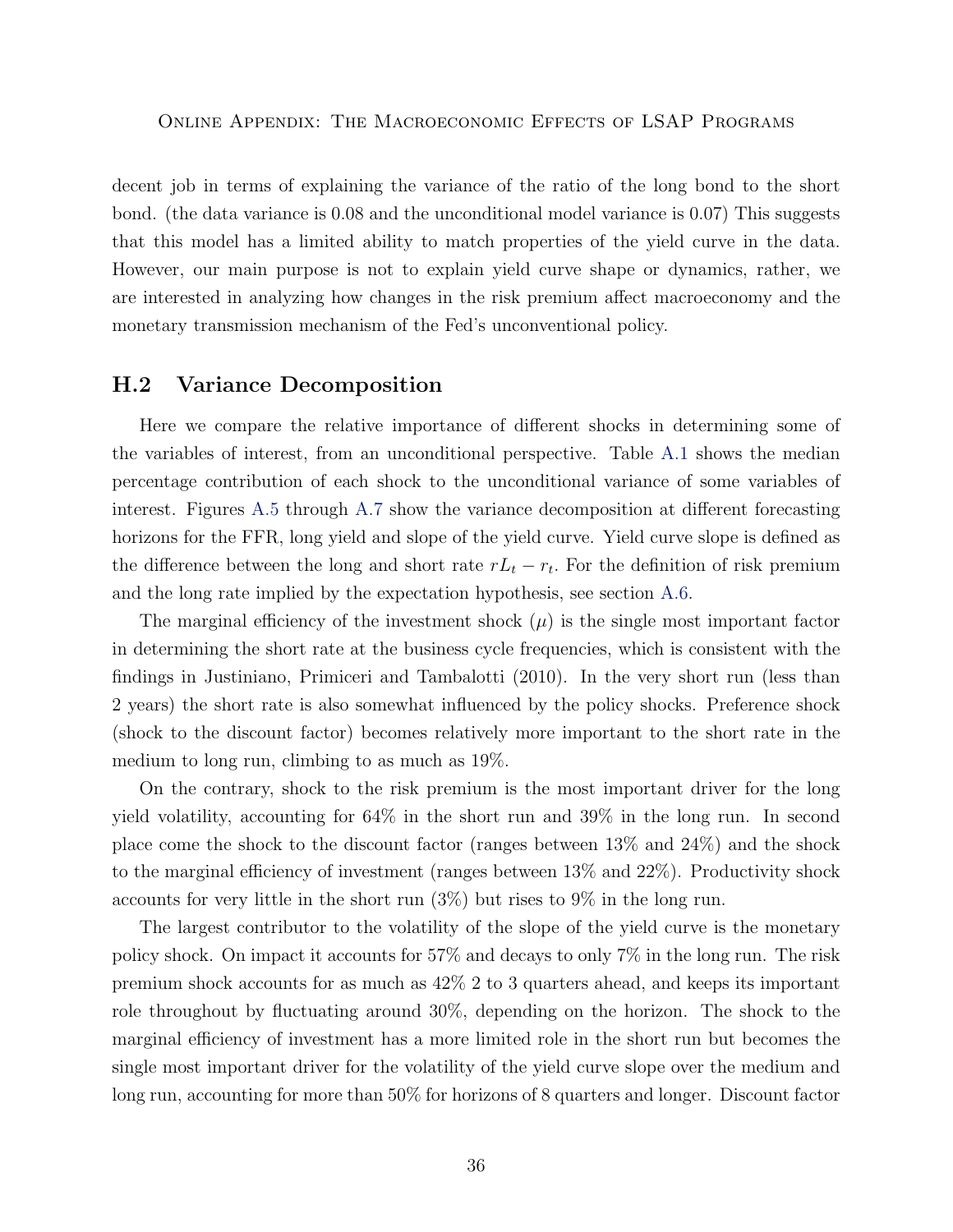decent job in terms of explaining the variance of the ratio of the long bond to the short bond. (the data variance is 0.08 and the unconditional model variance is 0.07) This suggests that this model has a limited ability to match properties of the yield curve in the data. However, our main purpose is not to explain yield curve shape or dynamics, rather, we are interested in analyzing how changes in the risk premium affect macroeconomy and the monetary transmission mechanism of the Fed's unconventional policy.

#### <span id="page-35-0"></span>H.2 Variance Decomposition

Here we compare the relative importance of different shocks in determining some of the variables of interest, from an unconditional perspective. Table [A.1](#page-38-2) shows the median percentage contribution of each shock to the unconditional variance of some variables of interest. Figures [A.5](#page-43-0) through [A.7](#page-45-0) show the variance decomposition at different forecasting horizons for the FFR, long yield and slope of the yield curve. Yield curve slope is defined as the difference between the long and short rate  $rL_t - r_t$ . For the definition of risk premium and the long rate implied by the expectation hypothesis, see section [A.6.](#page-13-0)

The marginal efficiency of the investment shock  $(\mu)$  is the single most important factor in determining the short rate at the business cycle frequencies, which is consistent with the findings in Justiniano, Primiceri and Tambalotti (2010). In the very short run (less than 2 years) the short rate is also somewhat influenced by the policy shocks. Preference shock (shock to the discount factor) becomes relatively more important to the short rate in the medium to long run, climbing to as much as 19%.

On the contrary, shock to the risk premium is the most important driver for the long yield volatility, accounting for 64% in the short run and 39% in the long run. In second place come the shock to the discount factor (ranges between 13% and 24%) and the shock to the marginal efficiency of investment (ranges between 13% and 22%). Productivity shock accounts for very little in the short run (3%) but rises to 9% in the long run.

The largest contributor to the volatility of the slope of the yield curve is the monetary policy shock. On impact it accounts for 57% and decays to only 7% in the long run. The risk premium shock accounts for as much as 42% 2 to 3 quarters ahead, and keeps its important role throughout by fluctuating around 30%, depending on the horizon. The shock to the marginal efficiency of investment has a more limited role in the short run but becomes the single most important driver for the volatility of the yield curve slope over the medium and long run, accounting for more than 50% for horizons of 8 quarters and longer. Discount factor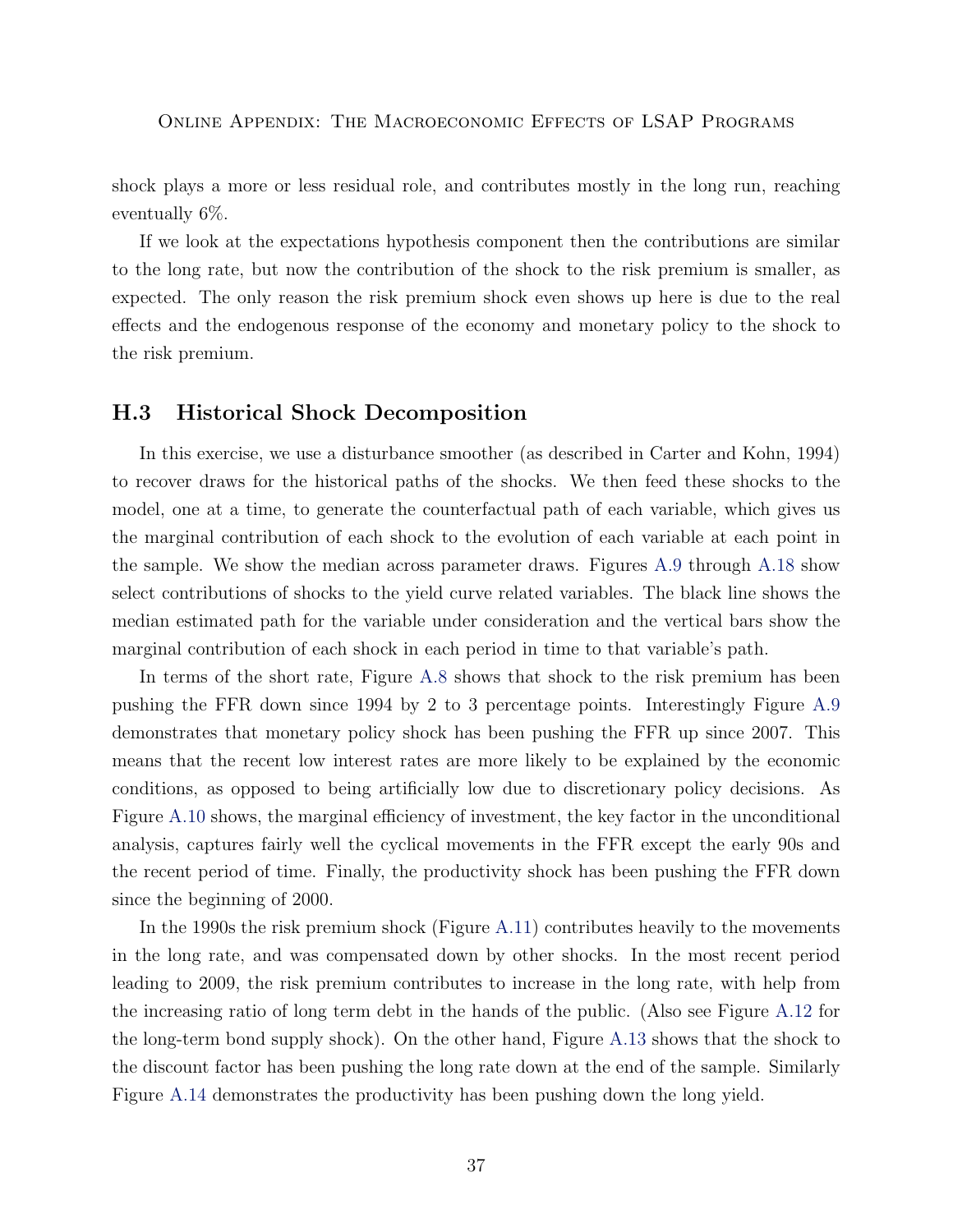shock plays a more or less residual role, and contributes mostly in the long run, reaching eventually 6%.

If we look at the expectations hypothesis component then the contributions are similar to the long rate, but now the contribution of the shock to the risk premium is smaller, as expected. The only reason the risk premium shock even shows up here is due to the real effects and the endogenous response of the economy and monetary policy to the shock to the risk premium.

#### <span id="page-36-0"></span>H.3 Historical Shock Decomposition

In this exercise, we use a disturbance smoother (as described in Carter and Kohn, 1994) to recover draws for the historical paths of the shocks. We then feed these shocks to the model, one at a time, to generate the counterfactual path of each variable, which gives us the marginal contribution of each shock to the evolution of each variable at each point in the sample. We show the median across parameter draws. Figures [A.9](#page-47-0) through [A.18](#page-56-0) show select contributions of shocks to the yield curve related variables. The black line shows the median estimated path for the variable under consideration and the vertical bars show the marginal contribution of each shock in each period in time to that variable's path.

In terms of the short rate, Figure [A.8](#page-46-0) shows that shock to the risk premium has been pushing the FFR down since 1994 by 2 to 3 percentage points. Interestingly Figure [A.9](#page-47-0) demonstrates that monetary policy shock has been pushing the FFR up since 2007. This means that the recent low interest rates are more likely to be explained by the economic conditions, as opposed to being artificially low due to discretionary policy decisions. As Figure [A.10](#page-48-0) shows, the marginal efficiency of investment, the key factor in the unconditional analysis, captures fairly well the cyclical movements in the FFR except the early 90s and the recent period of time. Finally, the productivity shock has been pushing the FFR down since the beginning of 2000.

In the 1990s the risk premium shock (Figure [A.11\)](#page-49-0) contributes heavily to the movements in the long rate, and was compensated down by other shocks. In the most recent period leading to 2009, the risk premium contributes to increase in the long rate, with help from the increasing ratio of long term debt in the hands of the public. (Also see Figure [A.12](#page-50-0) for the long-term bond supply shock). On the other hand, Figure [A.13](#page-51-0) shows that the shock to the discount factor has been pushing the long rate down at the end of the sample. Similarly Figure [A.14](#page-52-0) demonstrates the productivity has been pushing down the long yield.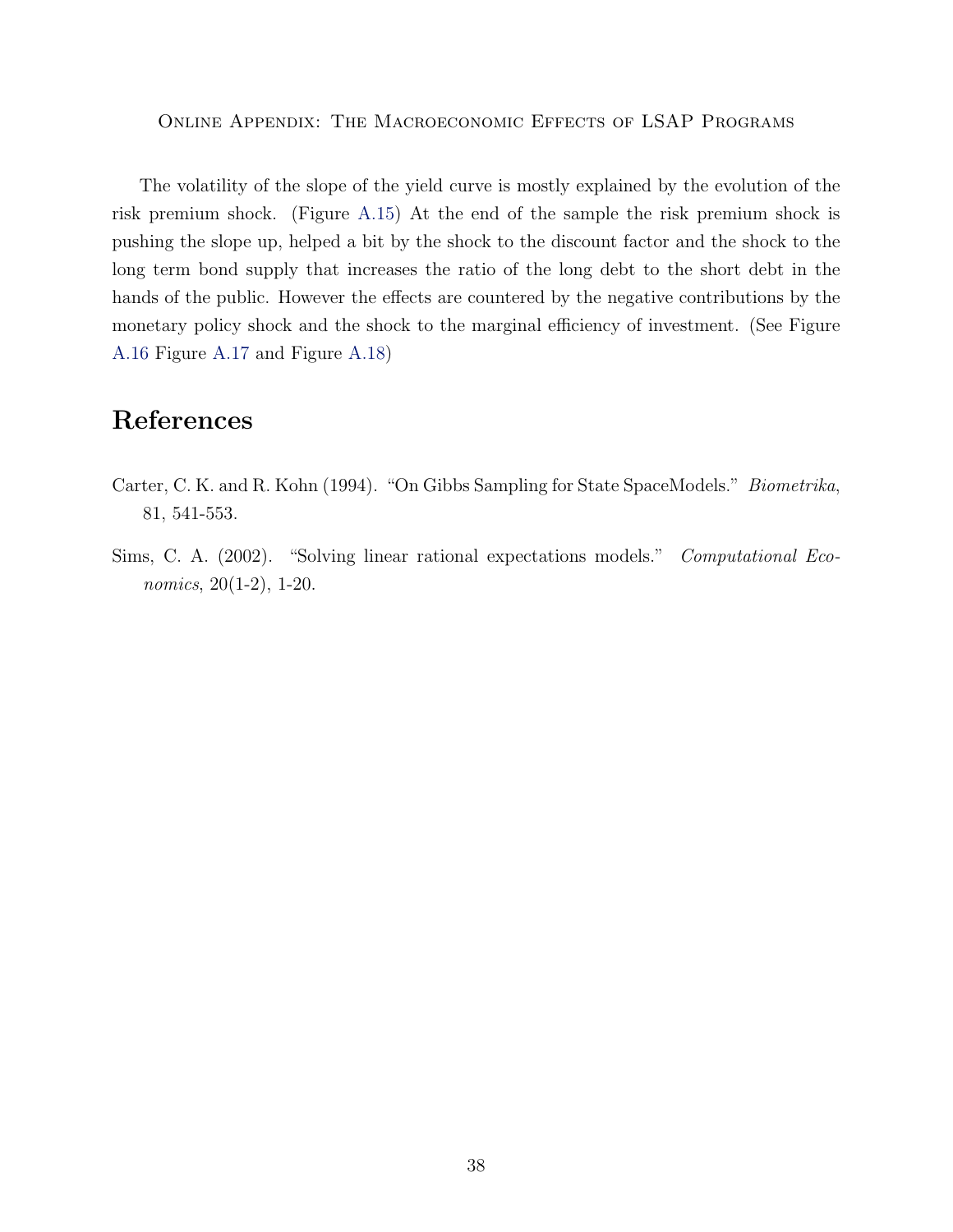The volatility of the slope of the yield curve is mostly explained by the evolution of the risk premium shock. (Figure [A.15\)](#page-53-0) At the end of the sample the risk premium shock is pushing the slope up, helped a bit by the shock to the discount factor and the shock to the long term bond supply that increases the ratio of the long debt to the short debt in the hands of the public. However the effects are countered by the negative contributions by the monetary policy shock and the shock to the marginal efficiency of investment. (See Figure [A.16](#page-54-0) Figure [A.17](#page-55-0) and Figure [A.18\)](#page-56-0)

## <span id="page-37-0"></span>References

- Carter, C. K. and R. Kohn (1994). "On Gibbs Sampling for State SpaceModels." Biometrika, 81, 541-553.
- Sims, C. A. (2002). "Solving linear rational expectations models." Computational Economics, 20(1-2), 1-20.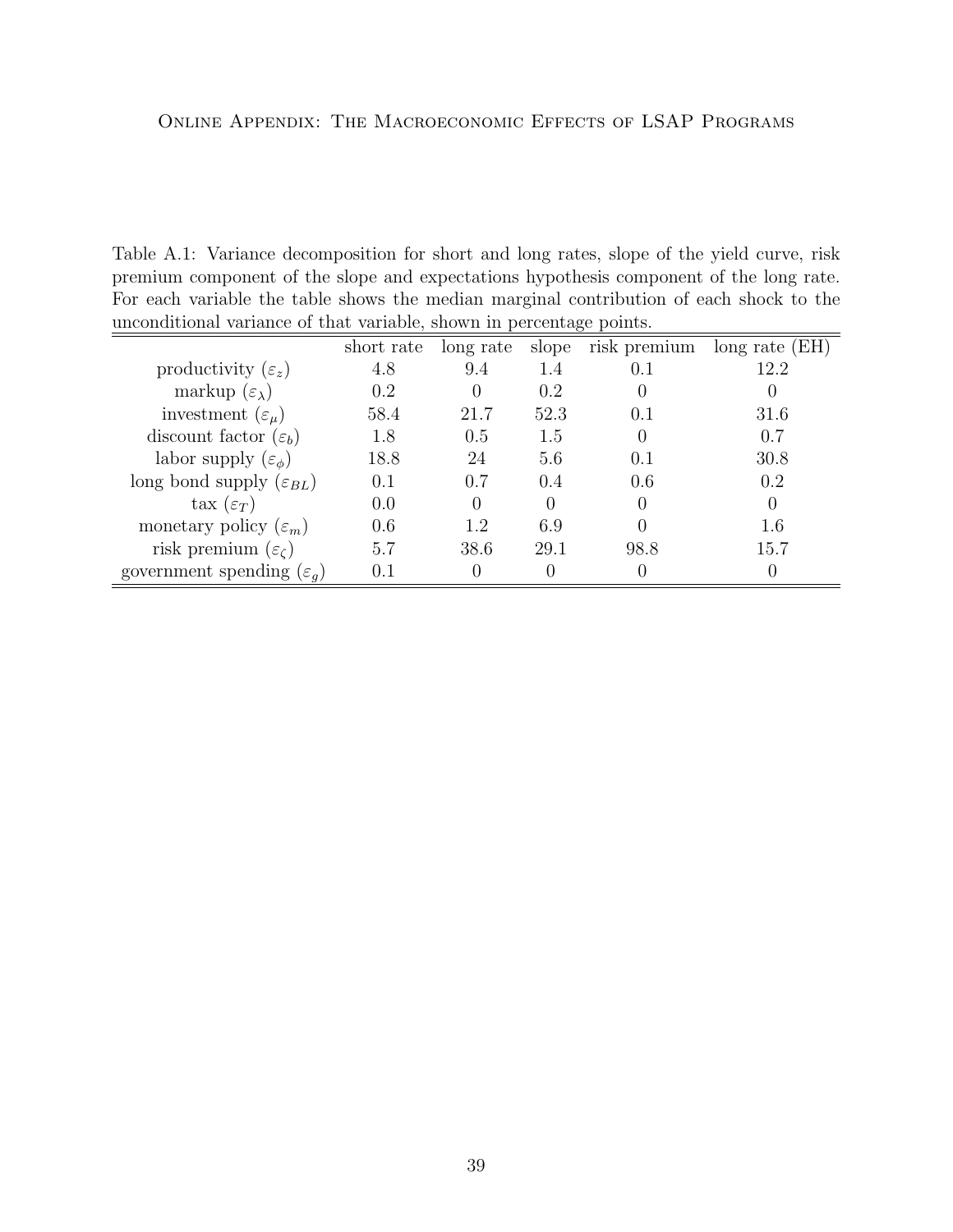<span id="page-38-2"></span><span id="page-38-0"></span>Table A.1: Variance decomposition for short and long rates, slope of the yield curve, risk premium component of the slope and expectations hypothesis component of the long rate. For each variable the table shows the median marginal contribution of each shock to the unconditional variance of that variable, shown in percentage points.

<span id="page-38-1"></span>

|                                       | short rate | long rate | slope | risk premium     | long rate $(EH)$ |
|---------------------------------------|------------|-----------|-------|------------------|------------------|
| productivity $(\varepsilon_z)$        | 4.8        | 9.4       | 1.4   | 0.1              | 12.2             |
| markup $(\varepsilon_{\lambda})$      | 0.2        |           | 0.2   | 0                |                  |
| investment $(\varepsilon_{\mu})$      | 58.4       | 21.7      | 52.3  | 0.1              | 31.6             |
| discount factor $(\varepsilon_b)$     | 1.8        | 0.5       | 1.5   | $\left( \right)$ | 0.7              |
| labor supply $(\varepsilon_{\phi})$   | 18.8       | 24        | 5.6   | 0.1              | 30.8             |
| long bond supply $(\varepsilon_{BL})$ | 0.1        | 0.7       | 0.4   | 0.6              | 0.2              |
| $\text{tax}\ (\varepsilon_T)$         | 0.0        |           |       | $\left( \right)$ |                  |
| monetary policy $(\varepsilon_m)$     | 0.6        | 1.2       | 6.9   |                  | 1.6              |
| risk premium $(\varepsilon_{\zeta})$  | 5.7        | 38.6      | 29.1  | 98.8             | 15.7             |
| government spending $(\varepsilon_a)$ | 0.1        |           |       |                  |                  |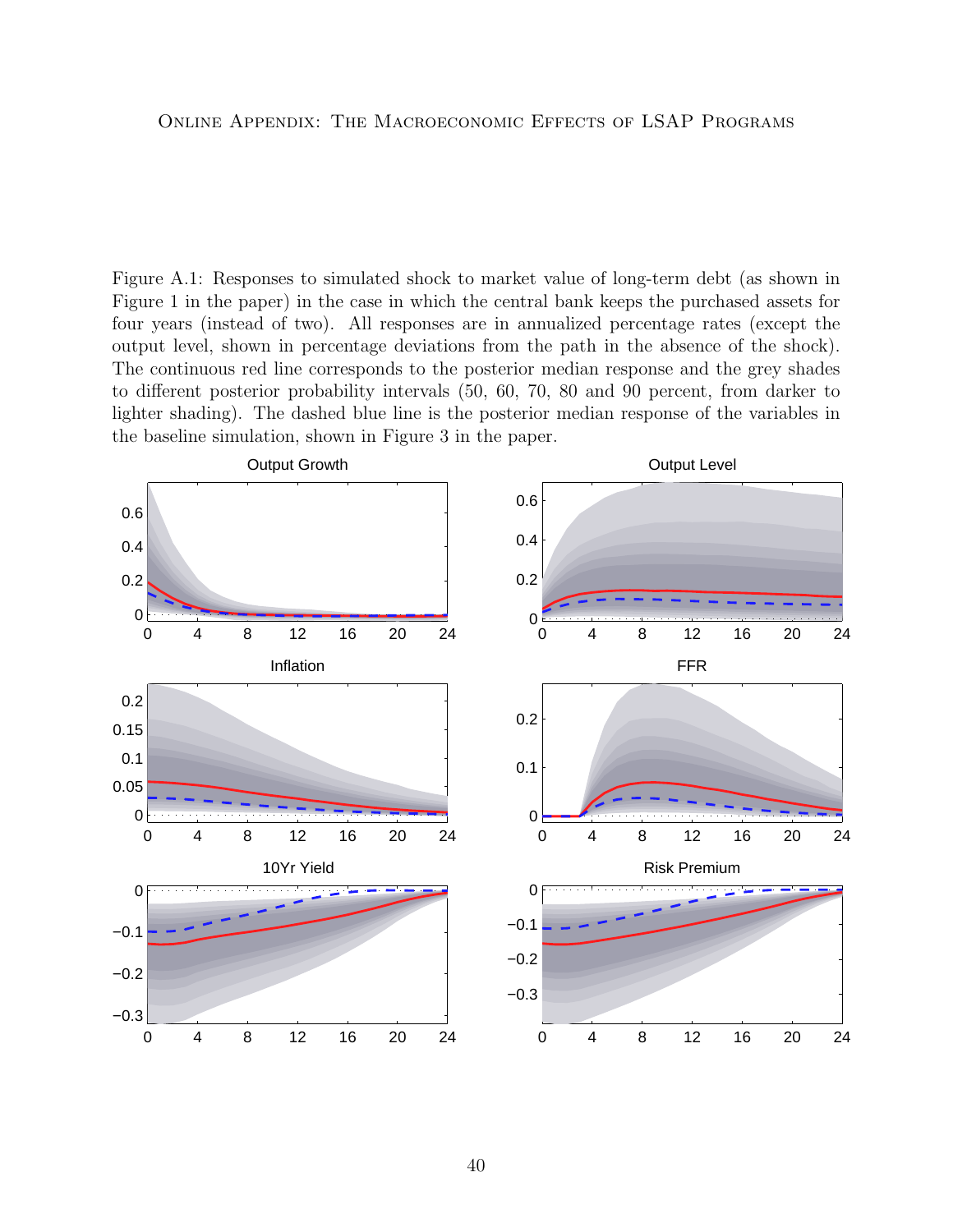<span id="page-39-0"></span>Figure A.1: Responses to simulated shock to market value of long-term debt (as shown in Figure 1 in the paper) in the case in which the central bank keeps the purchased assets for four years (instead of two). All responses are in annualized percentage rates (except the output level, shown in percentage deviations from the path in the absence of the shock). The continuous red line corresponds to the posterior median response and the grey shades to different posterior probability intervals (50, 60, 70, 80 and 90 percent, from darker to lighter shading). The dashed blue line is the posterior median response of the variables in the baseline simulation, shown in Figure 3 in the paper.

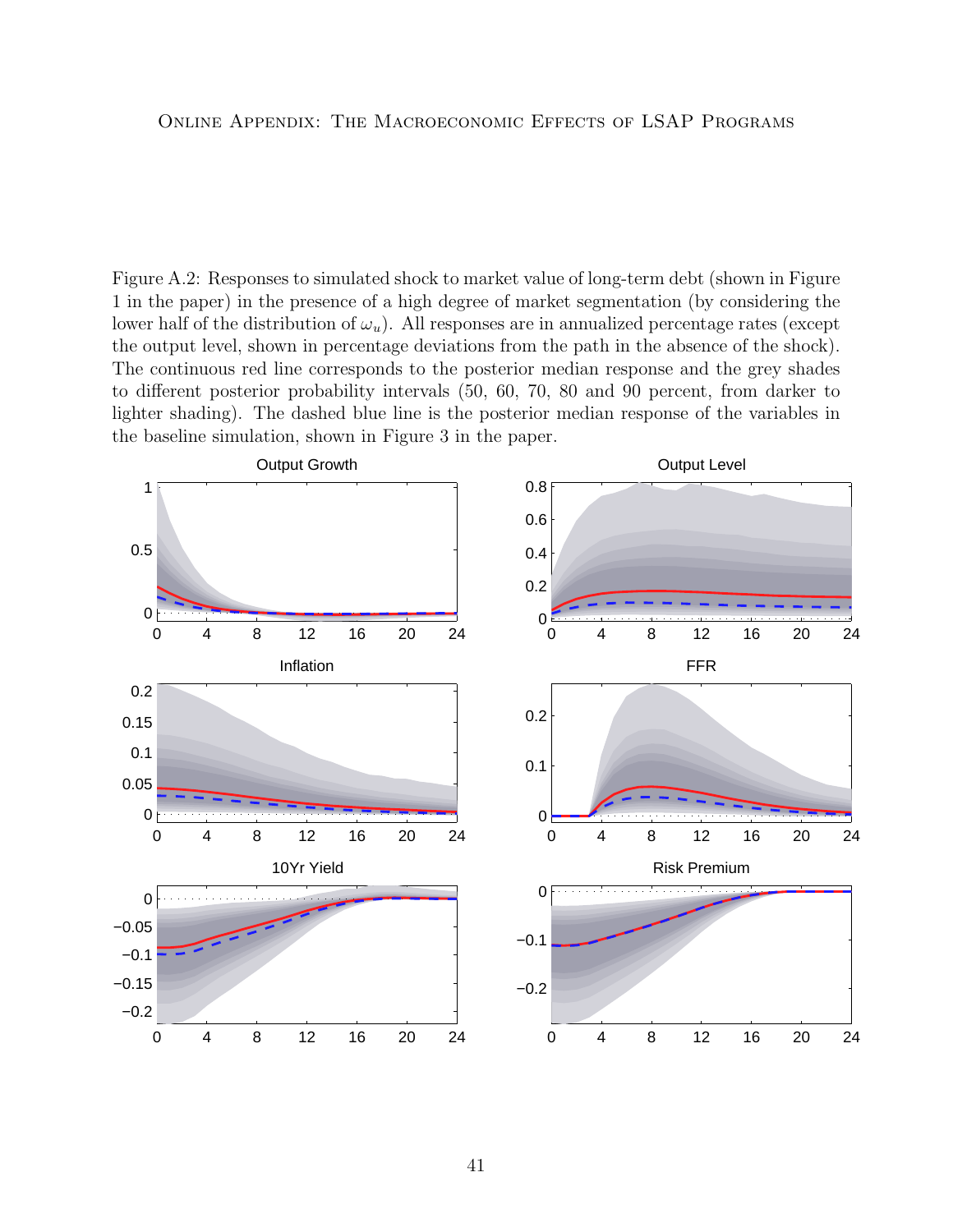<span id="page-40-0"></span>Figure A.2: Responses to simulated shock to market value of long-term debt (shown in Figure 1 in the paper) in the presence of a high degree of market segmentation (by considering the lower half of the distribution of  $\omega_u$ ). All responses are in annualized percentage rates (except the output level, shown in percentage deviations from the path in the absence of the shock). The continuous red line corresponds to the posterior median response and the grey shades to different posterior probability intervals (50, 60, 70, 80 and 90 percent, from darker to lighter shading). The dashed blue line is the posterior median response of the variables in the baseline simulation, shown in Figure 3 in the paper.

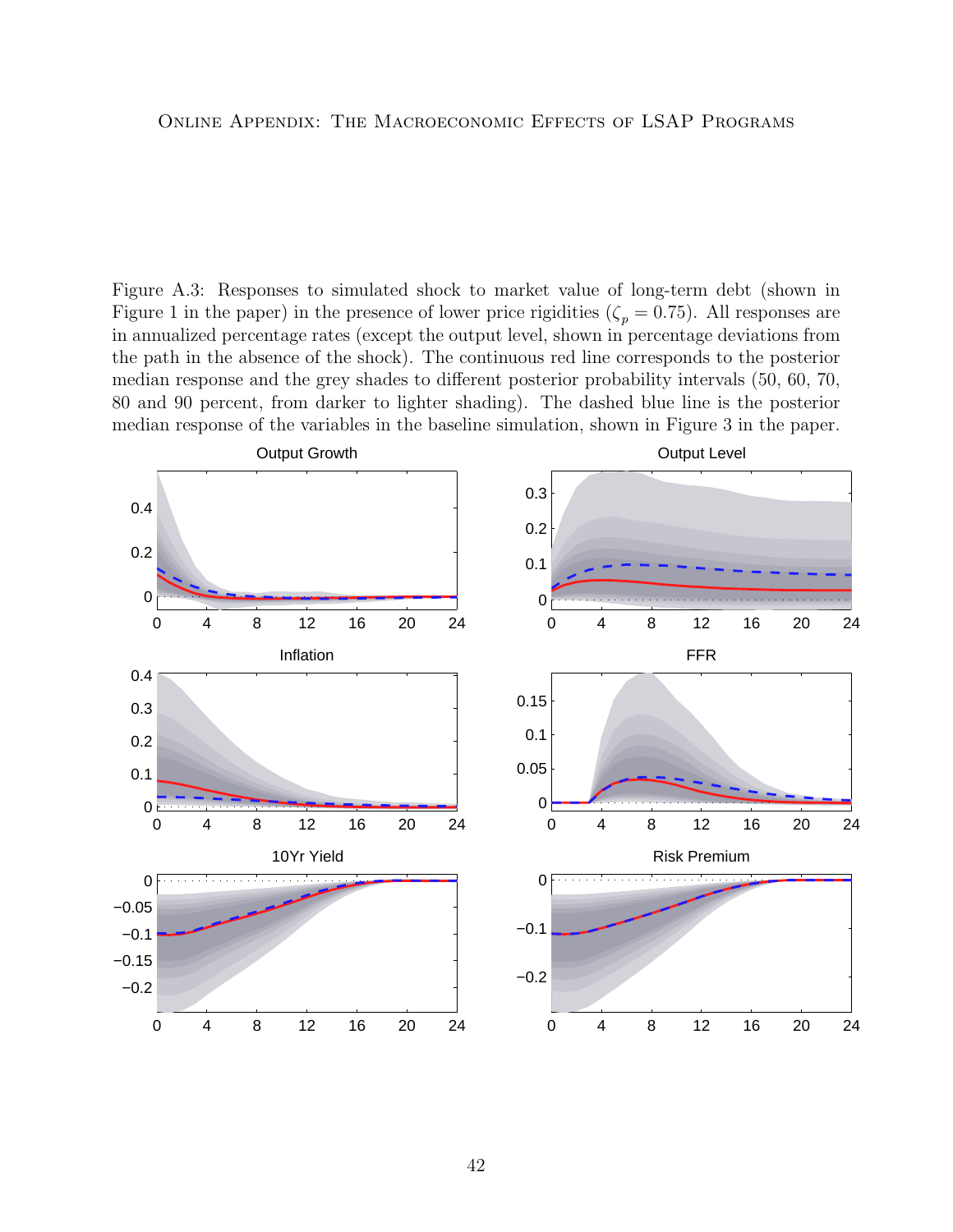<span id="page-41-0"></span>Figure A.3: Responses to simulated shock to market value of long-term debt (shown in Figure 1 in the paper) in the presence of lower price rigidities ( $\zeta_p = 0.75$ ). All responses are in annualized percentage rates (except the output level, shown in percentage deviations from the path in the absence of the shock). The continuous red line corresponds to the posterior median response and the grey shades to different posterior probability intervals (50, 60, 70, 80 and 90 percent, from darker to lighter shading). The dashed blue line is the posterior median response of the variables in the baseline simulation, shown in Figure 3 in the paper.

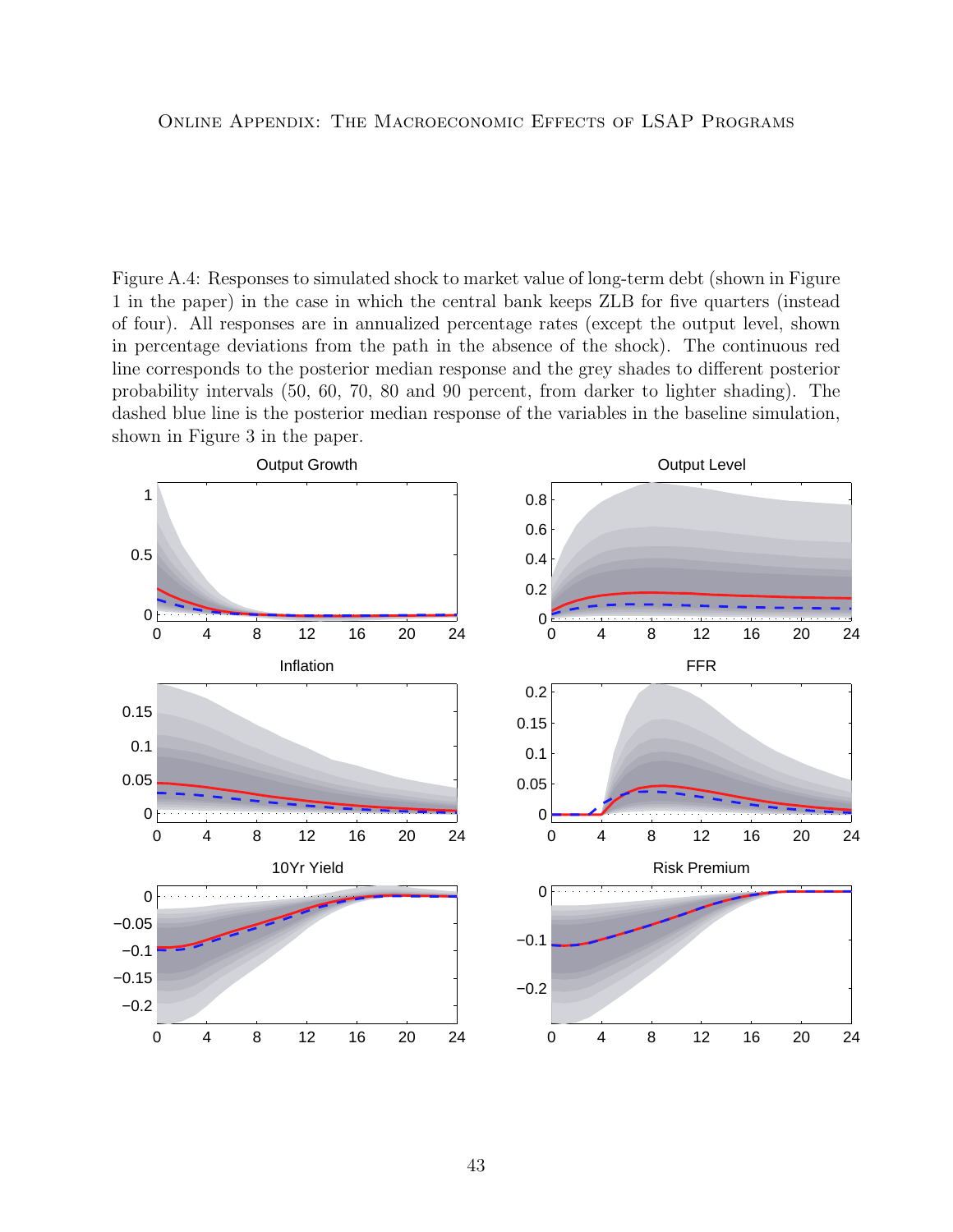<span id="page-42-0"></span>Figure A.4: Responses to simulated shock to market value of long-term debt (shown in Figure 1 in the paper) in the case in which the central bank keeps ZLB for five quarters (instead of four). All responses are in annualized percentage rates (except the output level, shown in percentage deviations from the path in the absence of the shock). The continuous red line corresponds to the posterior median response and the grey shades to different posterior probability intervals (50, 60, 70, 80 and 90 percent, from darker to lighter shading). The dashed blue line is the posterior median response of the variables in the baseline simulation, shown in Figure 3 in the paper.

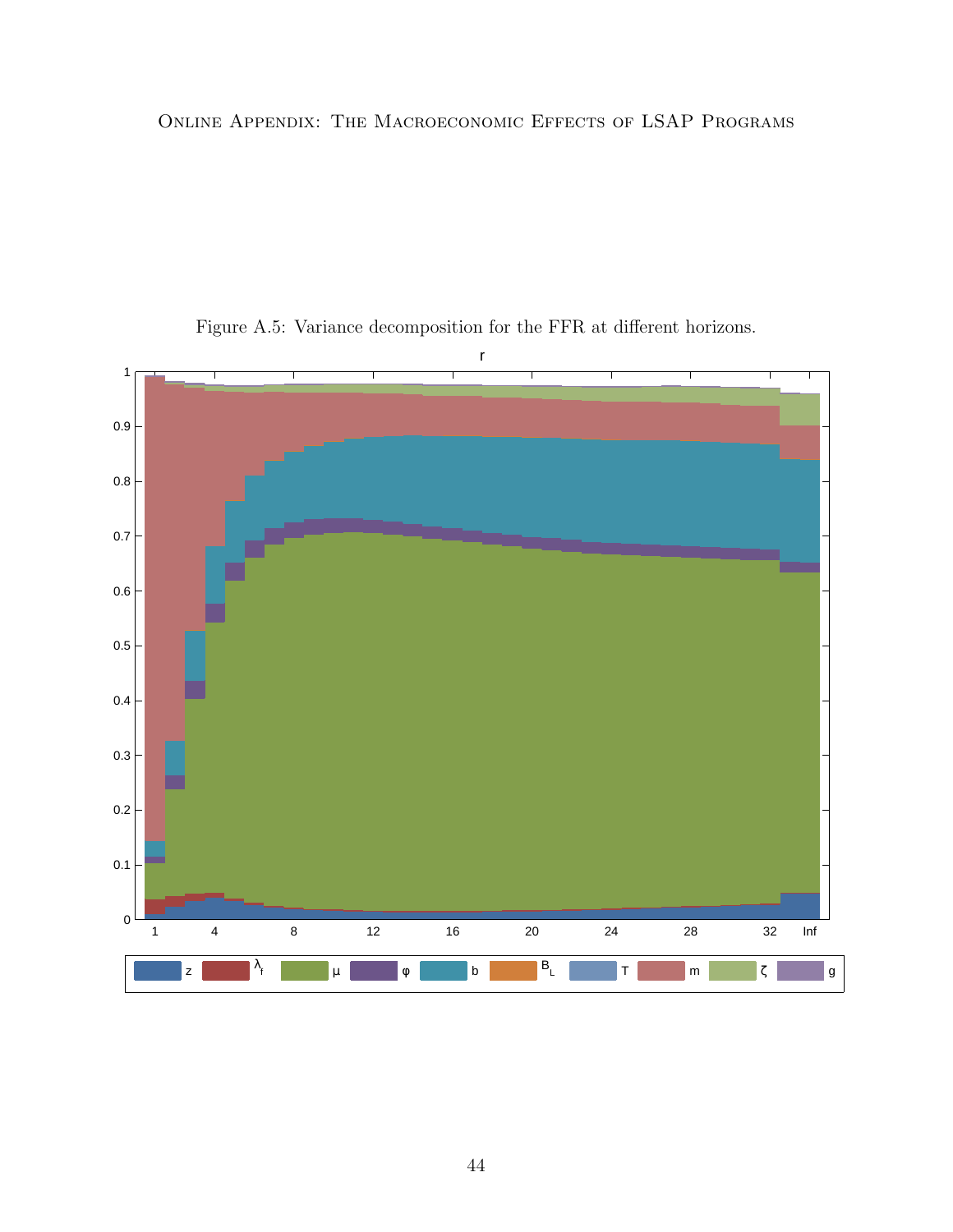

<span id="page-43-0"></span>Figure A.5: Variance decomposition for the FFR at different horizons.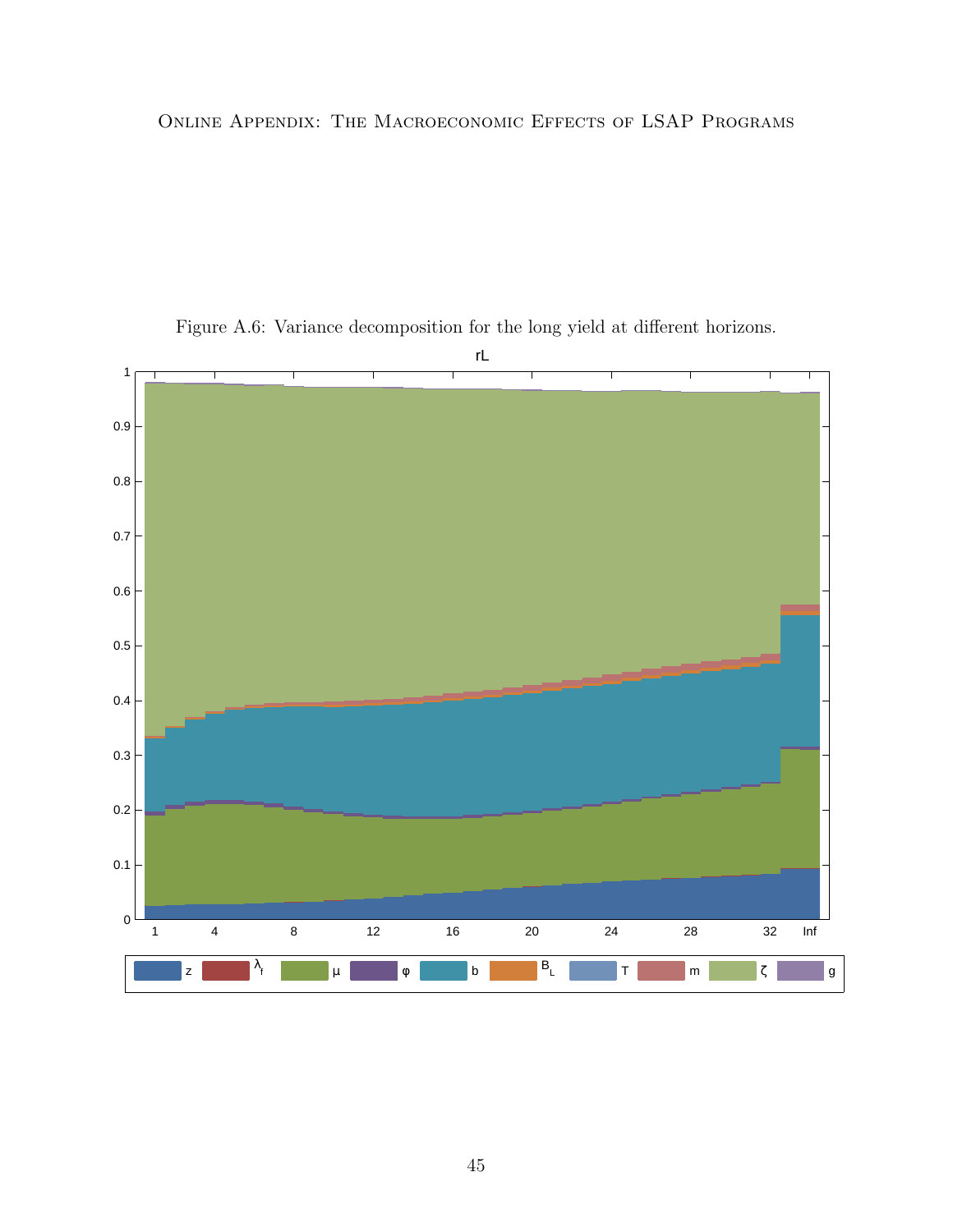

Figure A.6: Variance decomposition for the long yield at different horizons.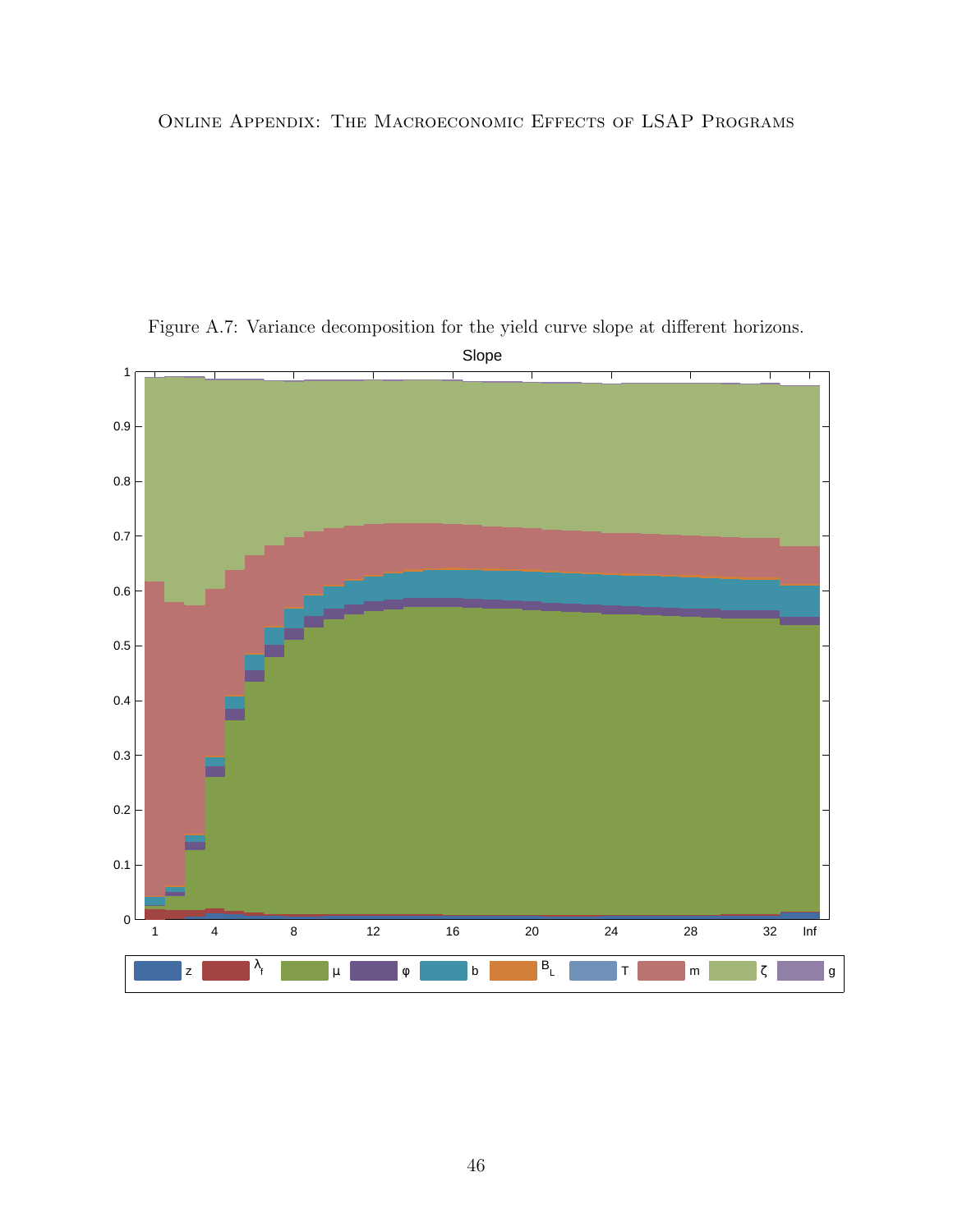

<span id="page-45-0"></span>Figure A.7: Variance decomposition for the yield curve slope at different horizons.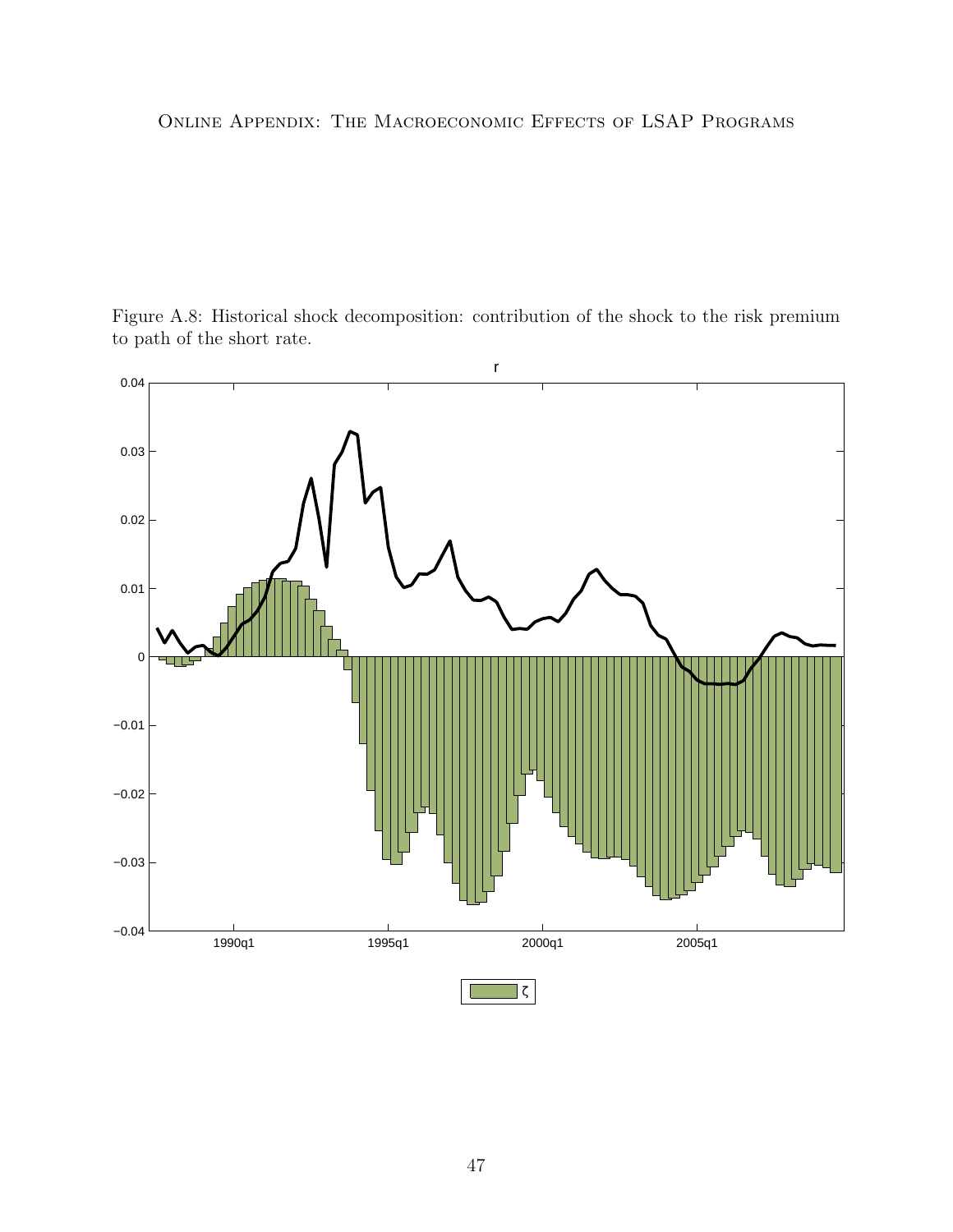<span id="page-46-0"></span>Figure A.8: Historical shock decomposition: contribution of the shock to the risk premium to path of the short rate.

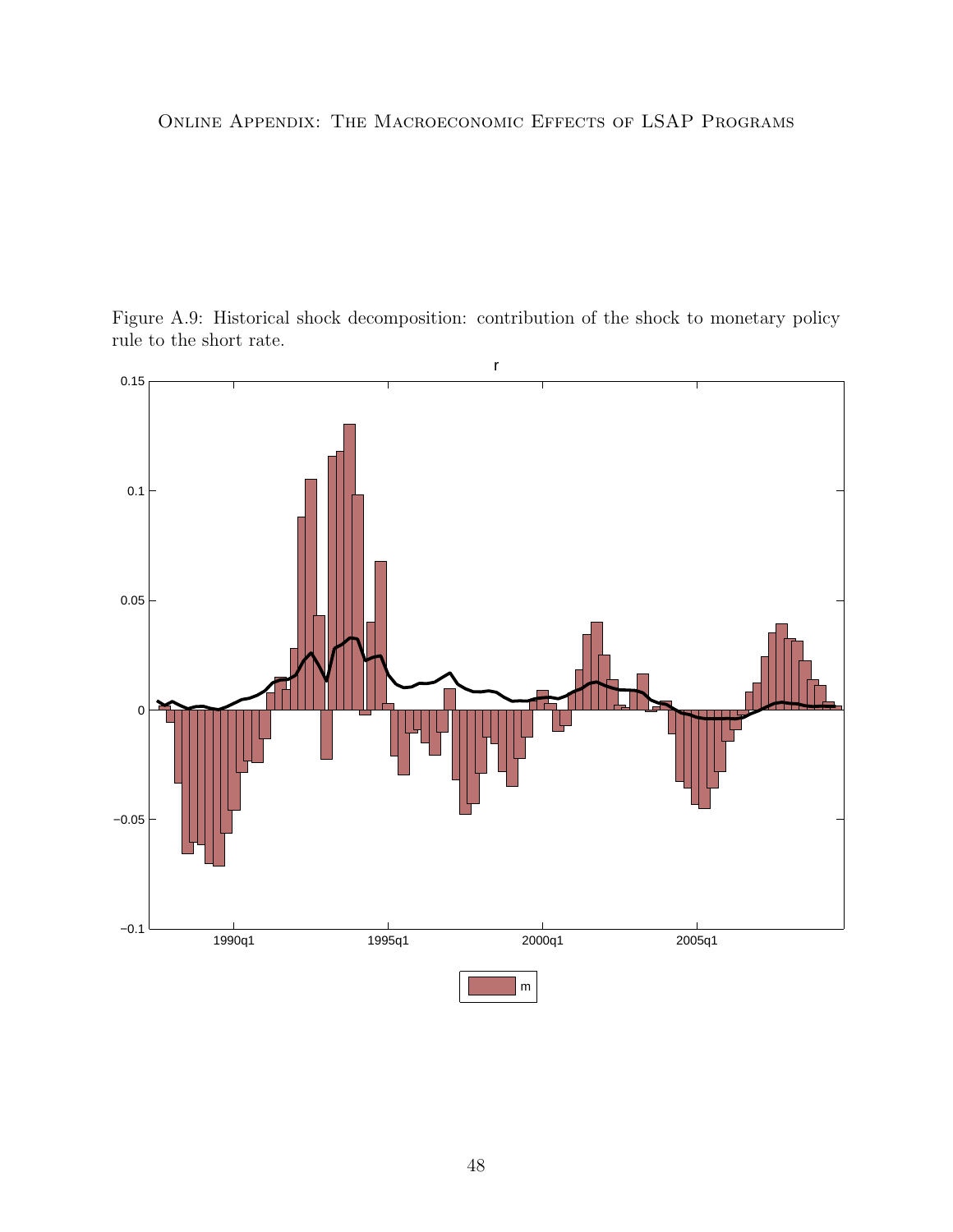<span id="page-47-0"></span>Figure A.9: Historical shock decomposition: contribution of the shock to monetary policy rule to the short rate.

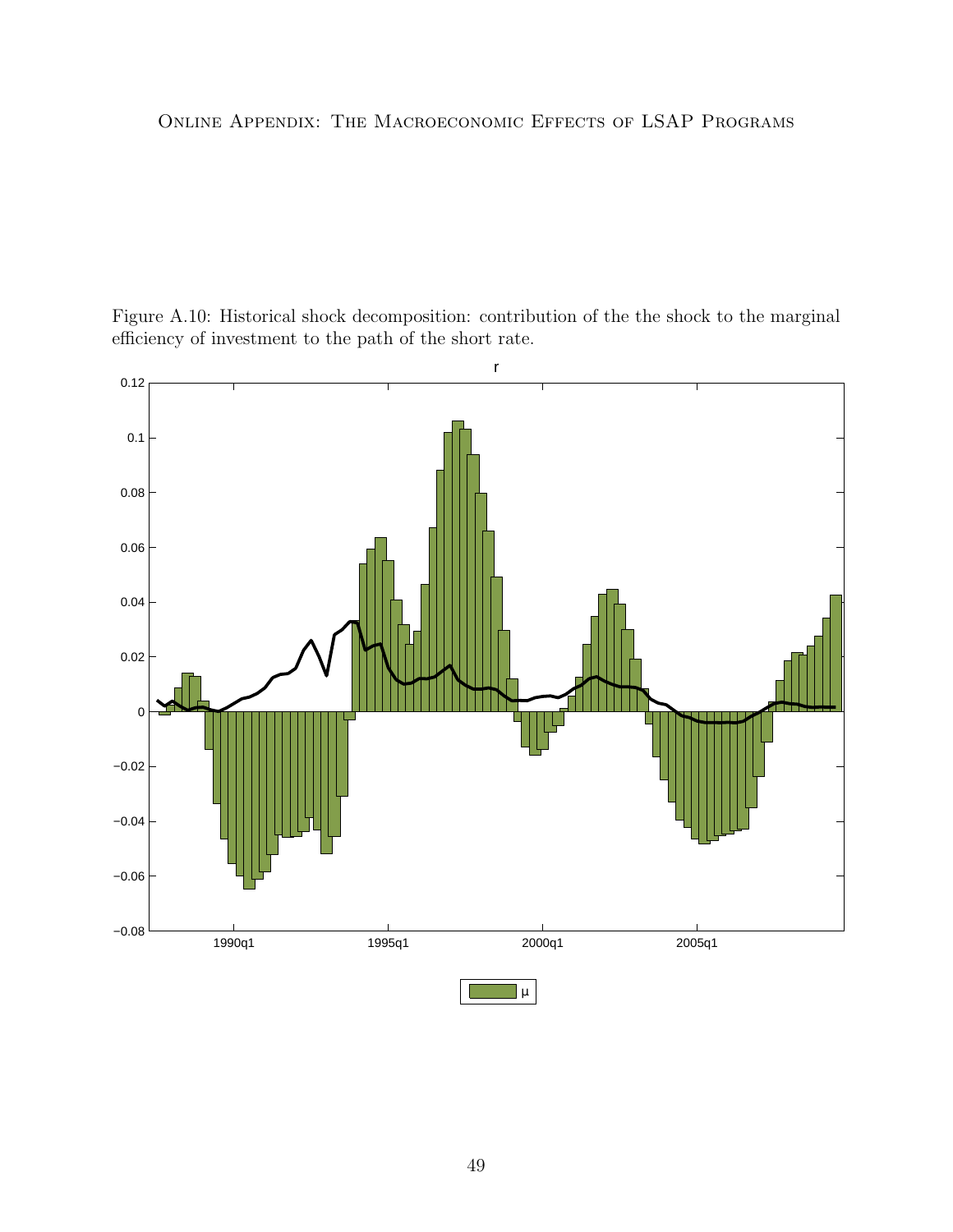<span id="page-48-0"></span>Figure A.10: Historical shock decomposition: contribution of the the shock to the marginal efficiency of investment to the path of the short rate.

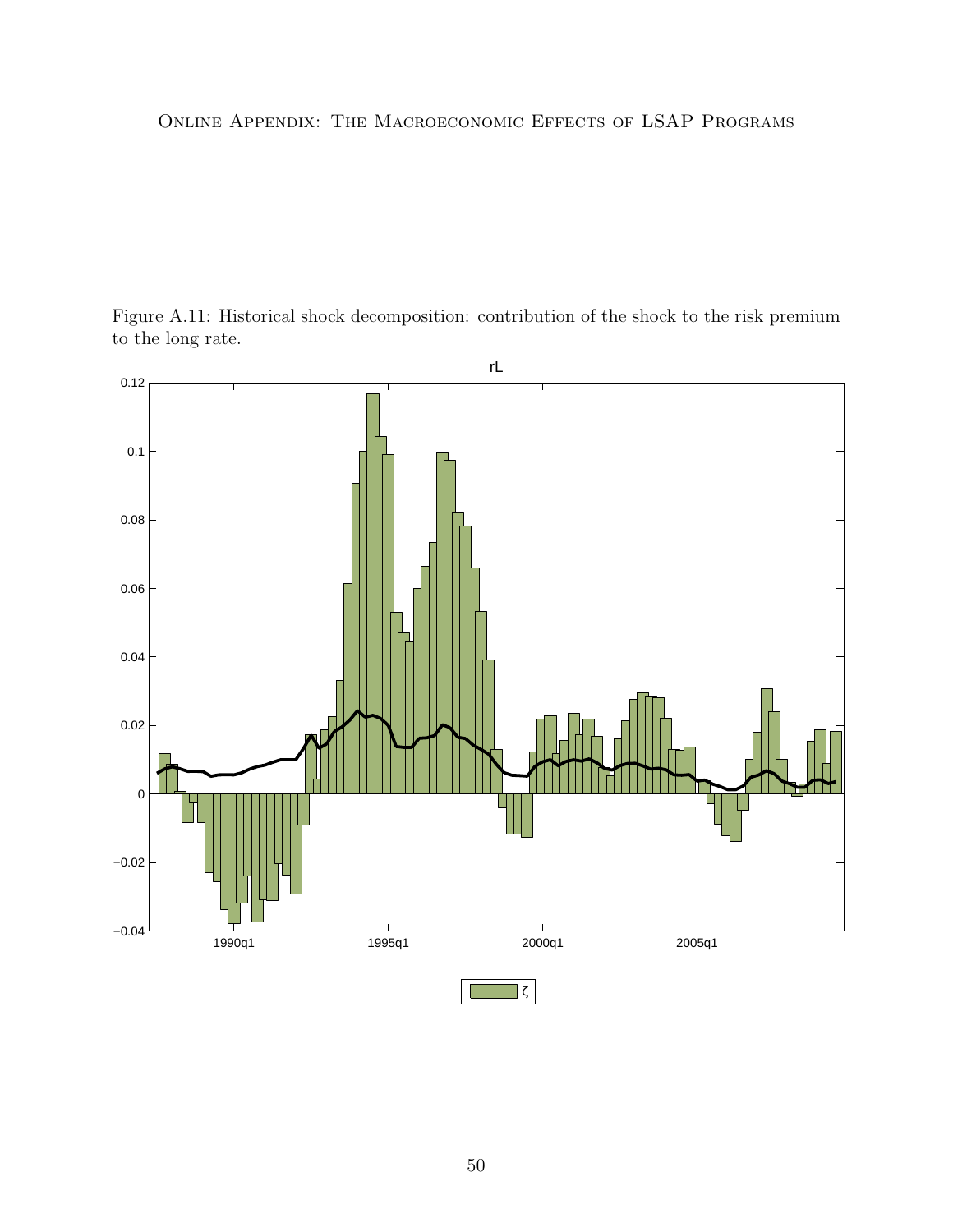<span id="page-49-0"></span>

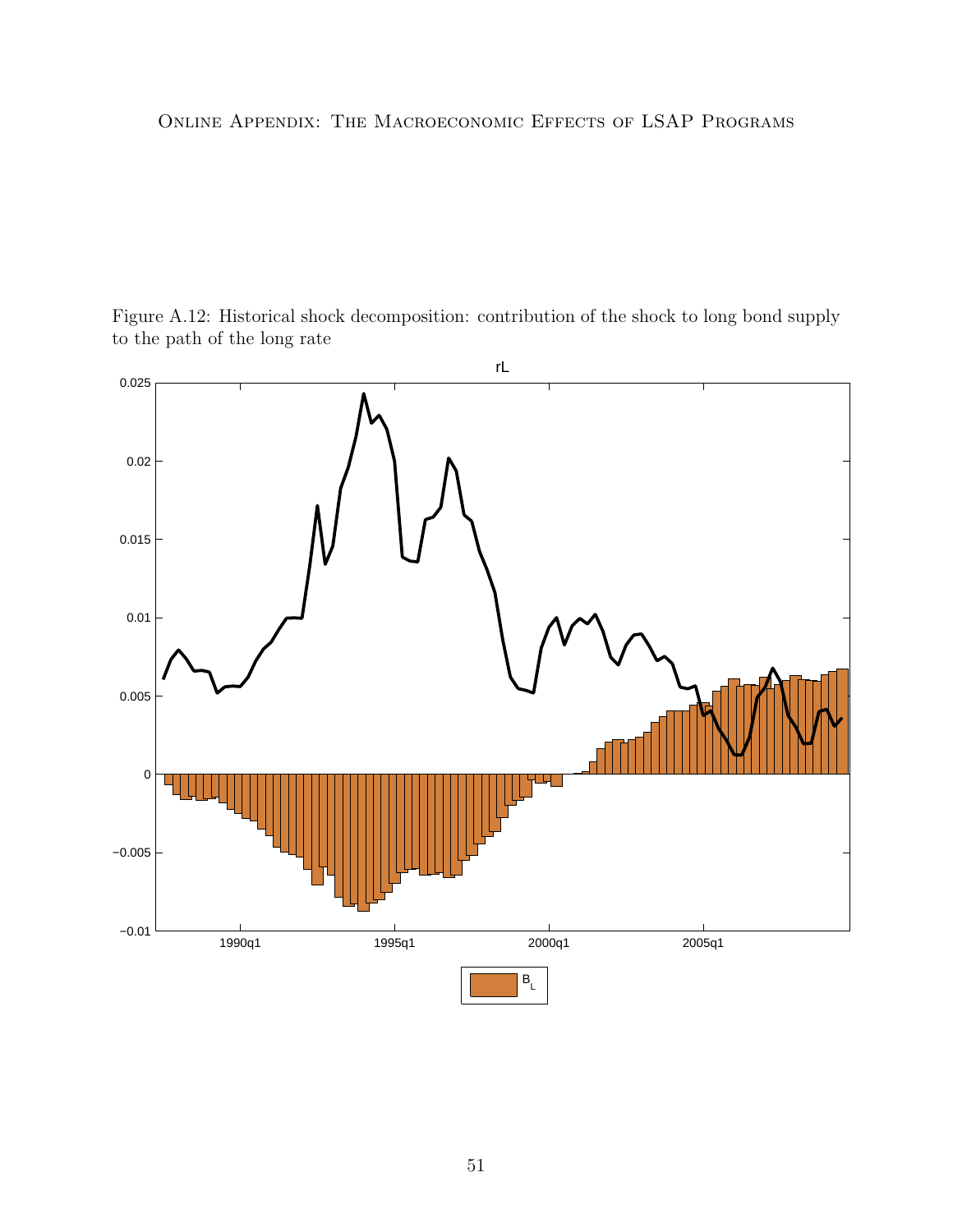<span id="page-50-0"></span>

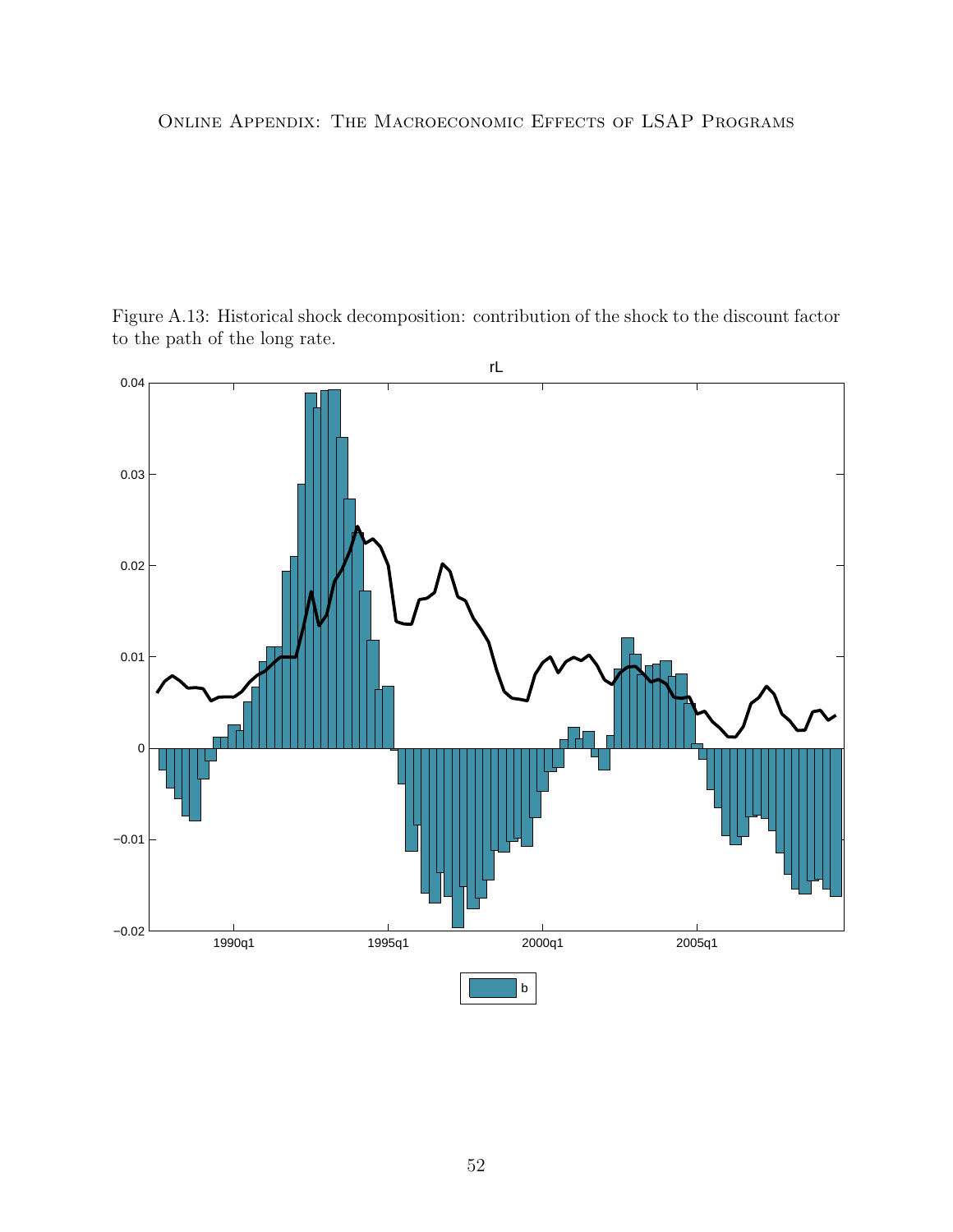<span id="page-51-0"></span>Figure A.13: Historical shock decomposition: contribution of the shock to the discount factor to the path of the long rate.

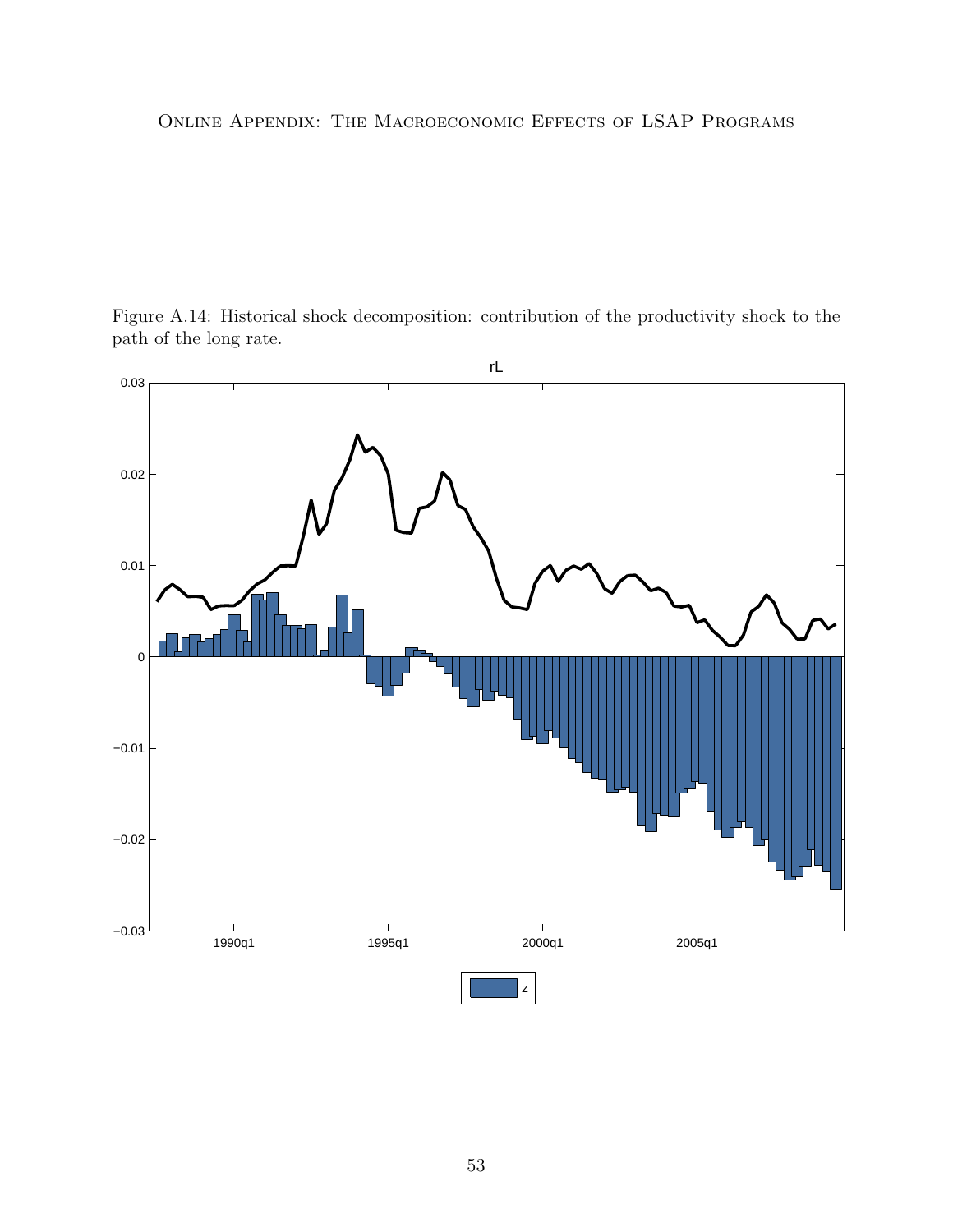<span id="page-52-0"></span>

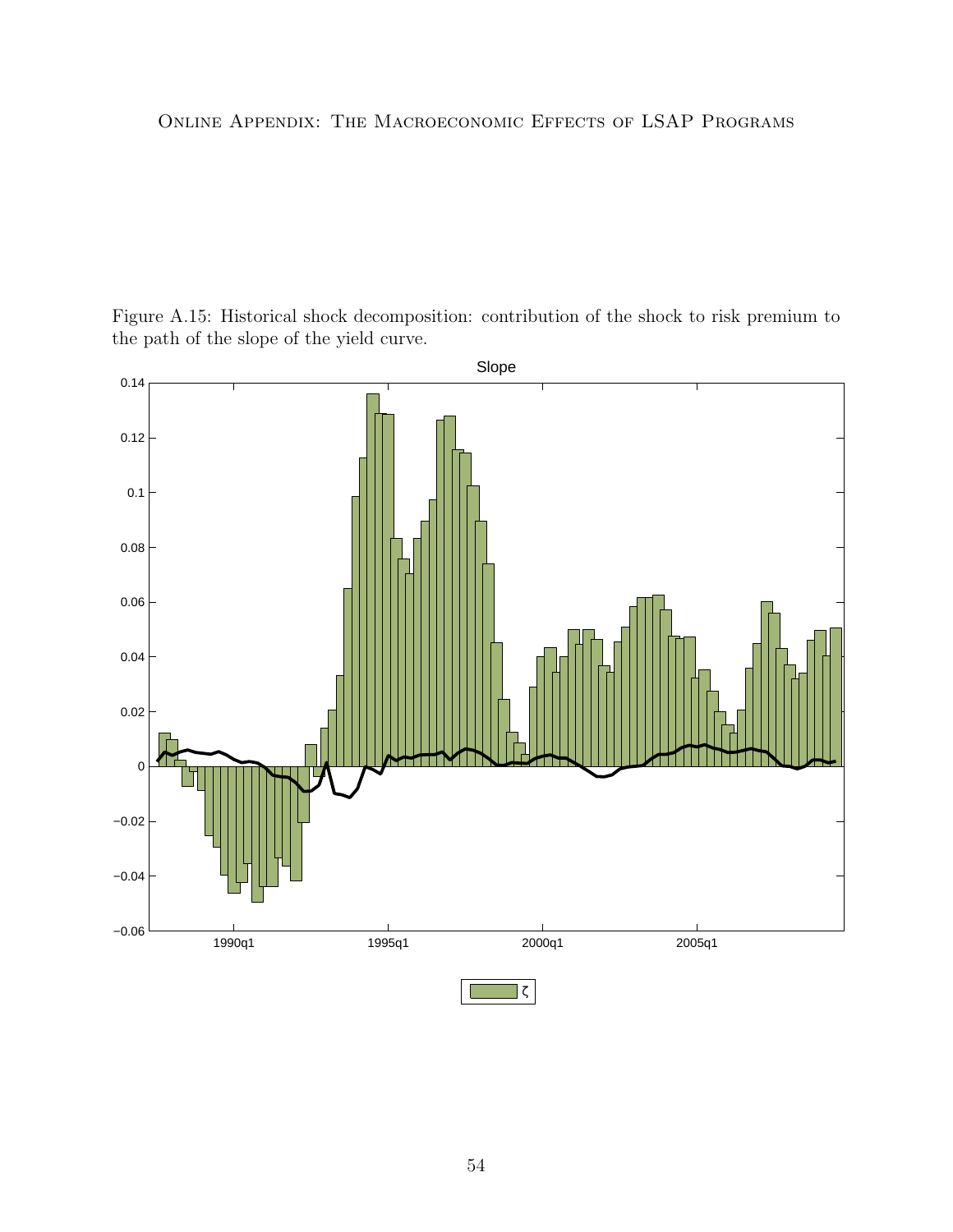<span id="page-53-0"></span>Figure A.15: Historical shock decomposition: contribution of the shock to risk premium to the path of the slope of the yield curve.

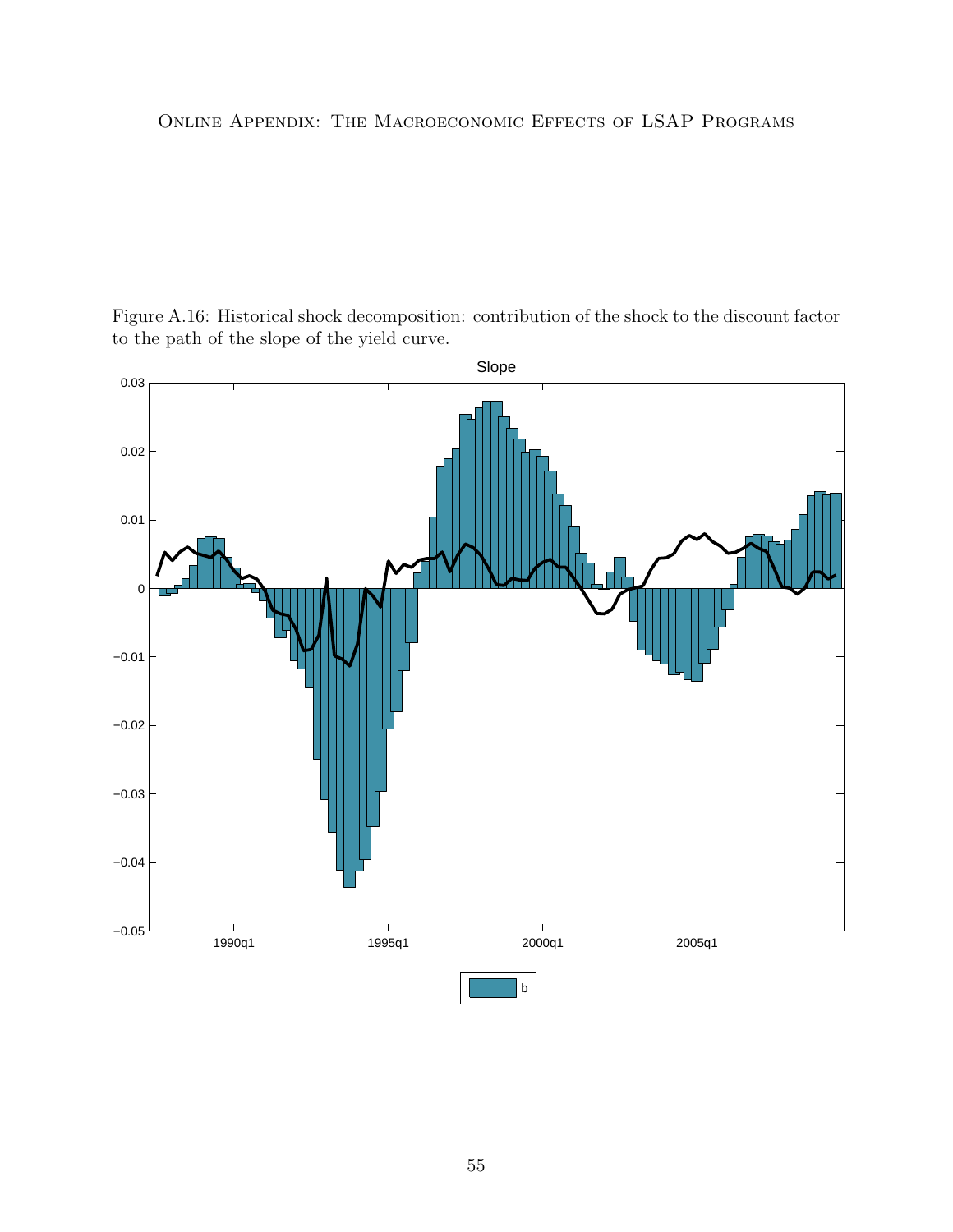<span id="page-54-0"></span>Figure A.16: Historical shock decomposition: contribution of the shock to the discount factor to the path of the slope of the yield curve.

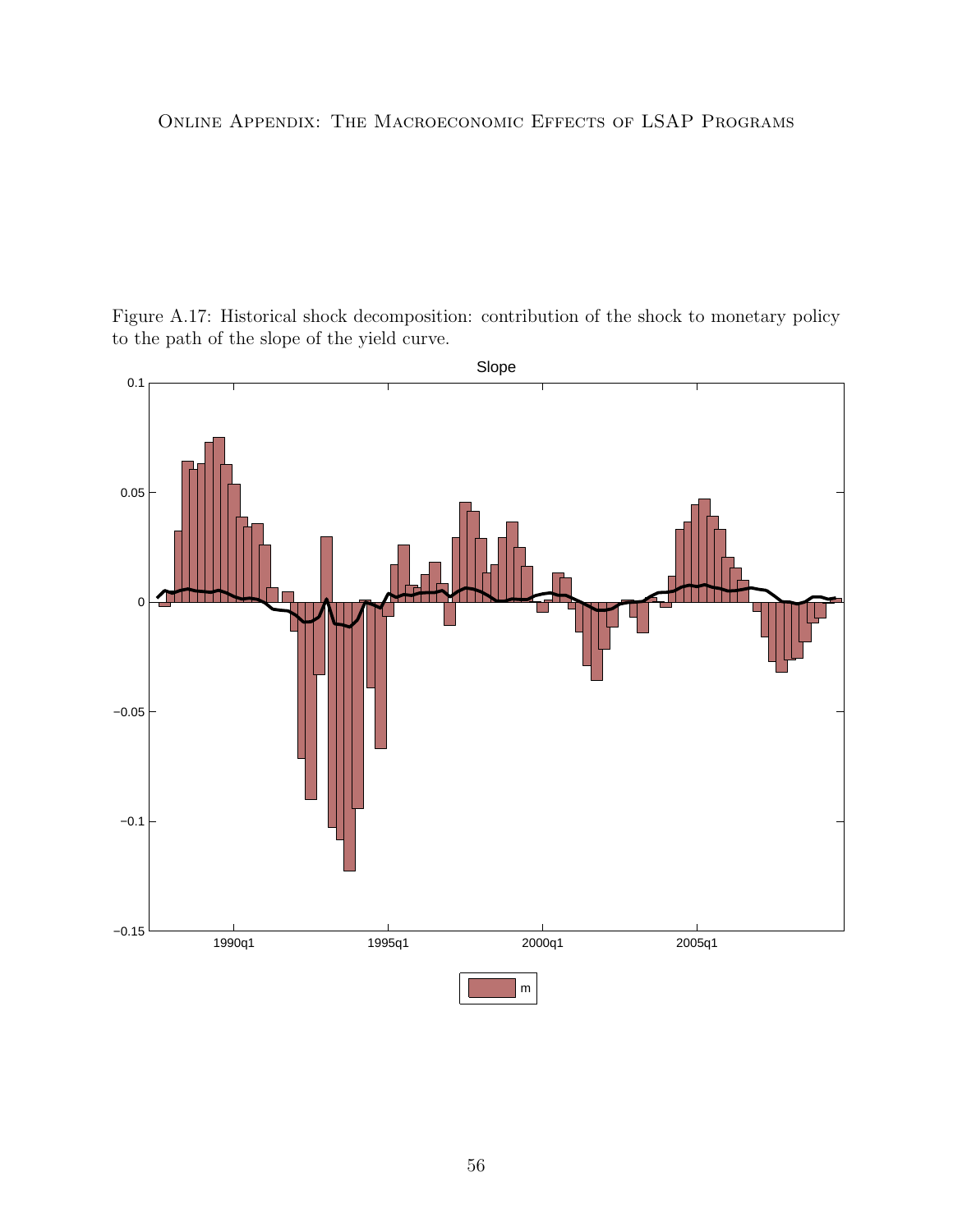<span id="page-55-0"></span>Figure A.17: Historical shock decomposition: contribution of the shock to monetary policy to the path of the slope of the yield curve.